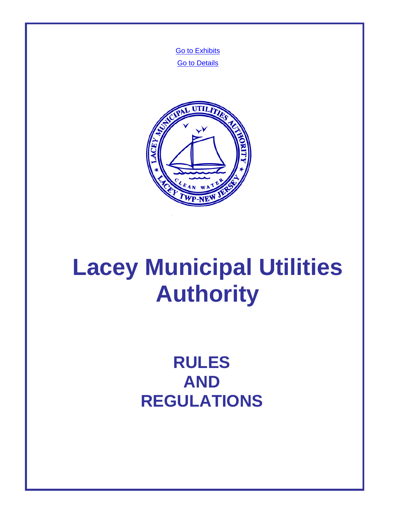**[Go to Exhibits](#page-104-0) [Go to Details](#page-105-0)** 



# **Lacey Municipal Utilities Authority**

**RULES AND REGULATIONS**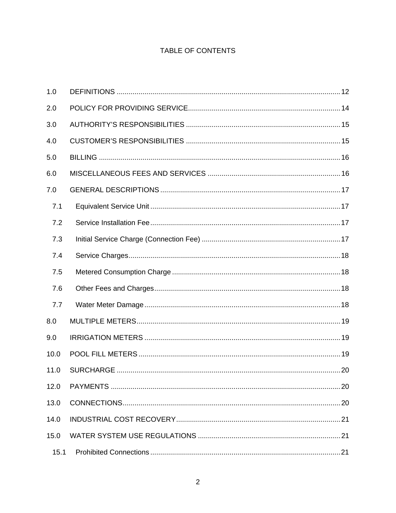# TABLE OF CONTENTS

| 1.0  |  |
|------|--|
| 2.0  |  |
| 3.0  |  |
| 4.0  |  |
| 5.0  |  |
| 6.0  |  |
| 7.0  |  |
| 7.1  |  |
| 7.2  |  |
| 7.3  |  |
| 7.4  |  |
| 7.5  |  |
| 7.6  |  |
| 7.7  |  |
| 8.0  |  |
| 9.0  |  |
| 10.0 |  |
| 11.0 |  |
| 12.0 |  |
| 13.0 |  |
| 14.0 |  |
| 15.0 |  |
| 15.1 |  |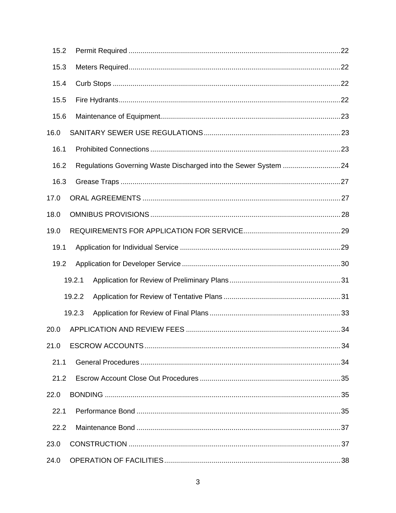| 15.2 |        |  |
|------|--------|--|
| 15.3 |        |  |
| 15.4 |        |  |
| 15.5 |        |  |
| 15.6 |        |  |
| 16.0 |        |  |
| 16.1 |        |  |
| 16.2 |        |  |
| 16.3 |        |  |
| 17.0 |        |  |
| 18.0 |        |  |
| 19.0 |        |  |
| 19.1 |        |  |
| 19.2 |        |  |
|      | 19.2.1 |  |
|      | 19.2.2 |  |
|      | 19.2.3 |  |
| 20.0 |        |  |
| 21.0 |        |  |
| 21.1 |        |  |
| 21.2 |        |  |
| 22.0 |        |  |
| 22.1 |        |  |
| 22.2 |        |  |
| 23.0 |        |  |
| 24.0 |        |  |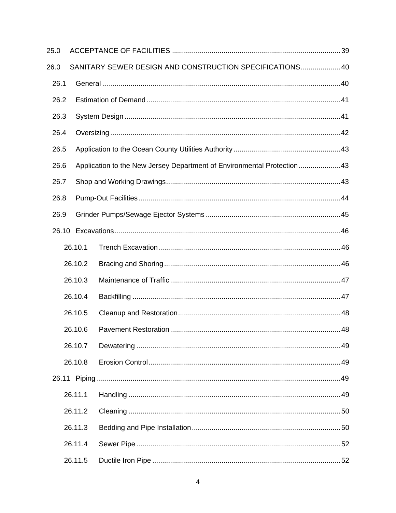| 25.0 |         |                                                                        |  |
|------|---------|------------------------------------------------------------------------|--|
| 26.0 |         | SANITARY SEWER DESIGN AND CONSTRUCTION SPECIFICATIONS 40               |  |
| 26.1 |         |                                                                        |  |
| 26.2 |         |                                                                        |  |
| 26.3 |         |                                                                        |  |
| 26.4 |         |                                                                        |  |
| 26.5 |         |                                                                        |  |
| 26.6 |         | Application to the New Jersey Department of Environmental Protection43 |  |
| 26.7 |         |                                                                        |  |
| 26.8 |         |                                                                        |  |
| 26.9 |         |                                                                        |  |
|      |         |                                                                        |  |
|      | 26.10.1 |                                                                        |  |
|      | 26.10.2 |                                                                        |  |
|      | 26.10.3 |                                                                        |  |
|      | 26.10.4 |                                                                        |  |
|      | 26.10.5 |                                                                        |  |
|      | 26.10.6 |                                                                        |  |
|      | 26.10.7 |                                                                        |  |
|      | 26.10.8 |                                                                        |  |
|      |         |                                                                        |  |
|      | 26.11.1 |                                                                        |  |
|      | 26.11.2 |                                                                        |  |
|      | 26.11.3 |                                                                        |  |
|      | 26.11.4 |                                                                        |  |
|      | 26.11.5 |                                                                        |  |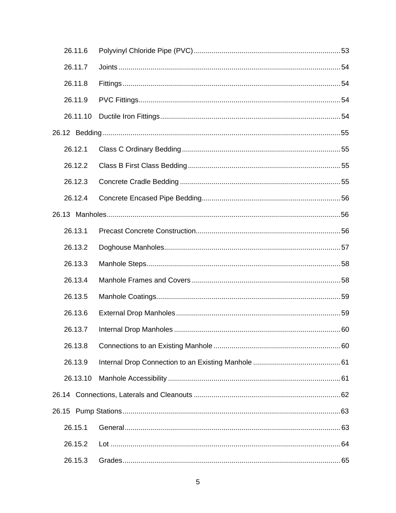| 26.11.6  |  |
|----------|--|
| 26.11.7  |  |
| 26.11.8  |  |
| 26.11.9  |  |
| 26.11.10 |  |
|          |  |
| 26.12.1  |  |
| 26.12.2  |  |
| 26.12.3  |  |
| 26.12.4  |  |
|          |  |
| 26.13.1  |  |
| 26.13.2  |  |
| 26.13.3  |  |
| 26.13.4  |  |
| 26.13.5  |  |
| 26.13.6  |  |
| 26.13.7  |  |
| 26.13.8  |  |
| 26.13.9  |  |
| 26.13.10 |  |
|          |  |
|          |  |
| 26.15.1  |  |
| 26.15.2  |  |
| 26.15.3  |  |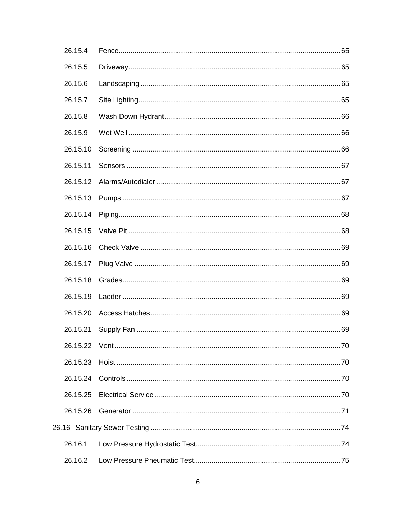| 26.15.4  |  |
|----------|--|
| 26.15.5  |  |
| 26.15.6  |  |
| 26.15.7  |  |
| 26.15.8  |  |
| 26.15.9  |  |
| 26.15.10 |  |
| 26.15.11 |  |
| 26.15.12 |  |
| 26.15.13 |  |
| 26.15.14 |  |
| 26.15.15 |  |
| 26.15.16 |  |
| 26.15.17 |  |
| 26.15.18 |  |
| 26.15.19 |  |
| 26.15.20 |  |
| 26.15.21 |  |
|          |  |
| 26.15.23 |  |
| 26.15.24 |  |
| 26.15.25 |  |
| 26.15.26 |  |
|          |  |
| 26.16.1  |  |
| 26.16.2  |  |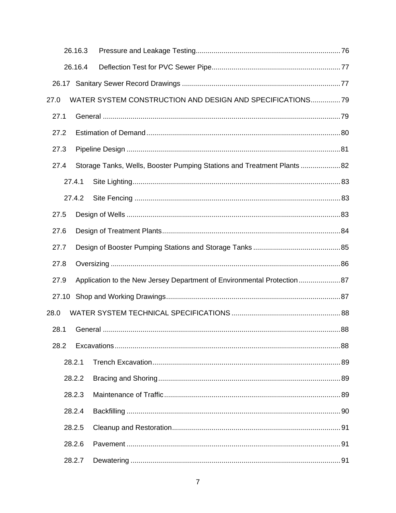|      |       | 26.16.3 |                                                                         |  |
|------|-------|---------|-------------------------------------------------------------------------|--|
|      |       | 26.16.4 |                                                                         |  |
|      |       |         |                                                                         |  |
| 27.0 |       |         | WATER SYSTEM CONSTRUCTION AND DESIGN AND SPECIFICATIONS? 9              |  |
|      | 27.1  |         |                                                                         |  |
|      | 27.2  |         |                                                                         |  |
|      | 27.3  |         |                                                                         |  |
|      | 27.4  |         | Storage Tanks, Wells, Booster Pumping Stations and Treatment Plants  82 |  |
|      |       | 27.4.1  |                                                                         |  |
|      |       | 27.4.2  |                                                                         |  |
|      | 27.5  |         |                                                                         |  |
|      | 27.6  |         |                                                                         |  |
|      | 27.7  |         |                                                                         |  |
|      | 27.8  |         |                                                                         |  |
|      | 27.9  |         | Application to the New Jersey Department of Environmental Protection87  |  |
|      | 27.10 |         |                                                                         |  |
| 28.0 |       |         |                                                                         |  |
|      | 28.1  |         |                                                                         |  |
|      | 28.2  |         |                                                                         |  |
|      |       | 28.2.1  |                                                                         |  |
|      |       | 28.2.2  |                                                                         |  |
|      |       | 28.2.3  |                                                                         |  |
|      |       | 28.2.4  |                                                                         |  |
|      |       | 28.2.5  |                                                                         |  |
|      |       | 28.2.6  |                                                                         |  |
|      |       | 28.2.7  |                                                                         |  |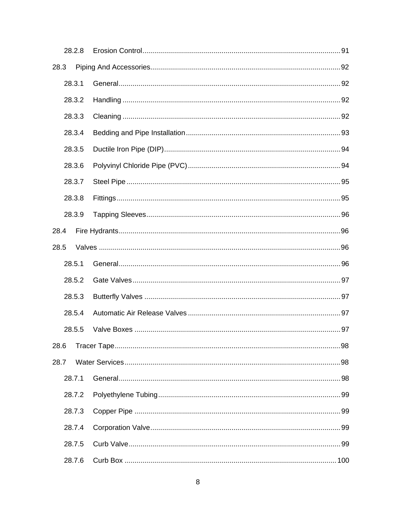|      | 28.2.8 |  |  |
|------|--------|--|--|
| 28.3 |        |  |  |
|      | 28.3.1 |  |  |
|      | 28.3.2 |  |  |
|      | 28.3.3 |  |  |
|      | 28.3.4 |  |  |
|      | 28.3.5 |  |  |
|      | 28.3.6 |  |  |
|      | 28.3.7 |  |  |
|      | 28.3.8 |  |  |
|      | 28.3.9 |  |  |
| 28.4 |        |  |  |
| 28.5 |        |  |  |
|      | 28.5.1 |  |  |
|      |        |  |  |
|      | 28.5.2 |  |  |
|      | 28.5.3 |  |  |
|      | 28.5.4 |  |  |
|      | 28.5.5 |  |  |
| 28.6 |        |  |  |
| 28.7 |        |  |  |
|      | 28.7.1 |  |  |
|      | 28.7.2 |  |  |
|      | 28.7.3 |  |  |
|      | 28.7.4 |  |  |
|      | 28.7.5 |  |  |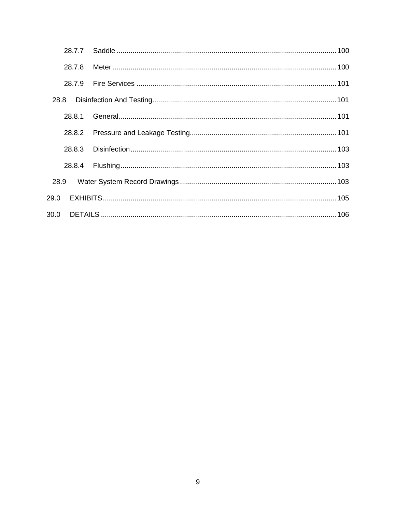| 28.7.8 |  |
|--------|--|
| 28.7.9 |  |
|        |  |
| 28.8.1 |  |
| 28.8.2 |  |
| 28.8.3 |  |
| 28.8.4 |  |
| 28.9   |  |
| 29.0   |  |
|        |  |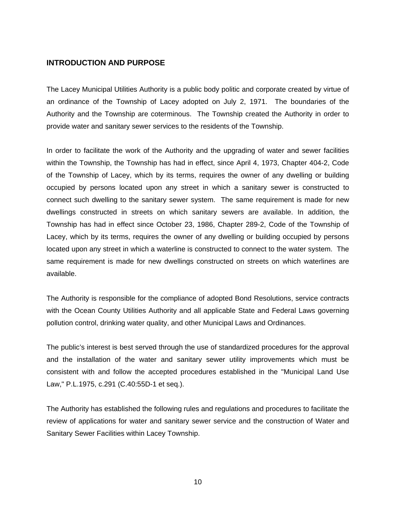# **INTRODUCTION AND PURPOSE**

The Lacey Municipal Utilities Authority is a public body politic and corporate created by virtue of an ordinance of the Township of Lacey adopted on July 2, 1971. The boundaries of the Authority and the Township are coterminous. The Township created the Authority in order to provide water and sanitary sewer services to the residents of the Township.

In order to facilitate the work of the Authority and the upgrading of water and sewer facilities within the Township, the Township has had in effect, since April 4, 1973, Chapter 404-2, Code of the Township of Lacey, which by its terms, requires the owner of any dwelling or building occupied by persons located upon any street in which a sanitary sewer is constructed to connect such dwelling to the sanitary sewer system. The same requirement is made for new dwellings constructed in streets on which sanitary sewers are available. In addition, the Township has had in effect since October 23, 1986, Chapter 289-2, Code of the Township of Lacey, which by its terms, requires the owner of any dwelling or building occupied by persons located upon any street in which a waterline is constructed to connect to the water system. The same requirement is made for new dwellings constructed on streets on which waterlines are available.

The Authority is responsible for the compliance of adopted Bond Resolutions, service contracts with the Ocean County Utilities Authority and all applicable State and Federal Laws governing pollution control, drinking water quality, and other Municipal Laws and Ordinances.

The public's interest is best served through the use of standardized procedures for the approval and the installation of the water and sanitary sewer utility improvements which must be consistent with and follow the accepted procedures established in the "Municipal Land Use Law," P.L.1975, c.291 (C.40:55D-1 et seq.).

The Authority has established the following rules and regulations and procedures to facilitate the review of applications for water and sanitary sewer service and the construction of Water and Sanitary Sewer Facilities within Lacey Township.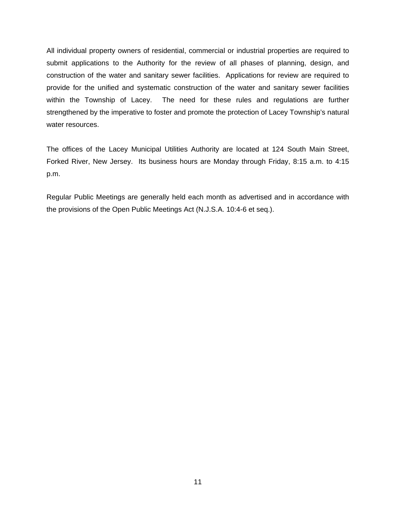All individual property owners of residential, commercial or industrial properties are required to submit applications to the Authority for the review of all phases of planning, design, and construction of the water and sanitary sewer facilities. Applications for review are required to provide for the unified and systematic construction of the water and sanitary sewer facilities within the Township of Lacey. The need for these rules and regulations are further strengthened by the imperative to foster and promote the protection of Lacey Township's natural water resources.

The offices of the Lacey Municipal Utilities Authority are located at 124 South Main Street, Forked River, New Jersey. Its business hours are Monday through Friday, 8:15 a.m. to 4:15 p.m.

Regular Public Meetings are generally held each month as advertised and in accordance with the provisions of the Open Public Meetings Act (N.J.S.A. 10:4-6 et seq.).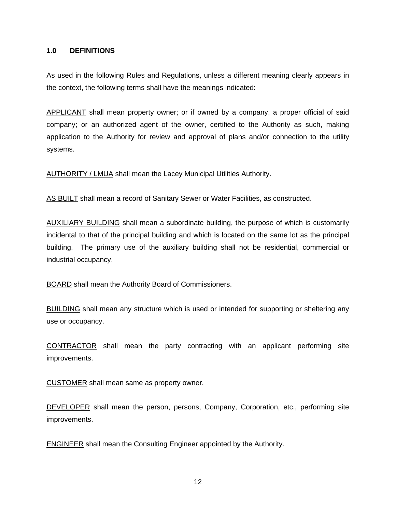### <span id="page-11-0"></span>**1.0 DEFINITIONS**

As used in the following Rules and Regulations, unless a different meaning clearly appears in the context, the following terms shall have the meanings indicated:

APPLICANT shall mean property owner; or if owned by a company, a proper official of said company; or an authorized agent of the owner, certified to the Authority as such, making application to the Authority for review and approval of plans and/or connection to the utility systems.

AUTHORITY / LMUA shall mean the Lacey Municipal Utilities Authority.

AS BUILT shall mean a record of Sanitary Sewer or Water Facilities, as constructed.

AUXILIARY BUILDING shall mean a subordinate building, the purpose of which is customarily incidental to that of the principal building and which is located on the same lot as the principal building. The primary use of the auxiliary building shall not be residential, commercial or industrial occupancy.

BOARD shall mean the Authority Board of Commissioners.

BUILDING shall mean any structure which is used or intended for supporting or sheltering any use or occupancy.

CONTRACTOR shall mean the party contracting with an applicant performing site improvements.

CUSTOMER shall mean same as property owner.

DEVELOPER shall mean the person, persons, Company, Corporation, etc., performing site improvements.

ENGINEER shall mean the Consulting Engineer appointed by the Authority.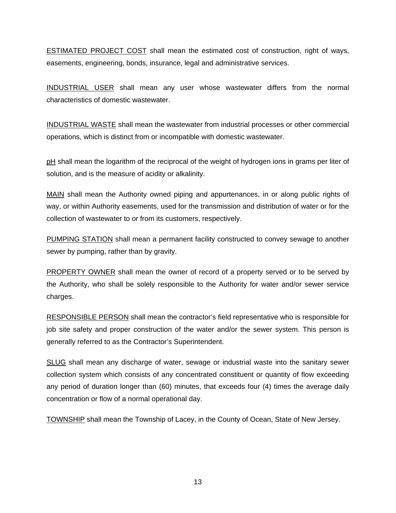ESTIMATED PROJECT COST shall mean the estimated cost of construction, right of ways, easements, engineering, bonds, insurance, legal and administrative services.

INDUSTRIAL USER shall mean any user whose wastewater differs from the normal characteristics of domestic wastewater.

INDUSTRIAL WASTE shall mean the wastewater from industrial processes or other commercial operations, which is distinct from or incompatible with domestic wastewater.

pH shall mean the logarithm of the reciprocal of the weight of hydrogen ions in grams per liter of solution, and is the measure of acidity or alkalinity.

MAIN shall mean the Authority owned piping and appurtenances, in or along public rights of way, or within Authority easements, used for the transmission and distribution of water or for the collection of wastewater to or from its customers, respectively.

PUMPING STATION shall mean a permanent facility constructed to convey sewage to another sewer by pumping, rather than by gravity.

PROPERTY OWNER shall mean the owner of record of a property served or to be served by the Authority, who shall be solely responsible to the Authority for water and/or sewer service charges.

RESPONSIBLE PERSON shall mean the contractor's field representative who is responsible for job site safety and proper construction of the water and/or the sewer system. This person is generally referred to as the Contractor's Superintendent.

SLUG shall mean any discharge of water, sewage or industrial waste into the sanitary sewer collection system which consists of any concentrated constituent or quantity of flow exceeding any period of duration longer than (60) minutes, that exceeds four (4) times the average daily concentration or flow of a normal operational day.

TOWNSHIP shall mean the Township of Lacey, in the County of Ocean, State of New Jersey.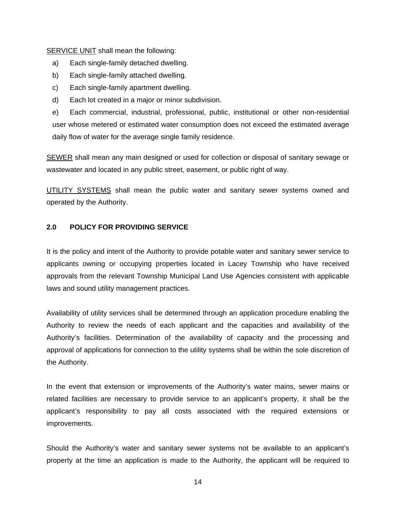<span id="page-13-0"></span>SERVICE UNIT shall mean the following:

- a) Each single-family detached dwelling.
- b) Each single-family attached dwelling.
- c) Each single-family apartment dwelling.
- d) Each lot created in a major or minor subdivision.

e) Each commercial, industrial, professional, public, institutional or other non-residential user whose metered or estimated water consumption does not exceed the estimated average daily flow of water for the average single family residence.

SEWER shall mean any main designed or used for collection or disposal of sanitary sewage or wastewater and located in any public street, easement, or public right of way.

UTILITY SYSTEMS shall mean the public water and sanitary sewer systems owned and operated by the Authority.

## **2.0 POLICY FOR PROVIDING SERVICE**

It is the policy and intent of the Authority to provide potable water and sanitary sewer service to applicants owning or occupying properties located in Lacey Township who have received approvals from the relevant Township Municipal Land Use Agencies consistent with applicable laws and sound utility management practices.

Availability of utility services shall be determined through an application procedure enabling the Authority to review the needs of each applicant and the capacities and availability of the Authority's facilities. Determination of the availability of capacity and the processing and approval of applications for connection to the utility systems shall be within the sole discretion of the Authority.

In the event that extension or improvements of the Authority's water mains, sewer mains or related facilities are necessary to provide service to an applicant's property, it shall be the applicant's responsibility to pay all costs associated with the required extensions or improvements.

Should the Authority's water and sanitary sewer systems not be available to an applicant's property at the time an application is made to the Authority, the applicant will be required to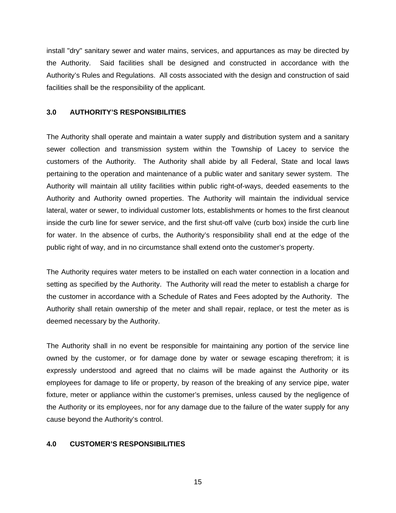<span id="page-14-0"></span>install "dry" sanitary sewer and water mains, services, and appurtances as may be directed by the Authority. Said facilities shall be designed and constructed in accordance with the Authority's Rules and Regulations. All costs associated with the design and construction of said facilities shall be the responsibility of the applicant.

### **3.0 AUTHORITY'S RESPONSIBILITIES**

The Authority shall operate and maintain a water supply and distribution system and a sanitary sewer collection and transmission system within the Township of Lacey to service the customers of the Authority. The Authority shall abide by all Federal, State and local laws pertaining to the operation and maintenance of a public water and sanitary sewer system. The Authority will maintain all utility facilities within public right-of-ways, deeded easements to the Authority and Authority owned properties. The Authority will maintain the individual service lateral, water or sewer, to individual customer lots, establishments or homes to the first cleanout inside the curb line for sewer service, and the first shut-off valve (curb box) inside the curb line for water. In the absence of curbs, the Authority's responsibility shall end at the edge of the public right of way, and in no circumstance shall extend onto the customer's property.

The Authority requires water meters to be installed on each water connection in a location and setting as specified by the Authority. The Authority will read the meter to establish a charge for the customer in accordance with a Schedule of Rates and Fees adopted by the Authority. The Authority shall retain ownership of the meter and shall repair, replace, or test the meter as is deemed necessary by the Authority.

The Authority shall in no event be responsible for maintaining any portion of the service line owned by the customer, or for damage done by water or sewage escaping therefrom; it is expressly understood and agreed that no claims will be made against the Authority or its employees for damage to life or property, by reason of the breaking of any service pipe, water fixture, meter or appliance within the customer's premises, unless caused by the negligence of the Authority or its employees, nor for any damage due to the failure of the water supply for any cause beyond the Authority's control.

# **4.0 CUSTOMER'S RESPONSIBILITIES**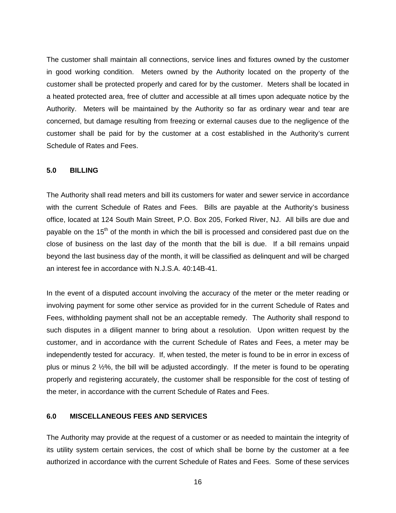<span id="page-15-0"></span>The customer shall maintain all connections, service lines and fixtures owned by the customer in good working condition. Meters owned by the Authority located on the property of the customer shall be protected properly and cared for by the customer. Meters shall be located in a heated protected area, free of clutter and accessible at all times upon adequate notice by the Authority. Meters will be maintained by the Authority so far as ordinary wear and tear are concerned, but damage resulting from freezing or external causes due to the negligence of the customer shall be paid for by the customer at a cost established in the Authority's current Schedule of Rates and Fees.

#### **5.0 BILLING**

The Authority shall read meters and bill its customers for water and sewer service in accordance with the current Schedule of Rates and Fees. Bills are payable at the Authority's business office, located at 124 South Main Street, P.O. Box 205, Forked River, NJ. All bills are due and payable on the 15<sup>th</sup> of the month in which the bill is processed and considered past due on the close of business on the last day of the month that the bill is due. If a bill remains unpaid beyond the last business day of the month, it will be classified as delinquent and will be charged an interest fee in accordance with N.J.S.A. 40:14B-41.

In the event of a disputed account involving the accuracy of the meter or the meter reading or involving payment for some other service as provided for in the current Schedule of Rates and Fees, withholding payment shall not be an acceptable remedy. The Authority shall respond to such disputes in a diligent manner to bring about a resolution. Upon written request by the customer, and in accordance with the current Schedule of Rates and Fees, a meter may be independently tested for accuracy. If, when tested, the meter is found to be in error in excess of plus or minus 2 ½%, the bill will be adjusted accordingly. If the meter is found to be operating properly and registering accurately, the customer shall be responsible for the cost of testing of the meter, in accordance with the current Schedule of Rates and Fees.

### **6.0 MISCELLANEOUS FEES AND SERVICES**

The Authority may provide at the request of a customer or as needed to maintain the integrity of its utility system certain services, the cost of which shall be borne by the customer at a fee authorized in accordance with the current Schedule of Rates and Fees. Some of these services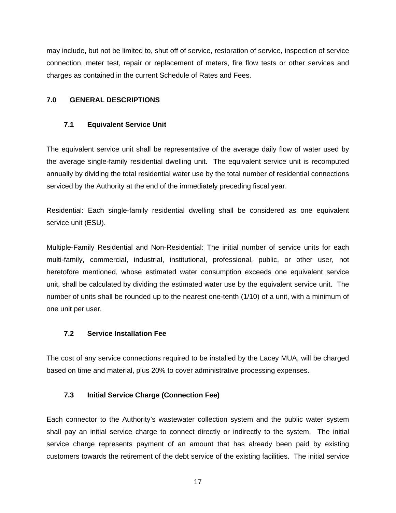<span id="page-16-0"></span>may include, but not be limited to, shut off of service, restoration of service, inspection of service connection, meter test, repair or replacement of meters, fire flow tests or other services and charges as contained in the current Schedule of Rates and Fees.

# **7.0 GENERAL DESCRIPTIONS**

# **7.1 Equivalent Service Unit**

The equivalent service unit shall be representative of the average daily flow of water used by the average single-family residential dwelling unit. The equivalent service unit is recomputed annually by dividing the total residential water use by the total number of residential connections serviced by the Authority at the end of the immediately preceding fiscal year.

Residential: Each single-family residential dwelling shall be considered as one equivalent service unit (ESU).

Multiple-Family Residential and Non-Residential: The initial number of service units for each multi-family, commercial, industrial, institutional, professional, public, or other user, not heretofore mentioned, whose estimated water consumption exceeds one equivalent service unit, shall be calculated by dividing the estimated water use by the equivalent service unit. The number of units shall be rounded up to the nearest one-tenth (1/10) of a unit, with a minimum of one unit per user.

# **7.2 Service Installation Fee**

The cost of any service connections required to be installed by the Lacey MUA, will be charged based on time and material, plus 20% to cover administrative processing expenses.

# **7.3 Initial Service Charge (Connection Fee)**

Each connector to the Authority's wastewater collection system and the public water system shall pay an initial service charge to connect directly or indirectly to the system. The initial service charge represents payment of an amount that has already been paid by existing customers towards the retirement of the debt service of the existing facilities. The initial service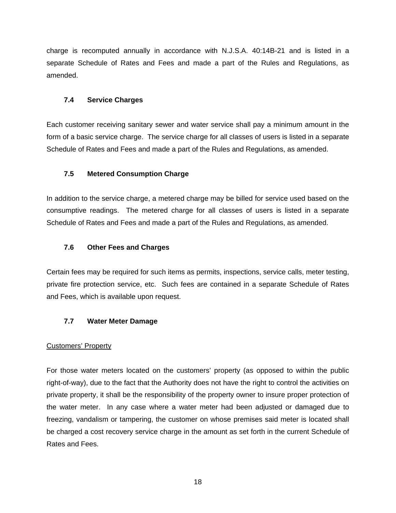<span id="page-17-0"></span>charge is recomputed annually in accordance with N.J.S.A. 40:14B-21 and is listed in a separate Schedule of Rates and Fees and made a part of the Rules and Regulations, as amended.

# **7.4 Service Charges**

Each customer receiving sanitary sewer and water service shall pay a minimum amount in the form of a basic service charge. The service charge for all classes of users is listed in a separate Schedule of Rates and Fees and made a part of the Rules and Regulations, as amended.

# **7.5 Metered Consumption Charge**

In addition to the service charge, a metered charge may be billed for service used based on the consumptive readings. The metered charge for all classes of users is listed in a separate Schedule of Rates and Fees and made a part of the Rules and Regulations, as amended.

# **7.6 Other Fees and Charges**

Certain fees may be required for such items as permits, inspections, service calls, meter testing, private fire protection service, etc. Such fees are contained in a separate Schedule of Rates and Fees, which is available upon request.

# **7.7 Water Meter Damage**

# Customers' Property

For those water meters located on the customers' property (as opposed to within the public right-of-way), due to the fact that the Authority does not have the right to control the activities on private property, it shall be the responsibility of the property owner to insure proper protection of the water meter. In any case where a water meter had been adjusted or damaged due to freezing, vandalism or tampering, the customer on whose premises said meter is located shall be charged a cost recovery service charge in the amount as set forth in the current Schedule of Rates and Fees.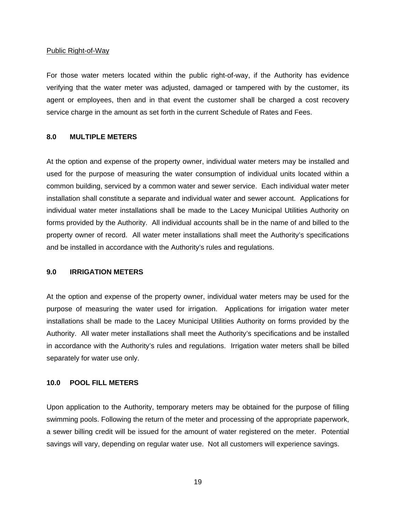#### <span id="page-18-0"></span>Public Right-of-Way

For those water meters located within the public right-of-way, if the Authority has evidence verifying that the water meter was adjusted, damaged or tampered with by the customer, its agent or employees, then and in that event the customer shall be charged a cost recovery service charge in the amount as set forth in the current Schedule of Rates and Fees.

#### **8.0 MULTIPLE METERS**

At the option and expense of the property owner, individual water meters may be installed and used for the purpose of measuring the water consumption of individual units located within a common building, serviced by a common water and sewer service. Each individual water meter installation shall constitute a separate and individual water and sewer account. Applications for individual water meter installations shall be made to the Lacey Municipal Utilities Authority on forms provided by the Authority. All individual accounts shall be in the name of and billed to the property owner of record. All water meter installations shall meet the Authority's specifications and be installed in accordance with the Authority's rules and regulations.

#### **9.0 IRRIGATION METERS**

At the option and expense of the property owner, individual water meters may be used for the purpose of measuring the water used for irrigation. Applications for irrigation water meter installations shall be made to the Lacey Municipal Utilities Authority on forms provided by the Authority. All water meter installations shall meet the Authority's specifications and be installed in accordance with the Authority's rules and regulations. Irrigation water meters shall be billed separately for water use only.

# **10.0 POOL FILL METERS**

Upon application to the Authority, temporary meters may be obtained for the purpose of filling swimming pools. Following the return of the meter and processing of the appropriate paperwork, a sewer billing credit will be issued for the amount of water registered on the meter. Potential savings will vary, depending on regular water use. Not all customers will experience savings.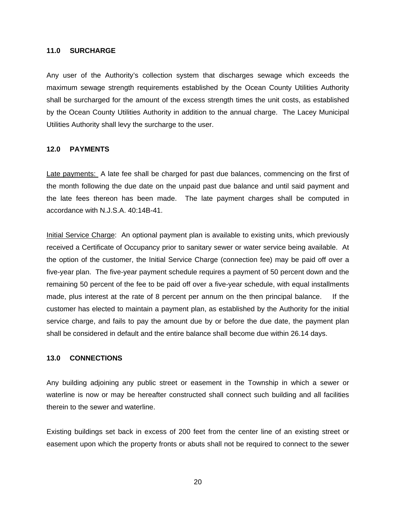#### <span id="page-19-0"></span>**11.0 SURCHARGE**

Any user of the Authority's collection system that discharges sewage which exceeds the maximum sewage strength requirements established by the Ocean County Utilities Authority shall be surcharged for the amount of the excess strength times the unit costs, as established by the Ocean County Utilities Authority in addition to the annual charge. The Lacey Municipal Utilities Authority shall levy the surcharge to the user.

#### **12.0 PAYMENTS**

Late payments: A late fee shall be charged for past due balances, commencing on the first of the month following the due date on the unpaid past due balance and until said payment and the late fees thereon has been made. The late payment charges shall be computed in accordance with N.J.S.A. 40:14B-41.

Initial Service Charge: An optional payment plan is available to existing units, which previously received a Certificate of Occupancy prior to sanitary sewer or water service being available. At the option of the customer, the Initial Service Charge (connection fee) may be paid off over a five-year plan. The five-year payment schedule requires a payment of 50 percent down and the remaining 50 percent of the fee to be paid off over a five-year schedule, with equal installments made, plus interest at the rate of 8 percent per annum on the then principal balance. If the customer has elected to maintain a payment plan, as established by the Authority for the initial service charge, and fails to pay the amount due by or before the due date, the payment plan shall be considered in default and the entire balance shall become due within 26.14 days.

#### **13.0 CONNECTIONS**

Any building adjoining any public street or easement in the Township in which a sewer or waterline is now or may be hereafter constructed shall connect such building and all facilities therein to the sewer and waterline.

Existing buildings set back in excess of 200 feet from the center line of an existing street or easement upon which the property fronts or abuts shall not be required to connect to the sewer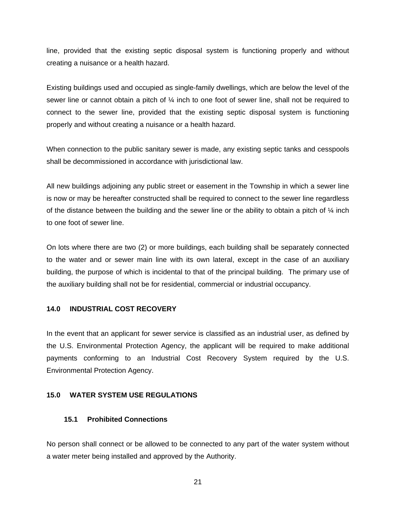<span id="page-20-0"></span>line, provided that the existing septic disposal system is functioning properly and without creating a nuisance or a health hazard.

Existing buildings used and occupied as single-family dwellings, which are below the level of the sewer line or cannot obtain a pitch of ¼ inch to one foot of sewer line, shall not be required to connect to the sewer line, provided that the existing septic disposal system is functioning properly and without creating a nuisance or a health hazard.

When connection to the public sanitary sewer is made, any existing septic tanks and cesspools shall be decommissioned in accordance with jurisdictional law.

All new buildings adjoining any public street or easement in the Township in which a sewer line is now or may be hereafter constructed shall be required to connect to the sewer line regardless of the distance between the building and the sewer line or the ability to obtain a pitch of  $\frac{1}{4}$  inch to one foot of sewer line.

On lots where there are two (2) or more buildings, each building shall be separately connected to the water and or sewer main line with its own lateral, except in the case of an auxiliary building, the purpose of which is incidental to that of the principal building. The primary use of the auxiliary building shall not be for residential, commercial or industrial occupancy.

#### **14.0 INDUSTRIAL COST RECOVERY**

In the event that an applicant for sewer service is classified as an industrial user, as defined by the U.S. Environmental Protection Agency, the applicant will be required to make additional payments conforming to an Industrial Cost Recovery System required by the U.S. Environmental Protection Agency.

#### **15.0 WATER SYSTEM USE REGULATIONS**

#### **15.1 Prohibited Connections**

No person shall connect or be allowed to be connected to any part of the water system without a water meter being installed and approved by the Authority.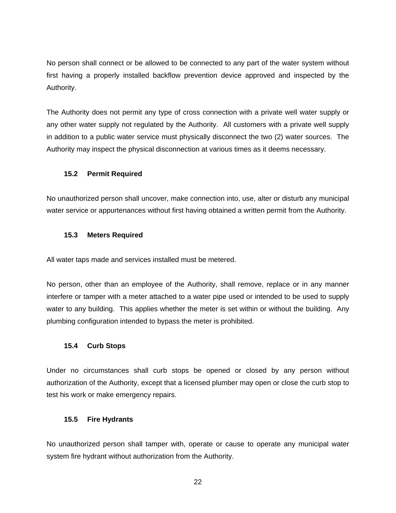<span id="page-21-0"></span>No person shall connect or be allowed to be connected to any part of the water system without first having a properly installed backflow prevention device approved and inspected by the Authority.

The Authority does not permit any type of cross connection with a private well water supply or any other water supply not regulated by the Authority. All customers with a private well supply in addition to a public water service must physically disconnect the two (2) water sources. The Authority may inspect the physical disconnection at various times as it deems necessary.

# **15.2 Permit Required**

No unauthorized person shall uncover, make connection into, use, alter or disturb any municipal water service or appurtenances without first having obtained a written permit from the Authority.

## **15.3 Meters Required**

All water taps made and services installed must be metered.

No person, other than an employee of the Authority, shall remove, replace or in any manner interfere or tamper with a meter attached to a water pipe used or intended to be used to supply water to any building. This applies whether the meter is set within or without the building. Any plumbing configuration intended to bypass the meter is prohibited.

# **15.4 Curb Stops**

Under no circumstances shall curb stops be opened or closed by any person without authorization of the Authority, except that a licensed plumber may open or close the curb stop to test his work or make emergency repairs.

#### **15.5 Fire Hydrants**

No unauthorized person shall tamper with, operate or cause to operate any municipal water system fire hydrant without authorization from the Authority.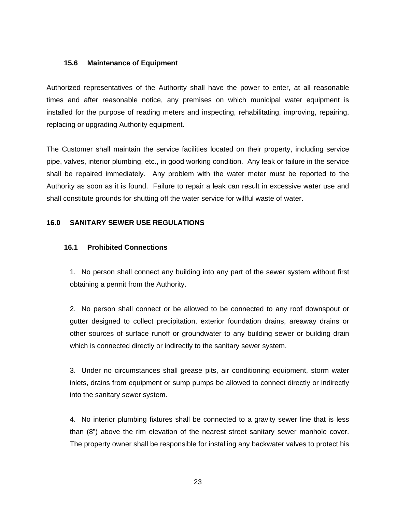## <span id="page-22-0"></span>**15.6 Maintenance of Equipment**

Authorized representatives of the Authority shall have the power to enter, at all reasonable times and after reasonable notice, any premises on which municipal water equipment is installed for the purpose of reading meters and inspecting, rehabilitating, improving, repairing, replacing or upgrading Authority equipment.

The Customer shall maintain the service facilities located on their property, including service pipe, valves, interior plumbing, etc., in good working condition. Any leak or failure in the service shall be repaired immediately. Any problem with the water meter must be reported to the Authority as soon as it is found. Failure to repair a leak can result in excessive water use and shall constitute grounds for shutting off the water service for willful waste of water.

# **16.0 SANITARY SEWER USE REGULATIONS**

## **16.1 Prohibited Connections**

1. No person shall connect any building into any part of the sewer system without first obtaining a permit from the Authority.

2. No person shall connect or be allowed to be connected to any roof downspout or gutter designed to collect precipitation, exterior foundation drains, areaway drains or other sources of surface runoff or groundwater to any building sewer or building drain which is connected directly or indirectly to the sanitary sewer system.

3. Under no circumstances shall grease pits, air conditioning equipment, storm water inlets, drains from equipment or sump pumps be allowed to connect directly or indirectly into the sanitary sewer system.

4. No interior plumbing fixtures shall be connected to a gravity sewer line that is less than (8") above the rim elevation of the nearest street sanitary sewer manhole cover. The property owner shall be responsible for installing any backwater valves to protect his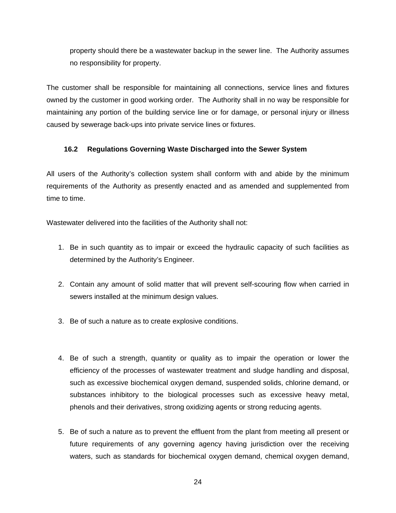<span id="page-23-0"></span>property should there be a wastewater backup in the sewer line. The Authority assumes no responsibility for property.

The customer shall be responsible for maintaining all connections, service lines and fixtures owned by the customer in good working order. The Authority shall in no way be responsible for maintaining any portion of the building service line or for damage, or personal injury or illness caused by sewerage back-ups into private service lines or fixtures.

# **16.2 Regulations Governing Waste Discharged into the Sewer System**

All users of the Authority's collection system shall conform with and abide by the minimum requirements of the Authority as presently enacted and as amended and supplemented from time to time.

Wastewater delivered into the facilities of the Authority shall not:

- 1. Be in such quantity as to impair or exceed the hydraulic capacity of such facilities as determined by the Authority's Engineer.
- 2. Contain any amount of solid matter that will prevent self-scouring flow when carried in sewers installed at the minimum design values.
- 3. Be of such a nature as to create explosive conditions.
- 4. Be of such a strength, quantity or quality as to impair the operation or lower the efficiency of the processes of wastewater treatment and sludge handling and disposal, such as excessive biochemical oxygen demand, suspended solids, chlorine demand, or substances inhibitory to the biological processes such as excessive heavy metal, phenols and their derivatives, strong oxidizing agents or strong reducing agents.
- 5. Be of such a nature as to prevent the effluent from the plant from meeting all present or future requirements of any governing agency having jurisdiction over the receiving waters, such as standards for biochemical oxygen demand, chemical oxygen demand,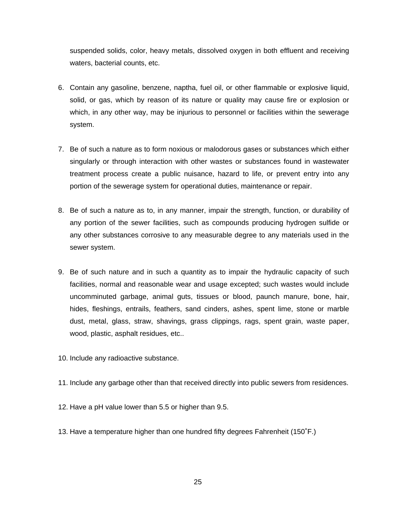suspended solids, color, heavy metals, dissolved oxygen in both effluent and receiving waters, bacterial counts, etc.

- 6. Contain any gasoline, benzene, naptha, fuel oil, or other flammable or explosive liquid, solid, or gas, which by reason of its nature or quality may cause fire or explosion or which, in any other way, may be injurious to personnel or facilities within the sewerage system.
- 7. Be of such a nature as to form noxious or malodorous gases or substances which either singularly or through interaction with other wastes or substances found in wastewater treatment process create a public nuisance, hazard to life, or prevent entry into any portion of the sewerage system for operational duties, maintenance or repair.
- 8. Be of such a nature as to, in any manner, impair the strength, function, or durability of any portion of the sewer facilities, such as compounds producing hydrogen sulfide or any other substances corrosive to any measurable degree to any materials used in the sewer system.
- 9. Be of such nature and in such a quantity as to impair the hydraulic capacity of such facilities, normal and reasonable wear and usage excepted; such wastes would include uncomminuted garbage, animal guts, tissues or blood, paunch manure, bone, hair, hides, fleshings, entrails, feathers, sand cinders, ashes, spent lime, stone or marble dust, metal, glass, straw, shavings, grass clippings, rags, spent grain, waste paper, wood, plastic, asphalt residues, etc..
- 10. Include any radioactive substance.
- 11. Include any garbage other than that received directly into public sewers from residences.
- 12. Have a pH value lower than 5.5 or higher than 9.5.
- 13. Have a temperature higher than one hundred fifty degrees Fahrenheit (150˚F.)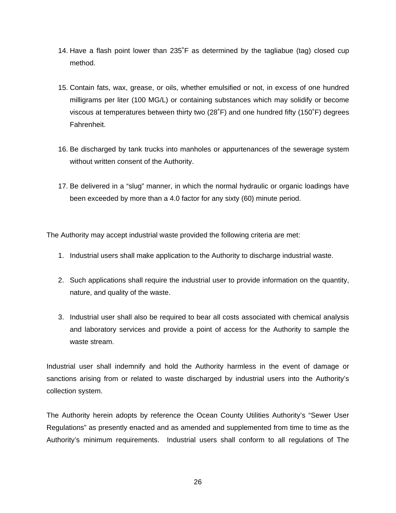- 14. Have a flash point lower than 235˚F as determined by the tagliabue (tag) closed cup method.
- 15. Contain fats, wax, grease, or oils, whether emulsified or not, in excess of one hundred milligrams per liter (100 MG/L) or containing substances which may solidify or become viscous at temperatures between thirty two (28˚F) and one hundred fifty (150˚F) degrees Fahrenheit.
- 16. Be discharged by tank trucks into manholes or appurtenances of the sewerage system without written consent of the Authority.
- 17. Be delivered in a "slug" manner, in which the normal hydraulic or organic loadings have been exceeded by more than a 4.0 factor for any sixty (60) minute period.

The Authority may accept industrial waste provided the following criteria are met:

- 1. Industrial users shall make application to the Authority to discharge industrial waste.
- 2. Such applications shall require the industrial user to provide information on the quantity, nature, and quality of the waste.
- 3. Industrial user shall also be required to bear all costs associated with chemical analysis and laboratory services and provide a point of access for the Authority to sample the waste stream.

Industrial user shall indemnify and hold the Authority harmless in the event of damage or sanctions arising from or related to waste discharged by industrial users into the Authority's collection system.

The Authority herein adopts by reference the Ocean County Utilities Authority's "Sewer User Regulations" as presently enacted and as amended and supplemented from time to time as the Authority's minimum requirements. Industrial users shall conform to all regulations of The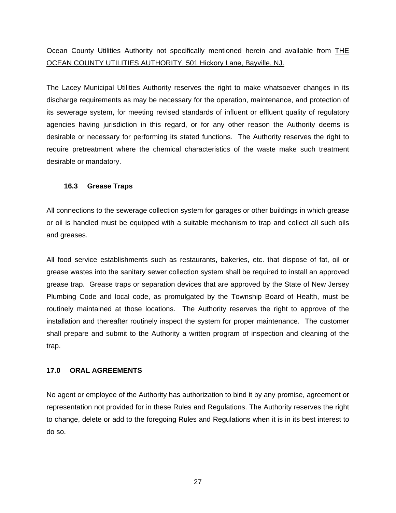<span id="page-26-0"></span>Ocean County Utilities Authority not specifically mentioned herein and available from THE OCEAN COUNTY UTILITIES AUTHORITY, 501 Hickory Lane, Bayville, NJ.

The Lacey Municipal Utilities Authority reserves the right to make whatsoever changes in its discharge requirements as may be necessary for the operation, maintenance, and protection of its sewerage system, for meeting revised standards of influent or effluent quality of regulatory agencies having jurisdiction in this regard, or for any other reason the Authority deems is desirable or necessary for performing its stated functions. The Authority reserves the right to require pretreatment where the chemical characteristics of the waste make such treatment desirable or mandatory.

# **16.3 Grease Traps**

All connections to the sewerage collection system for garages or other buildings in which grease or oil is handled must be equipped with a suitable mechanism to trap and collect all such oils and greases.

All food service establishments such as restaurants, bakeries, etc. that dispose of fat, oil or grease wastes into the sanitary sewer collection system shall be required to install an approved grease trap. Grease traps or separation devices that are approved by the State of New Jersey Plumbing Code and local code, as promulgated by the Township Board of Health, must be routinely maintained at those locations. The Authority reserves the right to approve of the installation and thereafter routinely inspect the system for proper maintenance. The customer shall prepare and submit to the Authority a written program of inspection and cleaning of the trap.

# **17.0 ORAL AGREEMENTS**

No agent or employee of the Authority has authorization to bind it by any promise, agreement or representation not provided for in these Rules and Regulations. The Authority reserves the right to change, delete or add to the foregoing Rules and Regulations when it is in its best interest to do so.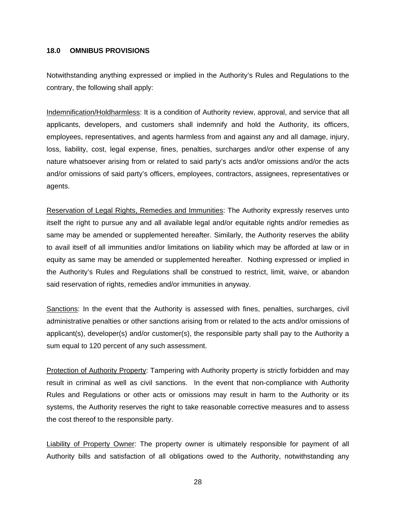#### <span id="page-27-0"></span>**18.0 OMNIBUS PROVISIONS**

Notwithstanding anything expressed or implied in the Authority's Rules and Regulations to the contrary, the following shall apply:

Indemnification/Holdharmless: It is a condition of Authority review, approval, and service that all applicants, developers, and customers shall indemnify and hold the Authority, its officers, employees, representatives, and agents harmless from and against any and all damage, injury, loss, liability, cost, legal expense, fines, penalties, surcharges and/or other expense of any nature whatsoever arising from or related to said party's acts and/or omissions and/or the acts and/or omissions of said party's officers, employees, contractors, assignees, representatives or agents.

Reservation of Legal Rights, Remedies and Immunities: The Authority expressly reserves unto itself the right to pursue any and all available legal and/or equitable rights and/or remedies as same may be amended or supplemented hereafter. Similarly, the Authority reserves the ability to avail itself of all immunities and/or limitations on liability which may be afforded at law or in equity as same may be amended or supplemented hereafter. Nothing expressed or implied in the Authority's Rules and Regulations shall be construed to restrict, limit, waive, or abandon said reservation of rights, remedies and/or immunities in anyway.

Sanctions: In the event that the Authority is assessed with fines, penalties, surcharges, civil administrative penalties or other sanctions arising from or related to the acts and/or omissions of applicant(s), developer(s) and/or customer(s), the responsible party shall pay to the Authority a sum equal to 120 percent of any such assessment.

Protection of Authority Property: Tampering with Authority property is strictly forbidden and may result in criminal as well as civil sanctions. In the event that non-compliance with Authority Rules and Regulations or other acts or omissions may result in harm to the Authority or its systems, the Authority reserves the right to take reasonable corrective measures and to assess the cost thereof to the responsible party.

Liability of Property Owner: The property owner is ultimately responsible for payment of all Authority bills and satisfaction of all obligations owed to the Authority, notwithstanding any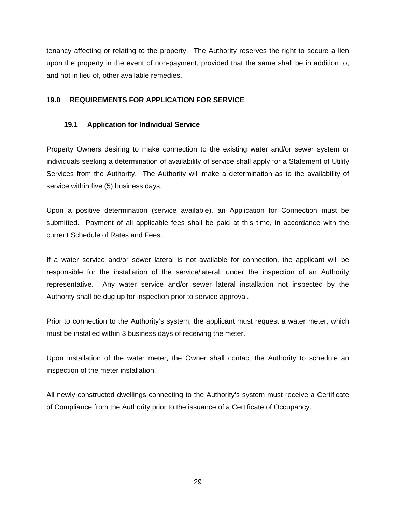<span id="page-28-0"></span>tenancy affecting or relating to the property. The Authority reserves the right to secure a lien upon the property in the event of non-payment, provided that the same shall be in addition to, and not in lieu of, other available remedies.

# **19.0 REQUIREMENTS FOR APPLICATION FOR SERVICE**

# **19.1 Application for Individual Service**

Property Owners desiring to make connection to the existing water and/or sewer system or individuals seeking a determination of availability of service shall apply for a Statement of Utility Services from the Authority. The Authority will make a determination as to the availability of service within five (5) business days.

Upon a positive determination (service available), an Application for Connection must be submitted. Payment of all applicable fees shall be paid at this time, in accordance with the current Schedule of Rates and Fees.

If a water service and/or sewer lateral is not available for connection, the applicant will be responsible for the installation of the service/lateral, under the inspection of an Authority representative. Any water service and/or sewer lateral installation not inspected by the Authority shall be dug up for inspection prior to service approval.

Prior to connection to the Authority's system, the applicant must request a water meter, which must be installed within 3 business days of receiving the meter.

Upon installation of the water meter, the Owner shall contact the Authority to schedule an inspection of the meter installation.

All newly constructed dwellings connecting to the Authority's system must receive a Certificate of Compliance from the Authority prior to the issuance of a Certificate of Occupancy.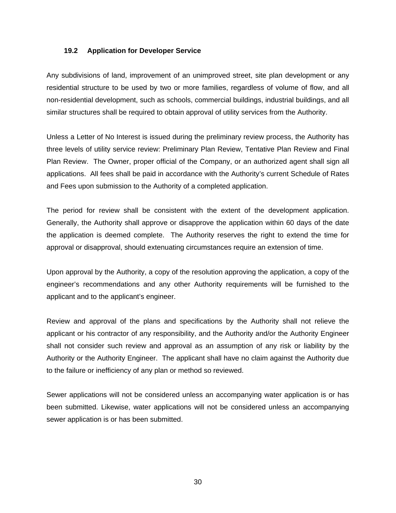## <span id="page-29-0"></span>**19.2 Application for Developer Service**

Any subdivisions of land, improvement of an unimproved street, site plan development or any residential structure to be used by two or more families, regardless of volume of flow, and all non-residential development, such as schools, commercial buildings, industrial buildings, and all similar structures shall be required to obtain approval of utility services from the Authority.

Unless a Letter of No Interest is issued during the preliminary review process, the Authority has three levels of utility service review: Preliminary Plan Review, Tentative Plan Review and Final Plan Review. The Owner, proper official of the Company, or an authorized agent shall sign all applications. All fees shall be paid in accordance with the Authority's current Schedule of Rates and Fees upon submission to the Authority of a completed application.

The period for review shall be consistent with the extent of the development application. Generally, the Authority shall approve or disapprove the application within 60 days of the date the application is deemed complete. The Authority reserves the right to extend the time for approval or disapproval, should extenuating circumstances require an extension of time.

Upon approval by the Authority, a copy of the resolution approving the application, a copy of the engineer's recommendations and any other Authority requirements will be furnished to the applicant and to the applicant's engineer.

Review and approval of the plans and specifications by the Authority shall not relieve the applicant or his contractor of any responsibility, and the Authority and/or the Authority Engineer shall not consider such review and approval as an assumption of any risk or liability by the Authority or the Authority Engineer. The applicant shall have no claim against the Authority due to the failure or inefficiency of any plan or method so reviewed.

Sewer applications will not be considered unless an accompanying water application is or has been submitted. Likewise, water applications will not be considered unless an accompanying sewer application is or has been submitted.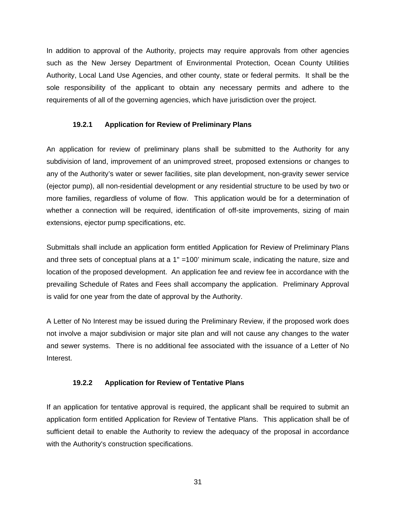<span id="page-30-0"></span>In addition to approval of the Authority, projects may require approvals from other agencies such as the New Jersey Department of Environmental Protection, Ocean County Utilities Authority, Local Land Use Agencies, and other county, state or federal permits. It shall be the sole responsibility of the applicant to obtain any necessary permits and adhere to the requirements of all of the governing agencies, which have jurisdiction over the project.

# **19.2.1 Application for Review of Preliminary Plans**

An application for review of preliminary plans shall be submitted to the Authority for any subdivision of land, improvement of an unimproved street, proposed extensions or changes to any of the Authority's water or sewer facilities, site plan development, non-gravity sewer service (ejector pump), all non-residential development or any residential structure to be used by two or more families, regardless of volume of flow. This application would be for a determination of whether a connection will be required, identification of off-site improvements, sizing of main extensions, ejector pump specifications, etc.

Submittals shall include an application form entitled Application for Review of Preliminary Plans and three sets of conceptual plans at a 1" = 100' minimum scale, indicating the nature, size and location of the proposed development. An application fee and review fee in accordance with the prevailing Schedule of Rates and Fees shall accompany the application. Preliminary Approval is valid for one year from the date of approval by the Authority.

A Letter of No Interest may be issued during the Preliminary Review, if the proposed work does not involve a major subdivision or major site plan and will not cause any changes to the water and sewer systems. There is no additional fee associated with the issuance of a Letter of No Interest.

#### **19.2.2 Application for Review of Tentative Plans**

If an application for tentative approval is required, the applicant shall be required to submit an application form entitled Application for Review of Tentative Plans. This application shall be of sufficient detail to enable the Authority to review the adequacy of the proposal in accordance with the Authority's construction specifications.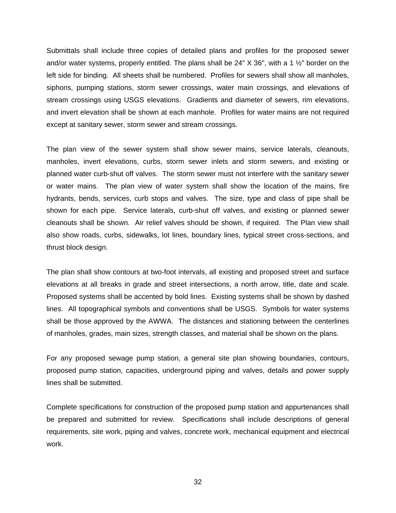Submittals shall include three copies of detailed plans and profiles for the proposed sewer and/or water systems, properly entitled. The plans shall be  $24" X 36"$ , with a 1  $\frac{1}{2}$ " border on the left side for binding. All sheets shall be numbered. Profiles for sewers shall show all manholes, siphons, pumping stations, storm sewer crossings, water main crossings, and elevations of stream crossings using USGS elevations. Gradients and diameter of sewers, rim elevations, and invert elevation shall be shown at each manhole. Profiles for water mains are not required except at sanitary sewer, storm sewer and stream crossings.

The plan view of the sewer system shall show sewer mains, service laterals, cleanouts, manholes, invert elevations, curbs, storm sewer inlets and storm sewers, and existing or planned water curb-shut off valves. The storm sewer must not interfere with the sanitary sewer or water mains. The plan view of water system shall show the location of the mains, fire hydrants, bends, services, curb stops and valves. The size, type and class of pipe shall be shown for each pipe. Service laterals, curb-shut off valves, and existing or planned sewer cleanouts shall be shown. Air relief valves should be shown, if required. The Plan view shall also show roads, curbs, sidewalks, lot lines, boundary lines, typical street cross-sections, and thrust block design.

The plan shall show contours at two-foot intervals, all existing and proposed street and surface elevations at all breaks in grade and street intersections, a north arrow, title, date and scale. Proposed systems shall be accented by bold lines. Existing systems shall be shown by dashed lines. All topographical symbols and conventions shall be USGS. Symbols for water systems shall be those approved by the AWWA. The distances and stationing between the centerlines of manholes, grades, main sizes, strength classes, and material shall be shown on the plans.

For any proposed sewage pump station, a general site plan showing boundaries, contours, proposed pump station, capacities, underground piping and valves, details and power supply lines shall be submitted.

Complete specifications for construction of the proposed pump station and appurtenances shall be prepared and submitted for review. Specifications shall include descriptions of general requirements, site work, piping and valves, concrete work, mechanical equipment and electrical work.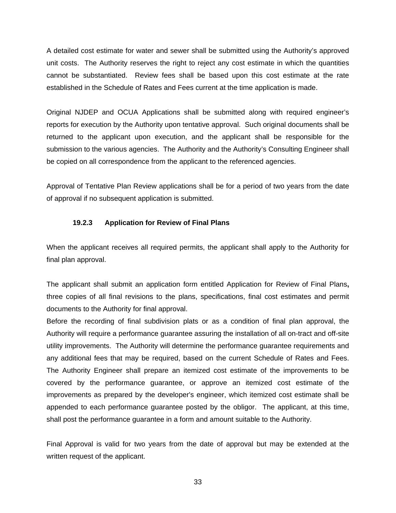<span id="page-32-0"></span>A detailed cost estimate for water and sewer shall be submitted using the Authority's approved unit costs. The Authority reserves the right to reject any cost estimate in which the quantities cannot be substantiated. Review fees shall be based upon this cost estimate at the rate established in the Schedule of Rates and Fees current at the time application is made.

Original NJDEP and OCUA Applications shall be submitted along with required engineer's reports for execution by the Authority upon tentative approval. Such original documents shall be returned to the applicant upon execution, and the applicant shall be responsible for the submission to the various agencies. The Authority and the Authority's Consulting Engineer shall be copied on all correspondence from the applicant to the referenced agencies.

Approval of Tentative Plan Review applications shall be for a period of two years from the date of approval if no subsequent application is submitted.

## **19.2.3 Application for Review of Final Plans**

When the applicant receives all required permits, the applicant shall apply to the Authority for final plan approval.

The applicant shall submit an application form entitled Application for Review of Final Plans**,** three copies of all final revisions to the plans, specifications, final cost estimates and permit documents to the Authority for final approval.

Before the recording of final subdivision plats or as a condition of final plan approval, the Authority will require a performance guarantee assuring the installation of all on-tract and off-site utility improvements. The Authority will determine the performance guarantee requirements and any additional fees that may be required, based on the current Schedule of Rates and Fees. The Authority Engineer shall prepare an itemized cost estimate of the improvements to be covered by the performance guarantee, or approve an itemized cost estimate of the improvements as prepared by the developer's engineer, which itemized cost estimate shall be appended to each performance guarantee posted by the obligor. The applicant, at this time, shall post the performance guarantee in a form and amount suitable to the Authority.

Final Approval is valid for two years from the date of approval but may be extended at the written request of the applicant.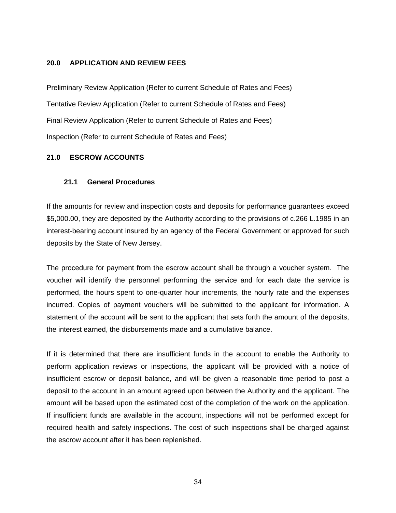## <span id="page-33-0"></span>**20.0 APPLICATION AND REVIEW FEES**

Preliminary Review Application (Refer to current Schedule of Rates and Fees) Tentative Review Application (Refer to current Schedule of Rates and Fees) Final Review Application (Refer to current Schedule of Rates and Fees) Inspection (Refer to current Schedule of Rates and Fees)

# **21.0 ESCROW ACCOUNTS**

## **21.1 General Procedures**

If the amounts for review and inspection costs and deposits for performance guarantees exceed \$5,000.00, they are deposited by the Authority according to the provisions of c.266 L.1985 in an interest-bearing account insured by an agency of the Federal Government or approved for such deposits by the State of New Jersey.

The procedure for payment from the escrow account shall be through a voucher system. The voucher will identify the personnel performing the service and for each date the service is performed, the hours spent to one-quarter hour increments, the hourly rate and the expenses incurred. Copies of payment vouchers will be submitted to the applicant for information. A statement of the account will be sent to the applicant that sets forth the amount of the deposits, the interest earned, the disbursements made and a cumulative balance.

If it is determined that there are insufficient funds in the account to enable the Authority to perform application reviews or inspections, the applicant will be provided with a notice of insufficient escrow or deposit balance, and will be given a reasonable time period to post a deposit to the account in an amount agreed upon between the Authority and the applicant. The amount will be based upon the estimated cost of the completion of the work on the application. If insufficient funds are available in the account, inspections will not be performed except for required health and safety inspections. The cost of such inspections shall be charged against the escrow account after it has been replenished.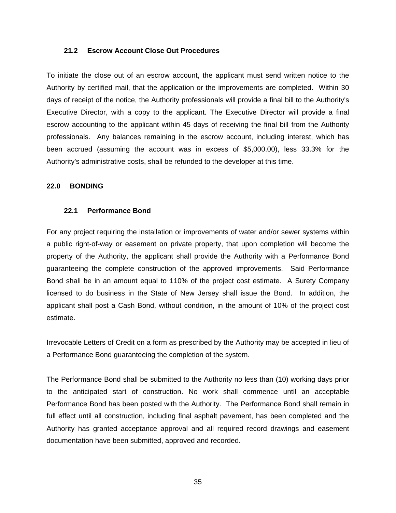#### <span id="page-34-0"></span>**21.2 Escrow Account Close Out Procedures**

To initiate the close out of an escrow account, the applicant must send written notice to the Authority by certified mail, that the application or the improvements are completed. Within 30 days of receipt of the notice, the Authority professionals will provide a final bill to the Authority's Executive Director, with a copy to the applicant. The Executive Director will provide a final escrow accounting to the applicant within 45 days of receiving the final bill from the Authority professionals. Any balances remaining in the escrow account, including interest, which has been accrued (assuming the account was in excess of \$5,000.00), less 33.3% for the Authority's administrative costs, shall be refunded to the developer at this time.

#### **22.0 BONDING**

#### **22.1 Performance Bond**

For any project requiring the installation or improvements of water and/or sewer systems within a public right-of-way or easement on private property, that upon completion will become the property of the Authority, the applicant shall provide the Authority with a Performance Bond guaranteeing the complete construction of the approved improvements. Said Performance Bond shall be in an amount equal to 110% of the project cost estimate. A Surety Company licensed to do business in the State of New Jersey shall issue the Bond. In addition, the applicant shall post a Cash Bond, without condition, in the amount of 10% of the project cost estimate.

Irrevocable Letters of Credit on a form as prescribed by the Authority may be accepted in lieu of a Performance Bond guaranteeing the completion of the system.

The Performance Bond shall be submitted to the Authority no less than (10) working days prior to the anticipated start of construction. No work shall commence until an acceptable Performance Bond has been posted with the Authority. The Performance Bond shall remain in full effect until all construction, including final asphalt pavement, has been completed and the Authority has granted acceptance approval and all required record drawings and easement documentation have been submitted, approved and recorded.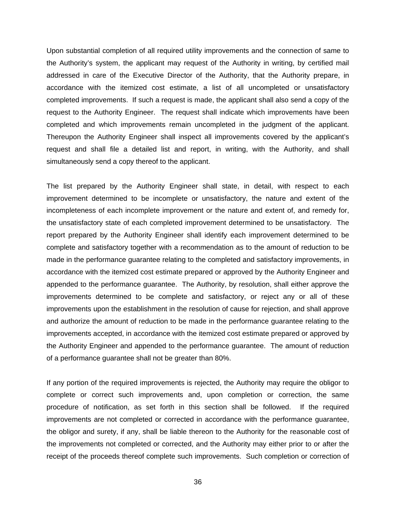Upon substantial completion of all required utility improvements and the connection of same to the Authority's system, the applicant may request of the Authority in writing, by certified mail addressed in care of the Executive Director of the Authority, that the Authority prepare, in accordance with the itemized cost estimate, a list of all uncompleted or unsatisfactory completed improvements. If such a request is made, the applicant shall also send a copy of the request to the Authority Engineer. The request shall indicate which improvements have been completed and which improvements remain uncompleted in the judgment of the applicant. Thereupon the Authority Engineer shall inspect all improvements covered by the applicant's request and shall file a detailed list and report, in writing, with the Authority, and shall simultaneously send a copy thereof to the applicant.

The list prepared by the Authority Engineer shall state, in detail, with respect to each improvement determined to be incomplete or unsatisfactory, the nature and extent of the incompleteness of each incomplete improvement or the nature and extent of, and remedy for, the unsatisfactory state of each completed improvement determined to be unsatisfactory. The report prepared by the Authority Engineer shall identify each improvement determined to be complete and satisfactory together with a recommendation as to the amount of reduction to be made in the performance guarantee relating to the completed and satisfactory improvements, in accordance with the itemized cost estimate prepared or approved by the Authority Engineer and appended to the performance guarantee. The Authority, by resolution, shall either approve the improvements determined to be complete and satisfactory, or reject any or all of these improvements upon the establishment in the resolution of cause for rejection, and shall approve and authorize the amount of reduction to be made in the performance guarantee relating to the improvements accepted, in accordance with the itemized cost estimate prepared or approved by the Authority Engineer and appended to the performance guarantee. The amount of reduction of a performance guarantee shall not be greater than 80%.

If any portion of the required improvements is rejected, the Authority may require the obligor to complete or correct such improvements and, upon completion or correction, the same procedure of notification, as set forth in this section shall be followed. If the required improvements are not completed or corrected in accordance with the performance guarantee, the obligor and surety, if any, shall be liable thereon to the Authority for the reasonable cost of the improvements not completed or corrected, and the Authority may either prior to or after the receipt of the proceeds thereof complete such improvements. Such completion or correction of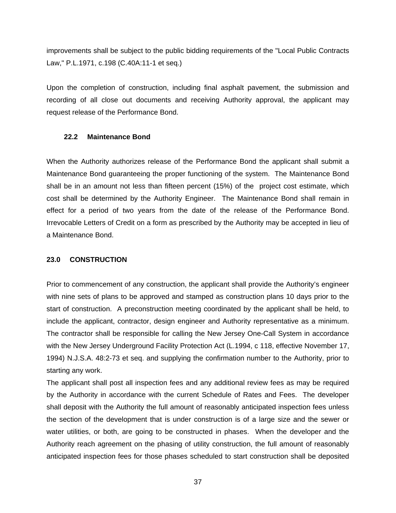improvements shall be subject to the public bidding requirements of the "Local Public Contracts Law," P.L.1971, c.198 (C.40A:11-1 et seq.)

Upon the completion of construction, including final asphalt pavement, the submission and recording of all close out documents and receiving Authority approval, the applicant may request release of the Performance Bond.

#### **22.2 Maintenance Bond**

When the Authority authorizes release of the Performance Bond the applicant shall submit a Maintenance Bond guaranteeing the proper functioning of the system. The Maintenance Bond shall be in an amount not less than fifteen percent (15%) of the project cost estimate, which cost shall be determined by the Authority Engineer. The Maintenance Bond shall remain in effect for a period of two years from the date of the release of the Performance Bond. Irrevocable Letters of Credit on a form as prescribed by the Authority may be accepted in lieu of a Maintenance Bond.

### **23.0 CONSTRUCTION**

Prior to commencement of any construction, the applicant shall provide the Authority's engineer with nine sets of plans to be approved and stamped as construction plans 10 days prior to the start of construction. A preconstruction meeting coordinated by the applicant shall be held, to include the applicant, contractor, design engineer and Authority representative as a minimum. The contractor shall be responsible for calling the New Jersey One-Call System in accordance with the New Jersey Underground Facility Protection Act (L.1994, c 118, effective November 17, 1994) N.J.S.A. 48:2-73 et seq. and supplying the confirmation number to the Authority, prior to starting any work.

The applicant shall post all inspection fees and any additional review fees as may be required by the Authority in accordance with the current Schedule of Rates and Fees. The developer shall deposit with the Authority the full amount of reasonably anticipated inspection fees unless the section of the development that is under construction is of a large size and the sewer or water utilities, or both, are going to be constructed in phases. When the developer and the Authority reach agreement on the phasing of utility construction, the full amount of reasonably anticipated inspection fees for those phases scheduled to start construction shall be deposited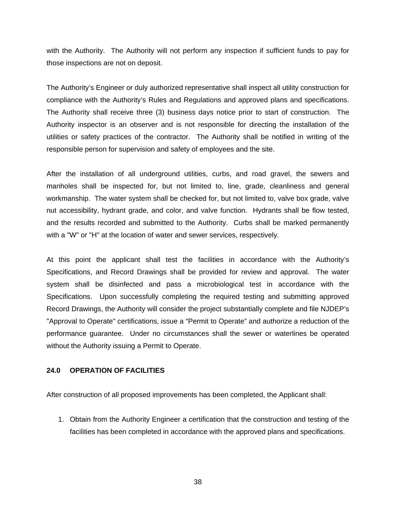with the Authority. The Authority will not perform any inspection if sufficient funds to pay for those inspections are not on deposit.

The Authority's Engineer or duly authorized representative shall inspect all utility construction for compliance with the Authority's Rules and Regulations and approved plans and specifications. The Authority shall receive three (3) business days notice prior to start of construction. The Authority inspector is an observer and is not responsible for directing the installation of the utilities or safety practices of the contractor. The Authority shall be notified in writing of the responsible person for supervision and safety of employees and the site.

After the installation of all underground utilities, curbs, and road gravel, the sewers and manholes shall be inspected for, but not limited to, line, grade, cleanliness and general workmanship. The water system shall be checked for, but not limited to, valve box grade, valve nut accessibility, hydrant grade, and color, and valve function. Hydrants shall be flow tested, and the results recorded and submitted to the Authority. Curbs shall be marked permanently with a "W" or "H" at the location of water and sewer services, respectively.

At this point the applicant shall test the facilities in accordance with the Authority's Specifications, and Record Drawings shall be provided for review and approval. The water system shall be disinfected and pass a microbiological test in accordance with the Specifications. Upon successfully completing the required testing and submitting approved Record Drawings, the Authority will consider the project substantially complete and file NJDEP's "Approval to Operate" certifications, issue a "Permit to Operate" and authorize a reduction of the performance guarantee. Under no circumstances shall the sewer or waterlines be operated without the Authority issuing a Permit to Operate.

### **24.0 OPERATION OF FACILITIES**

After construction of all proposed improvements has been completed, the Applicant shall:

1. Obtain from the Authority Engineer a certification that the construction and testing of the facilities has been completed in accordance with the approved plans and specifications.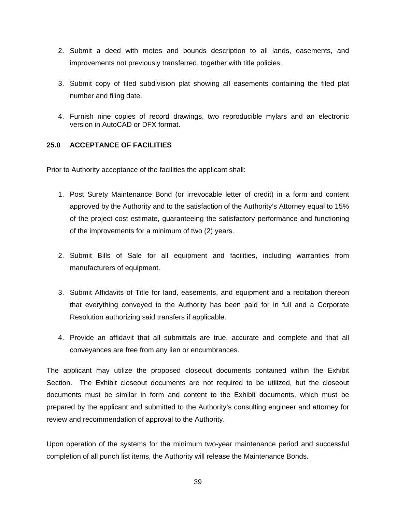- 2. Submit a deed with metes and bounds description to all lands, easements, and improvements not previously transferred, together with title policies.
- 3. Submit copy of filed subdivision plat showing all easements containing the filed plat number and filing date.
- 4. Furnish nine copies of record drawings, two reproducible mylars and an electronic version in AutoCAD or DFX format.

## **25.0 ACCEPTANCE OF FACILITIES**

Prior to Authority acceptance of the facilities the applicant shall:

- 1. Post Surety Maintenance Bond (or irrevocable letter of credit) in a form and content approved by the Authority and to the satisfaction of the Authority's Attorney equal to 15% of the project cost estimate, guaranteeing the satisfactory performance and functioning of the improvements for a minimum of two (2) years.
- 2. Submit Bills of Sale for all equipment and facilities, including warranties from manufacturers of equipment.
- 3. Submit Affidavits of Title for land, easements, and equipment and a recitation thereon that everything conveyed to the Authority has been paid for in full and a Corporate Resolution authorizing said transfers if applicable.
- 4. Provide an affidavit that all submittals are true, accurate and complete and that all conveyances are free from any lien or encumbrances.

The applicant may utilize the proposed closeout documents contained within the Exhibit Section. The Exhibit closeout documents are not required to be utilized, but the closeout documents must be similar in form and content to the Exhibit documents, which must be prepared by the applicant and submitted to the Authority's consulting engineer and attorney for review and recommendation of approval to the Authority.

Upon operation of the systems for the minimum two-year maintenance period and successful completion of all punch list items, the Authority will release the Maintenance Bonds.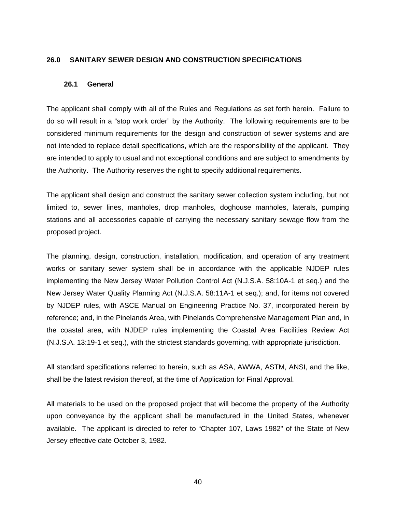#### **26.0 SANITARY SEWER DESIGN AND CONSTRUCTION SPECIFICATIONS**

#### **26.1 General**

The applicant shall comply with all of the Rules and Regulations as set forth herein. Failure to do so will result in a "stop work order" by the Authority. The following requirements are to be considered minimum requirements for the design and construction of sewer systems and are not intended to replace detail specifications, which are the responsibility of the applicant. They are intended to apply to usual and not exceptional conditions and are subject to amendments by the Authority. The Authority reserves the right to specify additional requirements.

The applicant shall design and construct the sanitary sewer collection system including, but not limited to, sewer lines, manholes, drop manholes, doghouse manholes, laterals, pumping stations and all accessories capable of carrying the necessary sanitary sewage flow from the proposed project.

The planning, design, construction, installation, modification, and operation of any treatment works or sanitary sewer system shall be in accordance with the applicable NJDEP rules implementing the New Jersey Water Pollution Control Act (N.J.S.A. 58:10A-1 et seq.) and the New Jersey Water Quality Planning Act (N.J.S.A. 58:11A-1 et seq.); and, for items not covered by NJDEP rules, with ASCE Manual on Engineering Practice No. 37, incorporated herein by reference; and, in the Pinelands Area, with Pinelands Comprehensive Management Plan and, in the coastal area, with NJDEP rules implementing the Coastal Area Facilities Review Act (N.J.S.A. 13:19-1 et seq.), with the strictest standards governing, with appropriate jurisdiction.

All standard specifications referred to herein, such as ASA, AWWA, ASTM, ANSI, and the like, shall be the latest revision thereof, at the time of Application for Final Approval.

All materials to be used on the proposed project that will become the property of the Authority upon conveyance by the applicant shall be manufactured in the United States, whenever available. The applicant is directed to refer to "Chapter 107, Laws 1982" of the State of New Jersey effective date October 3, 1982.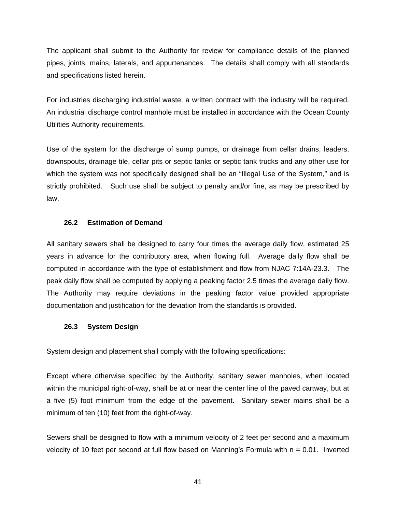The applicant shall submit to the Authority for review for compliance details of the planned pipes, joints, mains, laterals, and appurtenances. The details shall comply with all standards and specifications listed herein.

For industries discharging industrial waste, a written contract with the industry will be required. An industrial discharge control manhole must be installed in accordance with the Ocean County Utilities Authority requirements.

Use of the system for the discharge of sump pumps, or drainage from cellar drains, leaders, downspouts, drainage tile, cellar pits or septic tanks or septic tank trucks and any other use for which the system was not specifically designed shall be an "Illegal Use of the System," and is strictly prohibited. Such use shall be subject to penalty and/or fine, as may be prescribed by law.

### **26.2 Estimation of Demand**

All sanitary sewers shall be designed to carry four times the average daily flow, estimated 25 years in advance for the contributory area, when flowing full. Average daily flow shall be computed in accordance with the type of establishment and flow from NJAC 7:14A-23.3. The peak daily flow shall be computed by applying a peaking factor 2.5 times the average daily flow. The Authority may require deviations in the peaking factor value provided appropriate documentation and justification for the deviation from the standards is provided.

## **26.3 System Design**

System design and placement shall comply with the following specifications:

Except where otherwise specified by the Authority, sanitary sewer manholes, when located within the municipal right-of-way, shall be at or near the center line of the paved cartway, but at a five (5) foot minimum from the edge of the pavement. Sanitary sewer mains shall be a minimum of ten (10) feet from the right-of-way.

Sewers shall be designed to flow with a minimum velocity of 2 feet per second and a maximum velocity of 10 feet per second at full flow based on Manning's Formula with  $n = 0.01$ . Inverted

41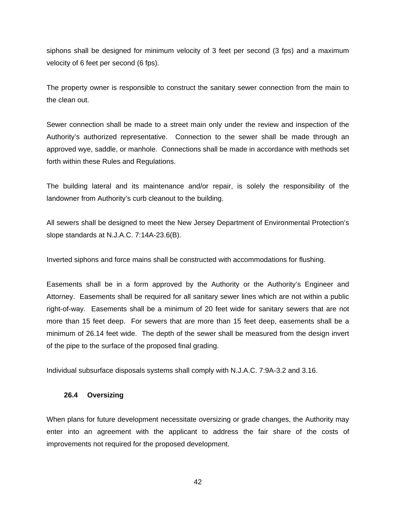siphons shall be designed for minimum velocity of 3 feet per second (3 fps) and a maximum velocity of 6 feet per second (6 fps).

The property owner is responsible to construct the sanitary sewer connection from the main to the clean out.

Sewer connection shall be made to a street main only under the review and inspection of the Authority's authorized representative. Connection to the sewer shall be made through an approved wye, saddle, or manhole. Connections shall be made in accordance with methods set forth within these Rules and Regulations.

The building lateral and its maintenance and/or repair, is solely the responsibility of the landowner from Authority's curb cleanout to the building.

All sewers shall be designed to meet the New Jersey Department of Environmental Protection's slope standards at N.J.A.C. 7:14A-23.6(B).

Inverted siphons and force mains shall be constructed with accommodations for flushing.

Easements shall be in a form approved by the Authority or the Authority's Engineer and Attorney. Easements shall be required for all sanitary sewer lines which are not within a public right-of-way. Easements shall be a minimum of 20 feet wide for sanitary sewers that are not more than 15 feet deep. For sewers that are more than 15 feet deep, easements shall be a minimum of 26.14 feet wide. The depth of the sewer shall be measured from the design invert of the pipe to the surface of the proposed final grading.

Individual subsurface disposals systems shall comply with N.J.A.C. 7:9A-3.2 and 3.16.

#### **26.4 Oversizing**

When plans for future development necessitate oversizing or grade changes, the Authority may enter into an agreement with the applicant to address the fair share of the costs of improvements not required for the proposed development.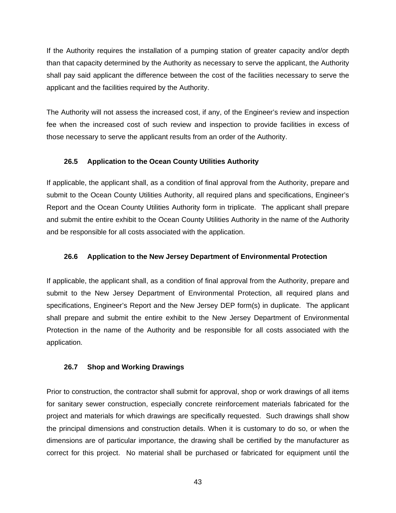If the Authority requires the installation of a pumping station of greater capacity and/or depth than that capacity determined by the Authority as necessary to serve the applicant, the Authority shall pay said applicant the difference between the cost of the facilities necessary to serve the applicant and the facilities required by the Authority.

The Authority will not assess the increased cost, if any, of the Engineer's review and inspection fee when the increased cost of such review and inspection to provide facilities in excess of those necessary to serve the applicant results from an order of the Authority.

## **26.5 Application to the Ocean County Utilities Authority**

If applicable, the applicant shall, as a condition of final approval from the Authority, prepare and submit to the Ocean County Utilities Authority, all required plans and specifications, Engineer's Report and the Ocean County Utilities Authority form in triplicate. The applicant shall prepare and submit the entire exhibit to the Ocean County Utilities Authority in the name of the Authority and be responsible for all costs associated with the application.

### **26.6 Application to the New Jersey Department of Environmental Protection**

If applicable, the applicant shall, as a condition of final approval from the Authority, prepare and submit to the New Jersey Department of Environmental Protection, all required plans and specifications, Engineer's Report and the New Jersey DEP form(s) in duplicate. The applicant shall prepare and submit the entire exhibit to the New Jersey Department of Environmental Protection in the name of the Authority and be responsible for all costs associated with the application.

## **26.7 Shop and Working Drawings**

Prior to construction, the contractor shall submit for approval, shop or work drawings of all items for sanitary sewer construction, especially concrete reinforcement materials fabricated for the project and materials for which drawings are specifically requested. Such drawings shall show the principal dimensions and construction details. When it is customary to do so, or when the dimensions are of particular importance, the drawing shall be certified by the manufacturer as correct for this project. No material shall be purchased or fabricated for equipment until the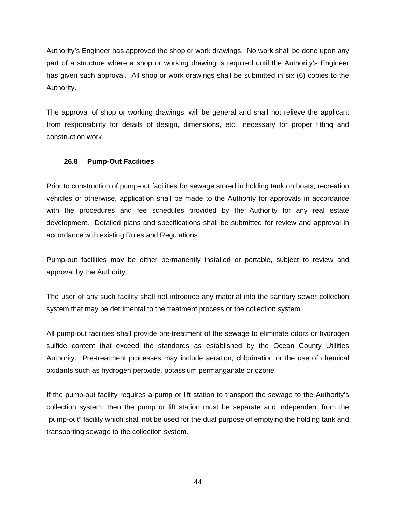Authority's Engineer has approved the shop or work drawings. No work shall be done upon any part of a structure where a shop or working drawing is required until the Authority's Engineer has given such approval. All shop or work drawings shall be submitted in six (6) copies to the Authority.

The approval of shop or working drawings, will be general and shall not relieve the applicant from responsibility for details of design, dimensions, etc., necessary for proper fitting and construction work.

### **26.8 Pump-Out Facilities**

Prior to construction of pump-out facilities for sewage stored in holding tank on boats, recreation vehicles or otherwise, application shall be made to the Authority for approvals in accordance with the procedures and fee schedules provided by the Authority for any real estate development. Detailed plans and specifications shall be submitted for review and approval in accordance with existing Rules and Regulations.

Pump-out facilities may be either permanently installed or portable, subject to review and approval by the Authority.

The user of any such facility shall not introduce any material into the sanitary sewer collection system that may be detrimental to the treatment process or the collection system.

All pump-out facilities shall provide pre-treatment of the sewage to eliminate odors or hydrogen sulfide content that exceed the standards as established by the Ocean County Utilities Authority. Pre-treatment processes may include aeration, chlorination or the use of chemical oxidants such as hydrogen peroxide, potassium permanganate or ozone.

If the pump-out facility requires a pump or lift station to transport the sewage to the Authority's collection system, then the pump or lift station must be separate and independent from the "pump-out" facility which shall not be used for the dual purpose of emptying the holding tank and transporting sewage to the collection system.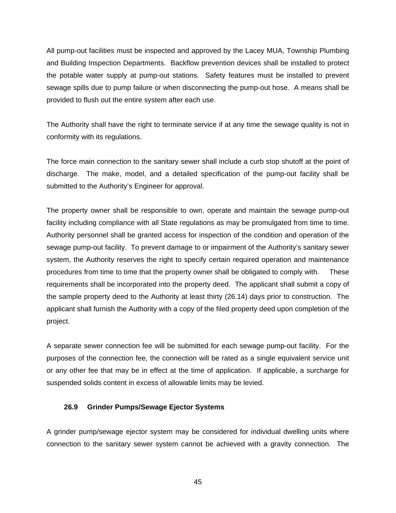All pump-out facilities must be inspected and approved by the Lacey MUA, Township Plumbing and Building Inspection Departments. Backflow prevention devices shall be installed to protect the potable water supply at pump-out stations. Safety features must be installed to prevent sewage spills due to pump failure or when disconnecting the pump-out hose. A means shall be provided to flush out the entire system after each use.

The Authority shall have the right to terminate service if at any time the sewage quality is not in conformity with its regulations.

The force main connection to the sanitary sewer shall include a curb stop shutoff at the point of discharge. The make, model, and a detailed specification of the pump-out facility shall be submitted to the Authority's Engineer for approval.

The property owner shall be responsible to own, operate and maintain the sewage pump-out facility including compliance with all State regulations as may be promulgated from time to time. Authority personnel shall be granted access for inspection of the condition and operation of the sewage pump-out facility. To prevent damage to or impairment of the Authority's sanitary sewer system, the Authority reserves the right to specify certain required operation and maintenance procedures from time to time that the property owner shall be obligated to comply with. These requirements shall be incorporated into the property deed. The applicant shall submit a copy of the sample property deed to the Authority at least thirty (26.14) days prior to construction. The applicant shall furnish the Authority with a copy of the filed property deed upon completion of the project.

A separate sewer connection fee will be submitted for each sewage pump-out facility. For the purposes of the connection fee, the connection will be rated as a single equivalent service unit or any other fee that may be in effect at the time of application. If applicable, a surcharge for suspended solids content in excess of allowable limits may be levied.

## **26.9 Grinder Pumps/Sewage Ejector Systems**

A grinder pump/sewage ejector system may be considered for individual dwelling units where connection to the sanitary sewer system cannot be achieved with a gravity connection. The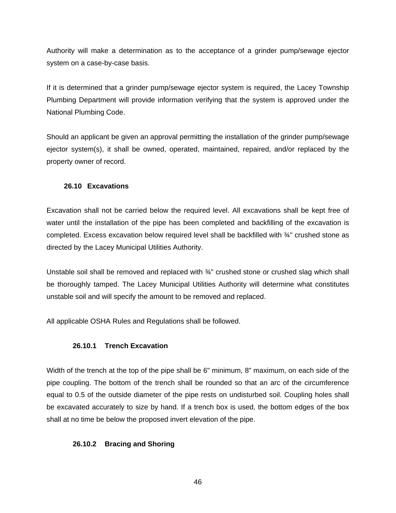Authority will make a determination as to the acceptance of a grinder pump/sewage ejector system on a case-by-case basis.

If it is determined that a grinder pump/sewage ejector system is required, the Lacey Township Plumbing Department will provide information verifying that the system is approved under the National Plumbing Code.

Should an applicant be given an approval permitting the installation of the grinder pump/sewage ejector system(s), it shall be owned, operated, maintained, repaired, and/or replaced by the property owner of record.

## **26.10 Excavations**

Excavation shall not be carried below the required level. All excavations shall be kept free of water until the installation of the pipe has been completed and backfilling of the excavation is completed. Excess excavation below required level shall be backfilled with ¾" crushed stone as directed by the Lacey Municipal Utilities Authority.

Unstable soil shall be removed and replaced with  $\frac{3}{4}$ " crushed stone or crushed slag which shall be thoroughly tamped. The Lacey Municipal Utilities Authority will determine what constitutes unstable soil and will specify the amount to be removed and replaced.

All applicable OSHA Rules and Regulations shall be followed.

# **26.10.1 Trench Excavation**

Width of the trench at the top of the pipe shall be 6" minimum, 8" maximum, on each side of the pipe coupling. The bottom of the trench shall be rounded so that an arc of the circumference equal to 0.5 of the outside diameter of the pipe rests on undisturbed soil. Coupling holes shall be excavated accurately to size by hand. If a trench box is used, the bottom edges of the box shall at no time be below the proposed invert elevation of the pipe.

# **26.10.2 Bracing and Shoring**

46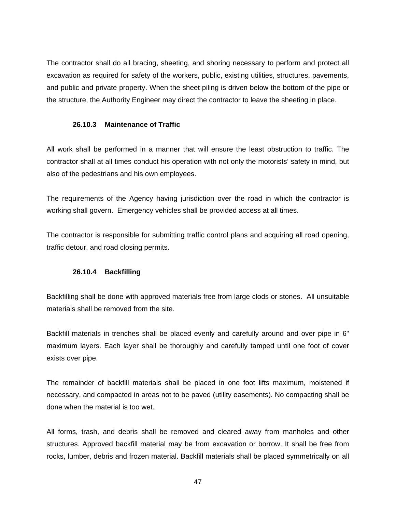The contractor shall do all bracing, sheeting, and shoring necessary to perform and protect all excavation as required for safety of the workers, public, existing utilities, structures, pavements, and public and private property. When the sheet piling is driven below the bottom of the pipe or the structure, the Authority Engineer may direct the contractor to leave the sheeting in place.

## **26.10.3 Maintenance of Traffic**

All work shall be performed in a manner that will ensure the least obstruction to traffic. The contractor shall at all times conduct his operation with not only the motorists' safety in mind, but also of the pedestrians and his own employees.

The requirements of the Agency having jurisdiction over the road in which the contractor is working shall govern. Emergency vehicles shall be provided access at all times.

The contractor is responsible for submitting traffic control plans and acquiring all road opening, traffic detour, and road closing permits.

## **26.10.4 Backfilling**

Backfilling shall be done with approved materials free from large clods or stones. All unsuitable materials shall be removed from the site.

Backfill materials in trenches shall be placed evenly and carefully around and over pipe in 6" maximum layers. Each layer shall be thoroughly and carefully tamped until one foot of cover exists over pipe.

The remainder of backfill materials shall be placed in one foot lifts maximum, moistened if necessary, and compacted in areas not to be paved (utility easements). No compacting shall be done when the material is too wet.

All forms, trash, and debris shall be removed and cleared away from manholes and other structures. Approved backfill material may be from excavation or borrow. It shall be free from rocks, lumber, debris and frozen material. Backfill materials shall be placed symmetrically on all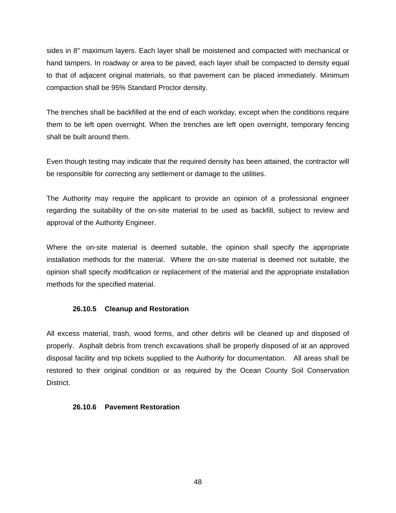sides in 8" maximum layers. Each layer shall be moistened and compacted with mechanical or hand tampers. In roadway or area to be paved, each layer shall be compacted to density equal to that of adjacent original materials, so that pavement can be placed immediately. Minimum compaction shall be 95% Standard Proctor density.

The trenches shall be backfilled at the end of each workday, except when the conditions require them to be left open overnight. When the trenches are left open overnight, temporary fencing shall be built around them.

Even though testing may indicate that the required density has been attained, the contractor will be responsible for correcting any settlement or damage to the utilities.

The Authority may require the applicant to provide an opinion of a professional engineer regarding the suitability of the on-site material to be used as backfill, subject to review and approval of the Authority Engineer.

Where the on-site material is deemed suitable, the opinion shall specify the appropriate installation methods for the material. Where the on-site material is deemed not suitable, the opinion shall specify modification or replacement of the material and the appropriate installation methods for the specified material.

## **26.10.5 Cleanup and Restoration**

All excess material, trash, wood forms, and other debris will be cleaned up and disposed of properly. Asphalt debris from trench excavations shall be properly disposed of at an approved disposal facility and trip tickets supplied to the Authority for documentation. All areas shall be restored to their original condition or as required by the Ocean County Soil Conservation District.

#### **26.10.6 Pavement Restoration**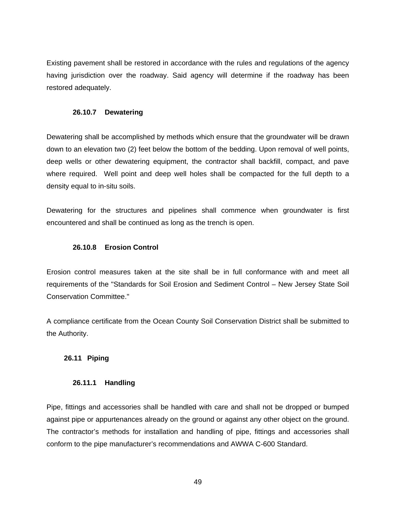Existing pavement shall be restored in accordance with the rules and regulations of the agency having jurisdiction over the roadway. Said agency will determine if the roadway has been restored adequately.

### **26.10.7 Dewatering**

Dewatering shall be accomplished by methods which ensure that the groundwater will be drawn down to an elevation two (2) feet below the bottom of the bedding. Upon removal of well points, deep wells or other dewatering equipment, the contractor shall backfill, compact, and pave where required. Well point and deep well holes shall be compacted for the full depth to a density equal to in-situ soils.

Dewatering for the structures and pipelines shall commence when groundwater is first encountered and shall be continued as long as the trench is open.

## **26.10.8 Erosion Control**

Erosion control measures taken at the site shall be in full conformance with and meet all requirements of the "Standards for Soil Erosion and Sediment Control – New Jersey State Soil Conservation Committee."

A compliance certificate from the Ocean County Soil Conservation District shall be submitted to the Authority.

## **26.11 Piping**

## **26.11.1 Handling**

Pipe, fittings and accessories shall be handled with care and shall not be dropped or bumped against pipe or appurtenances already on the ground or against any other object on the ground. The contractor's methods for installation and handling of pipe, fittings and accessories shall conform to the pipe manufacturer's recommendations and AWWA C-600 Standard.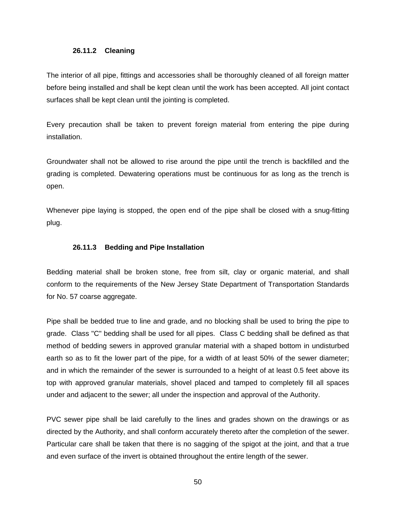#### **26.11.2 Cleaning**

The interior of all pipe, fittings and accessories shall be thoroughly cleaned of all foreign matter before being installed and shall be kept clean until the work has been accepted. All joint contact surfaces shall be kept clean until the jointing is completed.

Every precaution shall be taken to prevent foreign material from entering the pipe during installation.

Groundwater shall not be allowed to rise around the pipe until the trench is backfilled and the grading is completed. Dewatering operations must be continuous for as long as the trench is open.

Whenever pipe laying is stopped, the open end of the pipe shall be closed with a snug-fitting plug.

### **26.11.3 Bedding and Pipe Installation**

Bedding material shall be broken stone, free from silt, clay or organic material, and shall conform to the requirements of the New Jersey State Department of Transportation Standards for No. 57 coarse aggregate.

Pipe shall be bedded true to line and grade, and no blocking shall be used to bring the pipe to grade. Class "C" bedding shall be used for all pipes. Class C bedding shall be defined as that method of bedding sewers in approved granular material with a shaped bottom in undisturbed earth so as to fit the lower part of the pipe, for a width of at least 50% of the sewer diameter; and in which the remainder of the sewer is surrounded to a height of at least 0.5 feet above its top with approved granular materials, shovel placed and tamped to completely fill all spaces under and adjacent to the sewer; all under the inspection and approval of the Authority.

PVC sewer pipe shall be laid carefully to the lines and grades shown on the drawings or as directed by the Authority, and shall conform accurately thereto after the completion of the sewer. Particular care shall be taken that there is no sagging of the spigot at the joint, and that a true and even surface of the invert is obtained throughout the entire length of the sewer.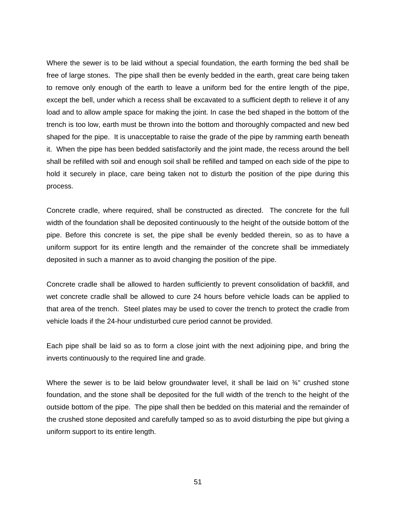Where the sewer is to be laid without a special foundation, the earth forming the bed shall be free of large stones. The pipe shall then be evenly bedded in the earth, great care being taken to remove only enough of the earth to leave a uniform bed for the entire length of the pipe, except the bell, under which a recess shall be excavated to a sufficient depth to relieve it of any load and to allow ample space for making the joint. In case the bed shaped in the bottom of the trench is too low, earth must be thrown into the bottom and thoroughly compacted and new bed shaped for the pipe. It is unacceptable to raise the grade of the pipe by ramming earth beneath it. When the pipe has been bedded satisfactorily and the joint made, the recess around the bell shall be refilled with soil and enough soil shall be refilled and tamped on each side of the pipe to hold it securely in place, care being taken not to disturb the position of the pipe during this process.

Concrete cradle, where required, shall be constructed as directed. The concrete for the full width of the foundation shall be deposited continuously to the height of the outside bottom of the pipe. Before this concrete is set, the pipe shall be evenly bedded therein, so as to have a uniform support for its entire length and the remainder of the concrete shall be immediately deposited in such a manner as to avoid changing the position of the pipe.

Concrete cradle shall be allowed to harden sufficiently to prevent consolidation of backfill, and wet concrete cradle shall be allowed to cure 24 hours before vehicle loads can be applied to that area of the trench. Steel plates may be used to cover the trench to protect the cradle from vehicle loads if the 24-hour undisturbed cure period cannot be provided.

Each pipe shall be laid so as to form a close joint with the next adjoining pipe, and bring the inverts continuously to the required line and grade.

Where the sewer is to be laid below groundwater level, it shall be laid on 3<sup>4</sup> crushed stone foundation, and the stone shall be deposited for the full width of the trench to the height of the outside bottom of the pipe. The pipe shall then be bedded on this material and the remainder of the crushed stone deposited and carefully tamped so as to avoid disturbing the pipe but giving a uniform support to its entire length.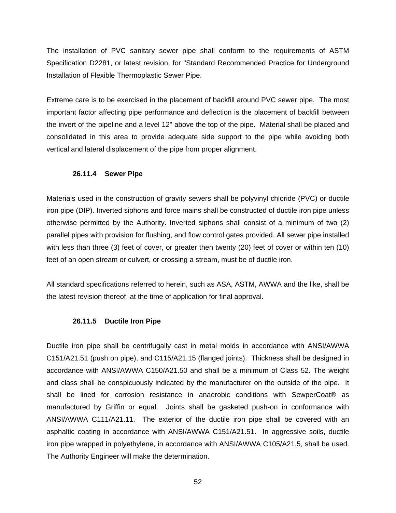The installation of PVC sanitary sewer pipe shall conform to the requirements of ASTM Specification D2281, or latest revision, for "Standard Recommended Practice for Underground Installation of Flexible Thermoplastic Sewer Pipe.

Extreme care is to be exercised in the placement of backfill around PVC sewer pipe. The most important factor affecting pipe performance and deflection is the placement of backfill between the invert of the pipeline and a level 12" above the top of the pipe. Material shall be placed and consolidated in this area to provide adequate side support to the pipe while avoiding both vertical and lateral displacement of the pipe from proper alignment.

### **26.11.4 Sewer Pipe**

Materials used in the construction of gravity sewers shall be polyvinyl chloride (PVC) or ductile iron pipe (DIP). Inverted siphons and force mains shall be constructed of ductile iron pipe unless otherwise permitted by the Authority. Inverted siphons shall consist of a minimum of two (2) parallel pipes with provision for flushing, and flow control gates provided. All sewer pipe installed with less than three (3) feet of cover, or greater then twenty (20) feet of cover or within ten (10) feet of an open stream or culvert, or crossing a stream, must be of ductile iron.

All standard specifications referred to herein, such as ASA, ASTM, AWWA and the like, shall be the latest revision thereof, at the time of application for final approval.

## **26.11.5 Ductile Iron Pipe**

Ductile iron pipe shall be centrifugally cast in metal molds in accordance with ANSI/AWWA C151/A21.51 (push on pipe), and C115/A21.15 (flanged joints). Thickness shall be designed in accordance with ANSI/AWWA C150/A21.50 and shall be a minimum of Class 52. The weight and class shall be conspicuously indicated by the manufacturer on the outside of the pipe. It shall be lined for corrosion resistance in anaerobic conditions with SewperCoat® as manufactured by Griffin or equal. Joints shall be gasketed push-on in conformance with ANSI/AWWA C111/A21.11. The exterior of the ductile iron pipe shall be covered with an asphaltic coating in accordance with ANSI/AWWA C151/A21.51. In aggressive soils, ductile iron pipe wrapped in polyethylene, in accordance with ANSI/AWWA C105/A21.5, shall be used. The Authority Engineer will make the determination.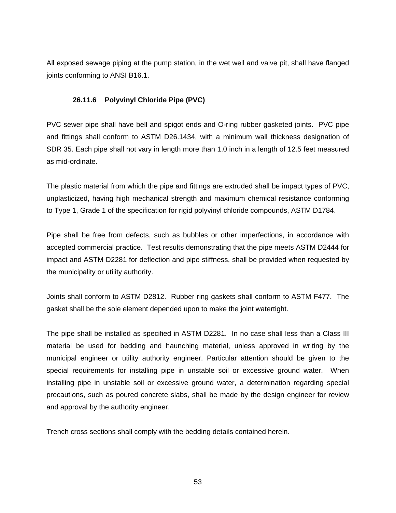All exposed sewage piping at the pump station, in the wet well and valve pit, shall have flanged joints conforming to ANSI B16.1.

## **26.11.6 Polyvinyl Chloride Pipe (PVC)**

PVC sewer pipe shall have bell and spigot ends and O-ring rubber gasketed joints. PVC pipe and fittings shall conform to ASTM D26.1434, with a minimum wall thickness designation of SDR 35. Each pipe shall not vary in length more than 1.0 inch in a length of 12.5 feet measured as mid-ordinate.

The plastic material from which the pipe and fittings are extruded shall be impact types of PVC, unplasticized, having high mechanical strength and maximum chemical resistance conforming to Type 1, Grade 1 of the specification for rigid polyvinyl chloride compounds, ASTM D1784.

Pipe shall be free from defects, such as bubbles or other imperfections, in accordance with accepted commercial practice. Test results demonstrating that the pipe meets ASTM D2444 for impact and ASTM D2281 for deflection and pipe stiffness, shall be provided when requested by the municipality or utility authority.

Joints shall conform to ASTM D2812. Rubber ring gaskets shall conform to ASTM F477. The gasket shall be the sole element depended upon to make the joint watertight.

The pipe shall be installed as specified in ASTM D2281. In no case shall less than a Class III material be used for bedding and haunching material, unless approved in writing by the municipal engineer or utility authority engineer. Particular attention should be given to the special requirements for installing pipe in unstable soil or excessive ground water. When installing pipe in unstable soil or excessive ground water, a determination regarding special precautions, such as poured concrete slabs, shall be made by the design engineer for review and approval by the authority engineer.

Trench cross sections shall comply with the bedding details contained herein.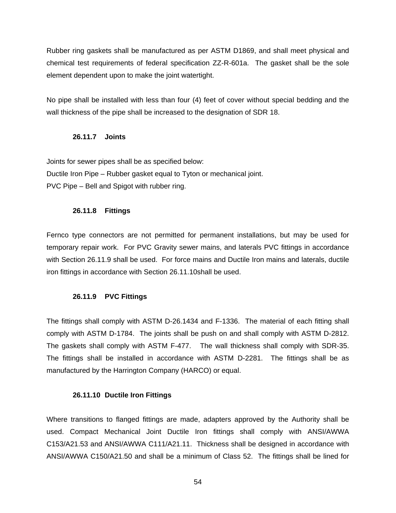Rubber ring gaskets shall be manufactured as per ASTM D1869, and shall meet physical and chemical test requirements of federal specification ZZ-R-601a. The gasket shall be the sole element dependent upon to make the joint watertight.

No pipe shall be installed with less than four (4) feet of cover without special bedding and the wall thickness of the pipe shall be increased to the designation of SDR 18.

## **26.11.7 Joints**

Joints for sewer pipes shall be as specified below:

Ductile Iron Pipe – Rubber gasket equal to Tyton or mechanical joint. PVC Pipe – Bell and Spigot with rubber ring.

## **26.11.8 Fittings**

Fernco type connectors are not permitted for permanent installations, but may be used for temporary repair work. For PVC Gravity sewer mains, and laterals PVC fittings in accordance with Section 26.11.9 shall be used. For force mains and Ductile Iron mains and laterals, ductile iron fittings in accordance with Section 26.11.10shall be used.

## **26.11.9 PVC Fittings**

The fittings shall comply with ASTM D-26.1434 and F-1336. The material of each fitting shall comply with ASTM D-1784. The joints shall be push on and shall comply with ASTM D-2812. The gaskets shall comply with ASTM F-477. The wall thickness shall comply with SDR-35. The fittings shall be installed in accordance with ASTM D-2281. The fittings shall be as manufactured by the Harrington Company (HARCO) or equal.

#### **26.11.10 Ductile Iron Fittings**

Where transitions to flanged fittings are made, adapters approved by the Authority shall be used. Compact Mechanical Joint Ductile Iron fittings shall comply with ANSI/AWWA C153/A21.53 and ANSI/AWWA C111/A21.11. Thickness shall be designed in accordance with ANSI/AWWA C150/A21.50 and shall be a minimum of Class 52. The fittings shall be lined for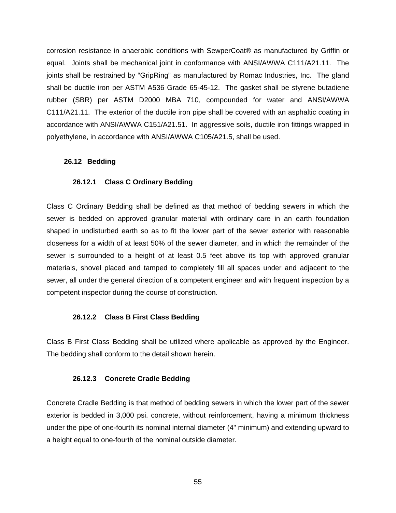corrosion resistance in anaerobic conditions with SewperCoat® as manufactured by Griffin or equal. Joints shall be mechanical joint in conformance with ANSI/AWWA C111/A21.11. The joints shall be restrained by "GripRing" as manufactured by Romac Industries, Inc. The gland shall be ductile iron per ASTM A536 Grade 65-45-12. The gasket shall be styrene butadiene rubber (SBR) per ASTM D2000 MBA 710, compounded for water and ANSI/AWWA C111/A21.11. The exterior of the ductile iron pipe shall be covered with an asphaltic coating in accordance with ANSI/AWWA C151/A21.51. In aggressive soils, ductile iron fittings wrapped in polyethylene, in accordance with ANSI/AWWA C105/A21.5, shall be used.

### **26.12 Bedding**

### **26.12.1 Class C Ordinary Bedding**

Class C Ordinary Bedding shall be defined as that method of bedding sewers in which the sewer is bedded on approved granular material with ordinary care in an earth foundation shaped in undisturbed earth so as to fit the lower part of the sewer exterior with reasonable closeness for a width of at least 50% of the sewer diameter, and in which the remainder of the sewer is surrounded to a height of at least 0.5 feet above its top with approved granular materials, shovel placed and tamped to completely fill all spaces under and adjacent to the sewer, all under the general direction of a competent engineer and with frequent inspection by a competent inspector during the course of construction.

## **26.12.2 Class B First Class Bedding**

Class B First Class Bedding shall be utilized where applicable as approved by the Engineer. The bedding shall conform to the detail shown herein.

#### **26.12.3 Concrete Cradle Bedding**

Concrete Cradle Bedding is that method of bedding sewers in which the lower part of the sewer exterior is bedded in 3,000 psi. concrete, without reinforcement, having a minimum thickness under the pipe of one-fourth its nominal internal diameter (4" minimum) and extending upward to a height equal to one-fourth of the nominal outside diameter.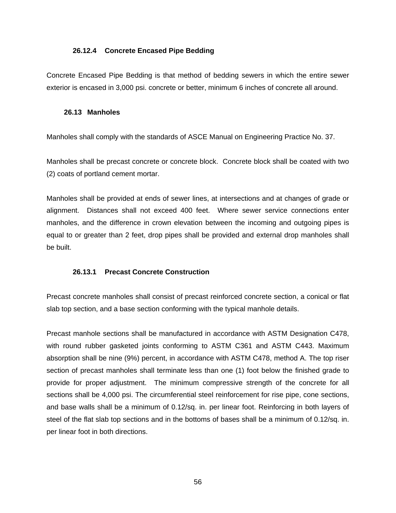#### **26.12.4 Concrete Encased Pipe Bedding**

Concrete Encased Pipe Bedding is that method of bedding sewers in which the entire sewer exterior is encased in 3,000 psi. concrete or better, minimum 6 inches of concrete all around.

#### **26.13 Manholes**

Manholes shall comply with the standards of ASCE Manual on Engineering Practice No. 37.

Manholes shall be precast concrete or concrete block. Concrete block shall be coated with two (2) coats of portland cement mortar.

Manholes shall be provided at ends of sewer lines, at intersections and at changes of grade or alignment. Distances shall not exceed 400 feet. Where sewer service connections enter manholes, and the difference in crown elevation between the incoming and outgoing pipes is equal to or greater than 2 feet, drop pipes shall be provided and external drop manholes shall be built.

#### **26.13.1 Precast Concrete Construction**

Precast concrete manholes shall consist of precast reinforced concrete section, a conical or flat slab top section, and a base section conforming with the typical manhole details.

Precast manhole sections shall be manufactured in accordance with ASTM Designation C478, with round rubber gasketed joints conforming to ASTM C361 and ASTM C443. Maximum absorption shall be nine (9%) percent, in accordance with ASTM C478, method A. The top riser section of precast manholes shall terminate less than one (1) foot below the finished grade to provide for proper adjustment. The minimum compressive strength of the concrete for all sections shall be 4,000 psi. The circumferential steel reinforcement for rise pipe, cone sections, and base walls shall be a minimum of 0.12/sq. in. per linear foot. Reinforcing in both layers of steel of the flat slab top sections and in the bottoms of bases shall be a minimum of 0.12/sq. in. per linear foot in both directions.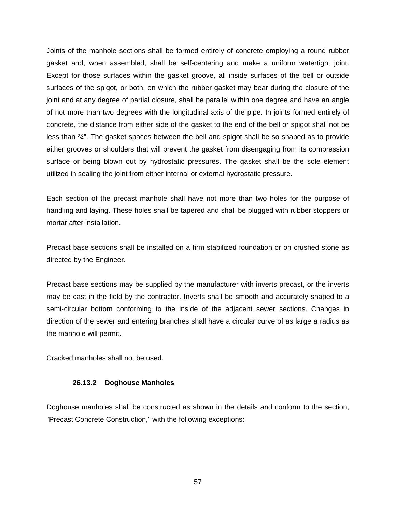Joints of the manhole sections shall be formed entirely of concrete employing a round rubber gasket and, when assembled, shall be self-centering and make a uniform watertight joint. Except for those surfaces within the gasket groove, all inside surfaces of the bell or outside surfaces of the spigot, or both, on which the rubber gasket may bear during the closure of the joint and at any degree of partial closure, shall be parallel within one degree and have an angle of not more than two degrees with the longitudinal axis of the pipe. In joints formed entirely of concrete, the distance from either side of the gasket to the end of the bell or spigot shall not be less than ¾". The gasket spaces between the bell and spigot shall be so shaped as to provide either grooves or shoulders that will prevent the gasket from disengaging from its compression surface or being blown out by hydrostatic pressures. The gasket shall be the sole element utilized in sealing the joint from either internal or external hydrostatic pressure.

Each section of the precast manhole shall have not more than two holes for the purpose of handling and laying. These holes shall be tapered and shall be plugged with rubber stoppers or mortar after installation.

Precast base sections shall be installed on a firm stabilized foundation or on crushed stone as directed by the Engineer.

Precast base sections may be supplied by the manufacturer with inverts precast, or the inverts may be cast in the field by the contractor. Inverts shall be smooth and accurately shaped to a semi-circular bottom conforming to the inside of the adjacent sewer sections. Changes in direction of the sewer and entering branches shall have a circular curve of as large a radius as the manhole will permit.

Cracked manholes shall not be used.

#### **26.13.2 Doghouse Manholes**

Doghouse manholes shall be constructed as shown in the details and conform to the section, "Precast Concrete Construction," with the following exceptions: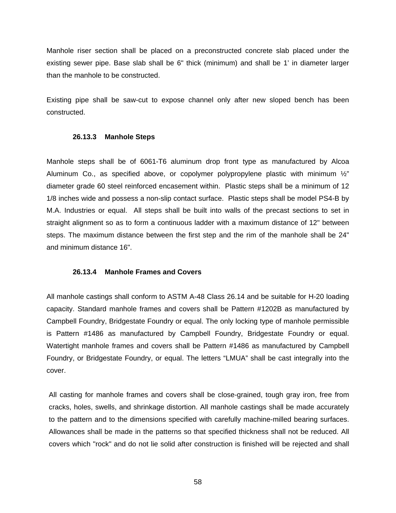Manhole riser section shall be placed on a preconstructed concrete slab placed under the existing sewer pipe. Base slab shall be 6" thick (minimum) and shall be 1' in diameter larger than the manhole to be constructed.

Existing pipe shall be saw-cut to expose channel only after new sloped bench has been constructed.

#### **26.13.3 Manhole Steps**

Manhole steps shall be of 6061-T6 aluminum drop front type as manufactured by Alcoa Aluminum Co., as specified above, or copolymer polypropylene plastic with minimum  $\frac{1}{2}$ " diameter grade 60 steel reinforced encasement within. Plastic steps shall be a minimum of 12 1/8 inches wide and possess a non-slip contact surface. Plastic steps shall be model PS4-B by M.A. Industries or equal. All steps shall be built into walls of the precast sections to set in straight alignment so as to form a continuous ladder with a maximum distance of 12" between steps. The maximum distance between the first step and the rim of the manhole shall be 24" and minimum distance 16".

#### **26.13.4 Manhole Frames and Covers**

All manhole castings shall conform to ASTM A-48 Class 26.14 and be suitable for H-20 loading capacity. Standard manhole frames and covers shall be Pattern #1202B as manufactured by Campbell Foundry, Bridgestate Foundry or equal. The only locking type of manhole permissible is Pattern #1486 as manufactured by Campbell Foundry, Bridgestate Foundry or equal. Watertight manhole frames and covers shall be Pattern #1486 as manufactured by Campbell Foundry, or Bridgestate Foundry, or equal. The letters "LMUA" shall be cast integrally into the cover.

All casting for manhole frames and covers shall be close-grained, tough gray iron, free from cracks, holes, swells, and shrinkage distortion. All manhole castings shall be made accurately to the pattern and to the dimensions specified with carefully machine-milled bearing surfaces. Allowances shall be made in the patterns so that specified thickness shall not be reduced. All covers which "rock" and do not lie solid after construction is finished will be rejected and shall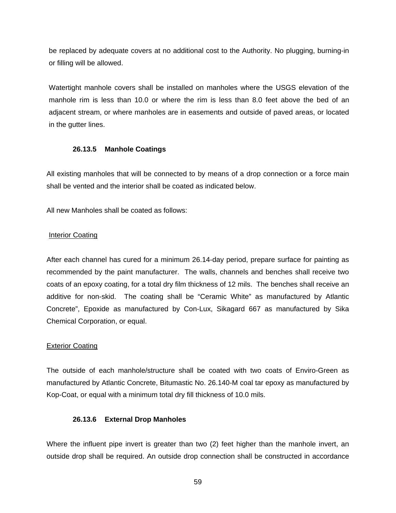be replaced by adequate covers at no additional cost to the Authority. No plugging, burning-in or filling will be allowed.

Watertight manhole covers shall be installed on manholes where the USGS elevation of the manhole rim is less than 10.0 or where the rim is less than 8.0 feet above the bed of an adjacent stream, or where manholes are in easements and outside of paved areas, or located in the gutter lines.

### **26.13.5 Manhole Coatings**

All existing manholes that will be connected to by means of a drop connection or a force main shall be vented and the interior shall be coated as indicated below.

All new Manholes shall be coated as follows:

## **Interior Coating**

After each channel has cured for a minimum 26.14-day period, prepare surface for painting as recommended by the paint manufacturer. The walls, channels and benches shall receive two coats of an epoxy coating, for a total dry film thickness of 12 mils. The benches shall receive an additive for non-skid. The coating shall be "Ceramic White" as manufactured by Atlantic Concrete", Epoxide as manufactured by Con-Lux, Sikagard 667 as manufactured by Sika Chemical Corporation, or equal.

## Exterior Coating

The outside of each manhole/structure shall be coated with two coats of Enviro-Green as manufactured by Atlantic Concrete, Bitumastic No. 26.140-M coal tar epoxy as manufactured by Kop-Coat, or equal with a minimum total dry fill thickness of 10.0 mils.

## **26.13.6 External Drop Manholes**

Where the influent pipe invert is greater than two (2) feet higher than the manhole invert, an outside drop shall be required. An outside drop connection shall be constructed in accordance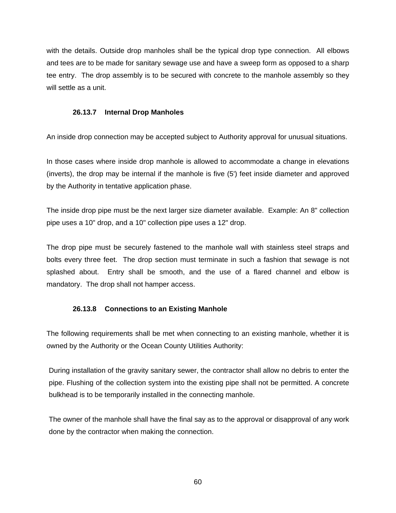with the details. Outside drop manholes shall be the typical drop type connection. All elbows and tees are to be made for sanitary sewage use and have a sweep form as opposed to a sharp tee entry. The drop assembly is to be secured with concrete to the manhole assembly so they will settle as a unit.

### **26.13.7 Internal Drop Manholes**

An inside drop connection may be accepted subject to Authority approval for unusual situations.

In those cases where inside drop manhole is allowed to accommodate a change in elevations (inverts), the drop may be internal if the manhole is five (5') feet inside diameter and approved by the Authority in tentative application phase.

The inside drop pipe must be the next larger size diameter available. Example: An 8" collection pipe uses a 10" drop, and a 10" collection pipe uses a 12" drop.

The drop pipe must be securely fastened to the manhole wall with stainless steel straps and bolts every three feet. The drop section must terminate in such a fashion that sewage is not splashed about. Entry shall be smooth, and the use of a flared channel and elbow is mandatory. The drop shall not hamper access.

## **26.13.8 Connections to an Existing Manhole**

The following requirements shall be met when connecting to an existing manhole, whether it is owned by the Authority or the Ocean County Utilities Authority:

During installation of the gravity sanitary sewer, the contractor shall allow no debris to enter the pipe. Flushing of the collection system into the existing pipe shall not be permitted. A concrete bulkhead is to be temporarily installed in the connecting manhole.

The owner of the manhole shall have the final say as to the approval or disapproval of any work done by the contractor when making the connection.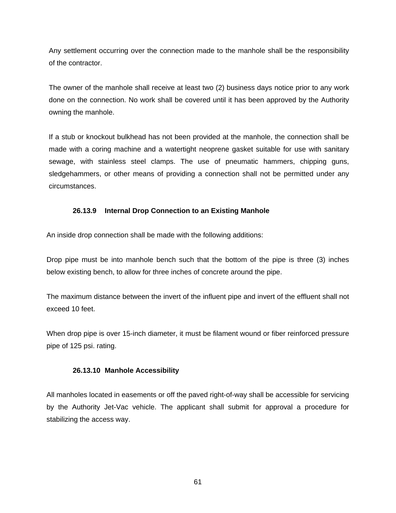Any settlement occurring over the connection made to the manhole shall be the responsibility of the contractor.

The owner of the manhole shall receive at least two (2) business days notice prior to any work done on the connection. No work shall be covered until it has been approved by the Authority owning the manhole.

If a stub or knockout bulkhead has not been provided at the manhole, the connection shall be made with a coring machine and a watertight neoprene gasket suitable for use with sanitary sewage, with stainless steel clamps. The use of pneumatic hammers, chipping guns, sledgehammers, or other means of providing a connection shall not be permitted under any circumstances.

## **26.13.9 Internal Drop Connection to an Existing Manhole**

An inside drop connection shall be made with the following additions:

Drop pipe must be into manhole bench such that the bottom of the pipe is three (3) inches below existing bench, to allow for three inches of concrete around the pipe.

The maximum distance between the invert of the influent pipe and invert of the effluent shall not exceed 10 feet.

When drop pipe is over 15-inch diameter, it must be filament wound or fiber reinforced pressure pipe of 125 psi. rating.

## **26.13.10 Manhole Accessibility**

All manholes located in easements or off the paved right-of-way shall be accessible for servicing by the Authority Jet-Vac vehicle. The applicant shall submit for approval a procedure for stabilizing the access way.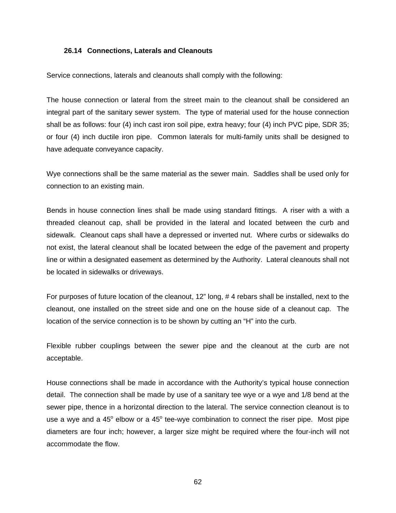#### **26.14 Connections, Laterals and Cleanouts**

Service connections, laterals and cleanouts shall comply with the following:

The house connection or lateral from the street main to the cleanout shall be considered an integral part of the sanitary sewer system. The type of material used for the house connection shall be as follows: four (4) inch cast iron soil pipe, extra heavy; four (4) inch PVC pipe, SDR 35; or four (4) inch ductile iron pipe. Common laterals for multi-family units shall be designed to have adequate conveyance capacity.

Wye connections shall be the same material as the sewer main. Saddles shall be used only for connection to an existing main.

Bends in house connection lines shall be made using standard fittings. A riser with a with a threaded cleanout cap, shall be provided in the lateral and located between the curb and sidewalk. Cleanout caps shall have a depressed or inverted nut. Where curbs or sidewalks do not exist, the lateral cleanout shall be located between the edge of the pavement and property line or within a designated easement as determined by the Authority. Lateral cleanouts shall not be located in sidewalks or driveways.

For purposes of future location of the cleanout, 12" long, # 4 rebars shall be installed, next to the cleanout, one installed on the street side and one on the house side of a cleanout cap. The location of the service connection is to be shown by cutting an "H" into the curb.

Flexible rubber couplings between the sewer pipe and the cleanout at the curb are not acceptable.

House connections shall be made in accordance with the Authority's typical house connection detail. The connection shall be made by use of a sanitary tee wye or a wye and 1/8 bend at the sewer pipe, thence in a horizontal direction to the lateral. The service connection cleanout is to use a wye and a 45 $^{\circ}$  elbow or a 45 $^{\circ}$  tee-wye combination to connect the riser pipe. Most pipe diameters are four inch; however, a larger size might be required where the four-inch will not accommodate the flow.

62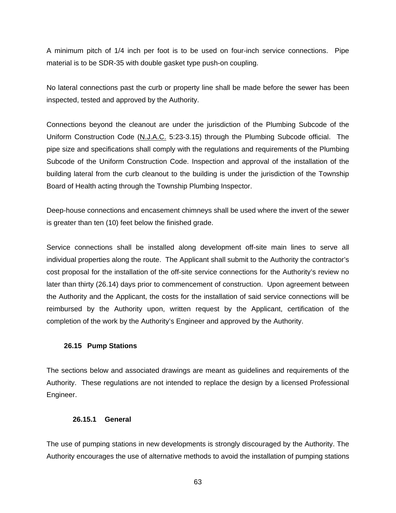A minimum pitch of 1/4 inch per foot is to be used on four-inch service connections. Pipe material is to be SDR-35 with double gasket type push-on coupling.

No lateral connections past the curb or property line shall be made before the sewer has been inspected, tested and approved by the Authority.

Connections beyond the cleanout are under the jurisdiction of the Plumbing Subcode of the Uniform Construction Code (N.J.A.C. 5:23-3.15) through the Plumbing Subcode official. The pipe size and specifications shall comply with the regulations and requirements of the Plumbing Subcode of the Uniform Construction Code. Inspection and approval of the installation of the building lateral from the curb cleanout to the building is under the jurisdiction of the Township Board of Health acting through the Township Plumbing Inspector.

Deep-house connections and encasement chimneys shall be used where the invert of the sewer is greater than ten (10) feet below the finished grade.

Service connections shall be installed along development off-site main lines to serve all individual properties along the route. The Applicant shall submit to the Authority the contractor's cost proposal for the installation of the off-site service connections for the Authority's review no later than thirty (26.14) days prior to commencement of construction. Upon agreement between the Authority and the Applicant, the costs for the installation of said service connections will be reimbursed by the Authority upon, written request by the Applicant, certification of the completion of the work by the Authority's Engineer and approved by the Authority.

## **26.15 Pump Stations**

The sections below and associated drawings are meant as guidelines and requirements of the Authority. These regulations are not intended to replace the design by a licensed Professional Engineer.

## **26.15.1 General**

The use of pumping stations in new developments is strongly discouraged by the Authority. The Authority encourages the use of alternative methods to avoid the installation of pumping stations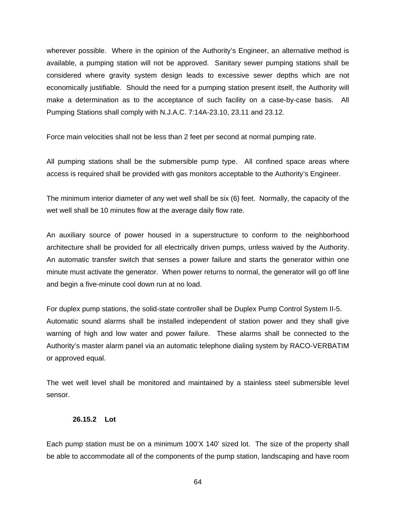wherever possible. Where in the opinion of the Authority's Engineer, an alternative method is available, a pumping station will not be approved. Sanitary sewer pumping stations shall be considered where gravity system design leads to excessive sewer depths which are not economically justifiable. Should the need for a pumping station present itself, the Authority will make a determination as to the acceptance of such facility on a case-by-case basis. All Pumping Stations shall comply with N.J.A.C. 7:14A-23.10, 23.11 and 23.12.

Force main velocities shall not be less than 2 feet per second at normal pumping rate.

All pumping stations shall be the submersible pump type. All confined space areas where access is required shall be provided with gas monitors acceptable to the Authority's Engineer.

The minimum interior diameter of any wet well shall be six (6) feet. Normally, the capacity of the wet well shall be 10 minutes flow at the average daily flow rate.

An auxiliary source of power housed in a superstructure to conform to the neighborhood architecture shall be provided for all electrically driven pumps, unless waived by the Authority. An automatic transfer switch that senses a power failure and starts the generator within one minute must activate the generator. When power returns to normal, the generator will go off line and begin a five-minute cool down run at no load.

For duplex pump stations, the solid-state controller shall be Duplex Pump Control System II-5. Automatic sound alarms shall be installed independent of station power and they shall give warning of high and low water and power failure. These alarms shall be connected to the Authority's master alarm panel via an automatic telephone dialing system by RACO-VERBATIM or approved equal.

The wet well level shall be monitored and maintained by a stainless steel submersible level sensor.

#### **26.15.2 Lot**

Each pump station must be on a minimum 100'X 140' sized lot. The size of the property shall be able to accommodate all of the components of the pump station, landscaping and have room

64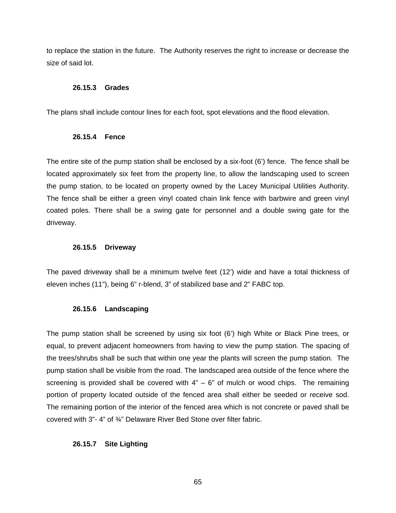to replace the station in the future. The Authority reserves the right to increase or decrease the size of said lot.

### **26.15.3 Grades**

The plans shall include contour lines for each foot, spot elevations and the flood elevation.

### **26.15.4 Fence**

The entire site of the pump station shall be enclosed by a six-foot (6') fence. The fence shall be located approximately six feet from the property line, to allow the landscaping used to screen the pump station, to be located on property owned by the Lacey Municipal Utilities Authority. The fence shall be either a green vinyl coated chain link fence with barbwire and green vinyl coated poles. There shall be a swing gate for personnel and a double swing gate for the driveway.

## **26.15.5 Driveway**

The paved driveway shall be a minimum twelve feet (12') wide and have a total thickness of eleven inches (11"), being 6" r-blend, 3" of stabilized base and 2" FABC top.

## **26.15.6 Landscaping**

The pump station shall be screened by using six foot (6') high White or Black Pine trees, or equal, to prevent adjacent homeowners from having to view the pump station. The spacing of the trees/shrubs shall be such that within one year the plants will screen the pump station. The pump station shall be visible from the road. The landscaped area outside of the fence where the screening is provided shall be covered with  $4" - 6"$  of mulch or wood chips. The remaining portion of property located outside of the fenced area shall either be seeded or receive sod. The remaining portion of the interior of the fenced area which is not concrete or paved shall be covered with 3"- 4" of ¾" Delaware River Bed Stone over filter fabric.

## **26.15.7 Site Lighting**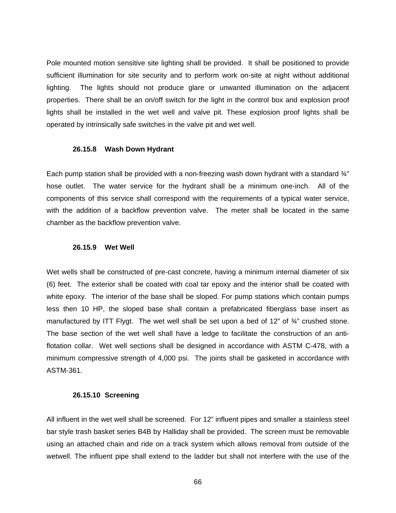Pole mounted motion sensitive site lighting shall be provided. It shall be positioned to provide sufficient illumination for site security and to perform work on-site at night without additional lighting. The lights should not produce glare or unwanted illumination on the adjacent properties. There shall be an on/off switch for the light in the control box and explosion proof lights shall be installed in the wet well and valve pit. These explosion proof lights shall be operated by intrinsically safe switches in the valve pit and wet well.

#### **26.15.8 Wash Down Hydrant**

Each pump station shall be provided with a non-freezing wash down hydrant with a standard  $\frac{3}{4}$ " hose outlet. The water service for the hydrant shall be a minimum one-inch. All of the components of this service shall correspond with the requirements of a typical water service, with the addition of a backflow prevention valve. The meter shall be located in the same chamber as the backflow prevention valve.

### **26.15.9 Wet Well**

Wet wells shall be constructed of pre-cast concrete, having a minimum internal diameter of six (6) feet. The exterior shall be coated with coal tar epoxy and the interior shall be coated with white epoxy. The interior of the base shall be sloped. For pump stations which contain pumps less then 10 HP, the sloped base shall contain a prefabricated fiberglass base insert as manufactured by ITT Flygt. The wet well shall be set upon a bed of 12" of  $\frac{3}{4}$ " crushed stone. The base section of the wet well shall have a ledge to facilitate the construction of an antiflotation collar. Wet well sections shall be designed in accordance with ASTM C-478, with a minimum compressive strength of 4,000 psi. The joints shall be gasketed in accordance with ASTM-361.

#### **26.15.10 Screening**

All influent in the wet well shall be screened. For 12" influent pipes and smaller a stainless steel bar style trash basket series B4B by Halliday shall be provided. The screen must be removable using an attached chain and ride on a track system which allows removal from outside of the wetwell. The influent pipe shall extend to the ladder but shall not interfere with the use of the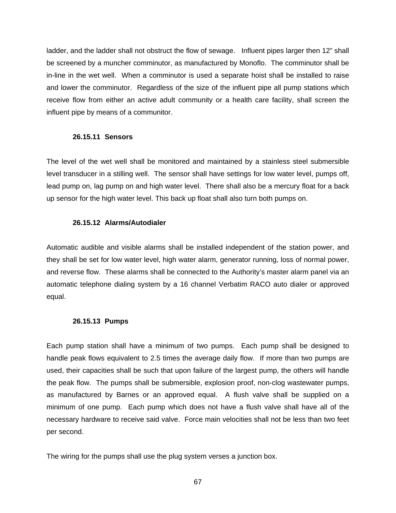ladder, and the ladder shall not obstruct the flow of sewage. Influent pipes larger then 12" shall be screened by a muncher comminutor, as manufactured by Monoflo. The comminutor shall be in-line in the wet well. When a comminutor is used a separate hoist shall be installed to raise and lower the comminutor. Regardless of the size of the influent pipe all pump stations which receive flow from either an active adult community or a health care facility, shall screen the influent pipe by means of a communitor.

### **26.15.11 Sensors**

The level of the wet well shall be monitored and maintained by a stainless steel submersible level transducer in a stilling well. The sensor shall have settings for low water level, pumps off, lead pump on, lag pump on and high water level. There shall also be a mercury float for a back up sensor for the high water level. This back up float shall also turn both pumps on.

## **26.15.12 Alarms/Autodialer**

Automatic audible and visible alarms shall be installed independent of the station power, and they shall be set for low water level, high water alarm, generator running, loss of normal power, and reverse flow. These alarms shall be connected to the Authority's master alarm panel via an automatic telephone dialing system by a 16 channel Verbatim RACO auto dialer or approved equal.

## **26.15.13 Pumps**

Each pump station shall have a minimum of two pumps. Each pump shall be designed to handle peak flows equivalent to 2.5 times the average daily flow. If more than two pumps are used, their capacities shall be such that upon failure of the largest pump, the others will handle the peak flow. The pumps shall be submersible, explosion proof, non-clog wastewater pumps, as manufactured by Barnes or an approved equal. A flush valve shall be supplied on a minimum of one pump. Each pump which does not have a flush valve shall have all of the necessary hardware to receive said valve. Force main velocities shall not be less than two feet per second.

The wiring for the pumps shall use the plug system verses a junction box.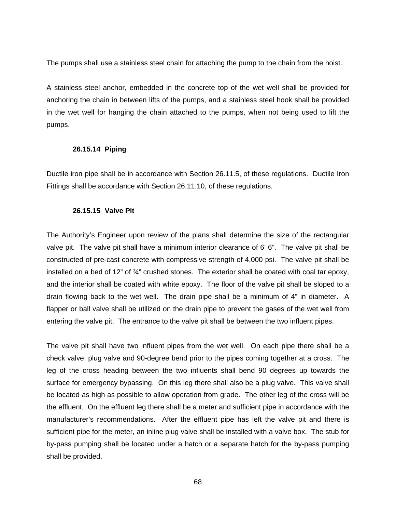The pumps shall use a stainless steel chain for attaching the pump to the chain from the hoist.

A stainless steel anchor, embedded in the concrete top of the wet well shall be provided for anchoring the chain in between lifts of the pumps, and a stainless steel hook shall be provided in the wet well for hanging the chain attached to the pumps, when not being used to lift the pumps.

### **26.15.14 Piping**

Ductile iron pipe shall be in accordance with Section 26.11.5, of these regulations. Ductile Iron Fittings shall be accordance with Section 26.11.10, of these regulations.

### **26.15.15 Valve Pit**

The Authority's Engineer upon review of the plans shall determine the size of the rectangular valve pit. The valve pit shall have a minimum interior clearance of 6' 6". The valve pit shall be constructed of pre-cast concrete with compressive strength of 4,000 psi. The valve pit shall be installed on a bed of 12" of  $\frac{3}{4}$ " crushed stones. The exterior shall be coated with coal tar epoxy, and the interior shall be coated with white epoxy. The floor of the valve pit shall be sloped to a drain flowing back to the wet well. The drain pipe shall be a minimum of 4" in diameter. A flapper or ball valve shall be utilized on the drain pipe to prevent the gases of the wet well from entering the valve pit. The entrance to the valve pit shall be between the two influent pipes.

The valve pit shall have two influent pipes from the wet well. On each pipe there shall be a check valve, plug valve and 90-degree bend prior to the pipes coming together at a cross. The leg of the cross heading between the two influents shall bend 90 degrees up towards the surface for emergency bypassing. On this leg there shall also be a plug valve. This valve shall be located as high as possible to allow operation from grade. The other leg of the cross will be the effluent. On the effluent leg there shall be a meter and sufficient pipe in accordance with the manufacturer's recommendations. After the effluent pipe has left the valve pit and there is sufficient pipe for the meter, an inline plug valve shall be installed with a valve box. The stub for by-pass pumping shall be located under a hatch or a separate hatch for the by-pass pumping shall be provided.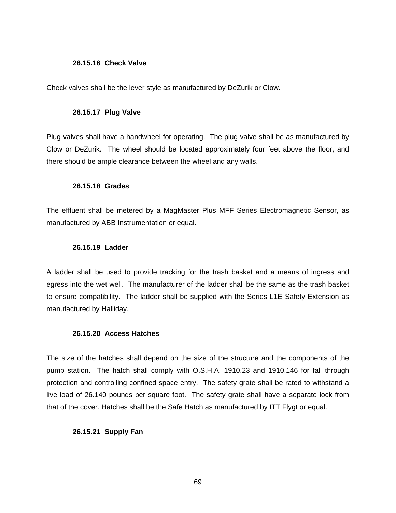#### **26.15.16 Check Valve**

Check valves shall be the lever style as manufactured by DeZurik or Clow.

#### **26.15.17 Plug Valve**

Plug valves shall have a handwheel for operating. The plug valve shall be as manufactured by Clow or DeZurik. The wheel should be located approximately four feet above the floor, and there should be ample clearance between the wheel and any walls.

### **26.15.18 Grades**

The effluent shall be metered by a MagMaster Plus MFF Series Electromagnetic Sensor, as manufactured by ABB Instrumentation or equal.

#### **26.15.19 Ladder**

A ladder shall be used to provide tracking for the trash basket and a means of ingress and egress into the wet well. The manufacturer of the ladder shall be the same as the trash basket to ensure compatibility. The ladder shall be supplied with the Series L1E Safety Extension as manufactured by Halliday.

#### **26.15.20 Access Hatches**

The size of the hatches shall depend on the size of the structure and the components of the pump station. The hatch shall comply with O.S.H.A. 1910.23 and 1910.146 for fall through protection and controlling confined space entry. The safety grate shall be rated to withstand a live load of 26.140 pounds per square foot. The safety grate shall have a separate lock from that of the cover. Hatches shall be the Safe Hatch as manufactured by ITT Flygt or equal.

## **26.15.21 Supply Fan**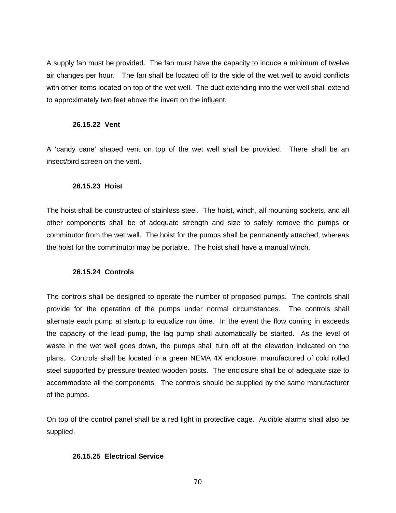A supply fan must be provided. The fan must have the capacity to induce a minimum of twelve air changes per hour. The fan shall be located off to the side of the wet well to avoid conflicts with other items located on top of the wet well. The duct extending into the wet well shall extend to approximately two feet above the invert on the influent.

#### **26.15.22 Vent**

A 'candy cane' shaped vent on top of the wet well shall be provided. There shall be an insect/bird screen on the vent.

#### **26.15.23 Hoist**

The hoist shall be constructed of stainless steel. The hoist, winch, all mounting sockets, and all other components shall be of adequate strength and size to safely remove the pumps or comminutor from the wet well. The hoist for the pumps shall be permanently attached, whereas the hoist for the comminutor may be portable. The hoist shall have a manual winch.

#### **26.15.24 Controls**

The controls shall be designed to operate the number of proposed pumps. The controls shall provide for the operation of the pumps under normal circumstances. The controls shall alternate each pump at startup to equalize run time. In the event the flow coming in exceeds the capacity of the lead pump, the lag pump shall automatically be started. As the level of waste in the wet well goes down, the pumps shall turn off at the elevation indicated on the plans. Controls shall be located in a green NEMA 4X enclosure, manufactured of cold rolled steel supported by pressure treated wooden posts. The enclosure shall be of adequate size to accommodate all the components. The controls should be supplied by the same manufacturer of the pumps.

On top of the control panel shall be a red light in protective cage. Audible alarms shall also be supplied.

### **26.15.25 Electrical Service**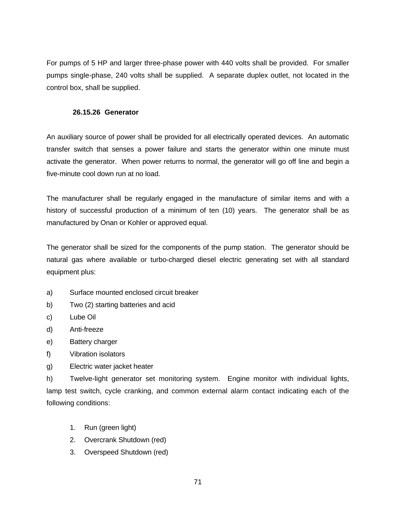For pumps of 5 HP and larger three-phase power with 440 volts shall be provided. For smaller pumps single-phase, 240 volts shall be supplied. A separate duplex outlet, not located in the control box, shall be supplied.

### **26.15.26 Generator**

An auxiliary source of power shall be provided for all electrically operated devices. An automatic transfer switch that senses a power failure and starts the generator within one minute must activate the generator. When power returns to normal, the generator will go off line and begin a five-minute cool down run at no load.

The manufacturer shall be regularly engaged in the manufacture of similar items and with a history of successful production of a minimum of ten (10) years. The generator shall be as manufactured by Onan or Kohler or approved equal.

The generator shall be sized for the components of the pump station. The generator should be natural gas where available or turbo-charged diesel electric generating set with all standard equipment plus:

- a) Surface mounted enclosed circuit breaker
- b) Two (2) starting batteries and acid
- c) Lube Oil
- d) Anti-freeze
- e) Battery charger
- f) Vibration isolators
- g) Electric water jacket heater

h) Twelve-light generator set monitoring system. Engine monitor with individual lights, lamp test switch, cycle cranking, and common external alarm contact indicating each of the following conditions:

- 1. Run (green light)
- 2. Overcrank Shutdown (red)
- 3. Overspeed Shutdown (red)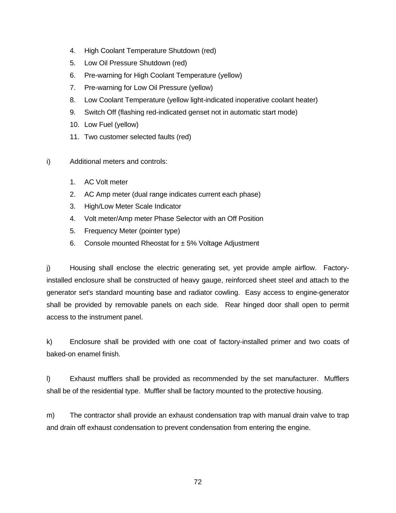- 4. High Coolant Temperature Shutdown (red)
- 5. Low Oil Pressure Shutdown (red)
- 6. Pre-warning for High Coolant Temperature (yellow)
- 7. Pre-warning for Low Oil Pressure (yellow)
- 8. Low Coolant Temperature (yellow light-indicated inoperative coolant heater)
- 9. Switch Off (flashing red-indicated genset not in automatic start mode)
- 10. Low Fuel (yellow)
- 11. Two customer selected faults (red)
- i) Additional meters and controls:
	- 1. AC Volt meter
	- 2. AC Amp meter (dual range indicates current each phase)
	- 3. High/Low Meter Scale Indicator
	- 4. Volt meter/Amp meter Phase Selector with an Off Position
	- 5. Frequency Meter (pointer type)
	- 6. Console mounted Rheostat for  $\pm$  5% Voltage Adjustment

j) Housing shall enclose the electric generating set, yet provide ample airflow. Factoryinstalled enclosure shall be constructed of heavy gauge, reinforced sheet steel and attach to the generator set's standard mounting base and radiator cowling. Easy access to engine-generator shall be provided by removable panels on each side. Rear hinged door shall open to permit access to the instrument panel.

k) Enclosure shall be provided with one coat of factory-installed primer and two coats of baked-on enamel finish.

l) Exhaust mufflers shall be provided as recommended by the set manufacturer. Mufflers shall be of the residential type. Muffler shall be factory mounted to the protective housing.

m) The contractor shall provide an exhaust condensation trap with manual drain valve to trap and drain off exhaust condensation to prevent condensation from entering the engine.

72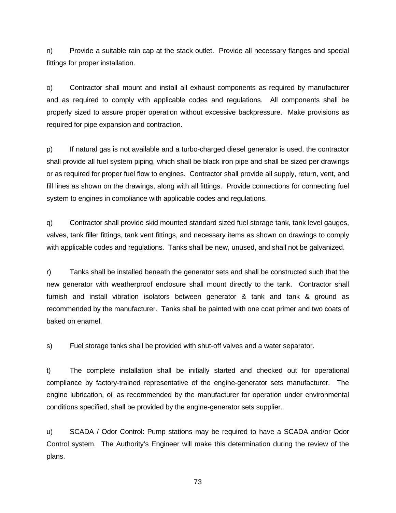n) Provide a suitable rain cap at the stack outlet. Provide all necessary flanges and special fittings for proper installation.

o) Contractor shall mount and install all exhaust components as required by manufacturer and as required to comply with applicable codes and regulations. All components shall be properly sized to assure proper operation without excessive backpressure. Make provisions as required for pipe expansion and contraction.

p) If natural gas is not available and a turbo-charged diesel generator is used, the contractor shall provide all fuel system piping, which shall be black iron pipe and shall be sized per drawings or as required for proper fuel flow to engines. Contractor shall provide all supply, return, vent, and fill lines as shown on the drawings, along with all fittings. Provide connections for connecting fuel system to engines in compliance with applicable codes and regulations.

q) Contractor shall provide skid mounted standard sized fuel storage tank, tank level gauges, valves, tank filler fittings, tank vent fittings, and necessary items as shown on drawings to comply with applicable codes and regulations. Tanks shall be new, unused, and shall not be galvanized.

r) Tanks shall be installed beneath the generator sets and shall be constructed such that the new generator with weatherproof enclosure shall mount directly to the tank. Contractor shall furnish and install vibration isolators between generator & tank and tank & ground as recommended by the manufacturer. Tanks shall be painted with one coat primer and two coats of baked on enamel.

s) Fuel storage tanks shall be provided with shut-off valves and a water separator.

t) The complete installation shall be initially started and checked out for operational compliance by factory-trained representative of the engine-generator sets manufacturer. The engine lubrication, oil as recommended by the manufacturer for operation under environmental conditions specified, shall be provided by the engine-generator sets supplier.

u) SCADA / Odor Control: Pump stations may be required to have a SCADA and/or Odor Control system. The Authority's Engineer will make this determination during the review of the plans.

73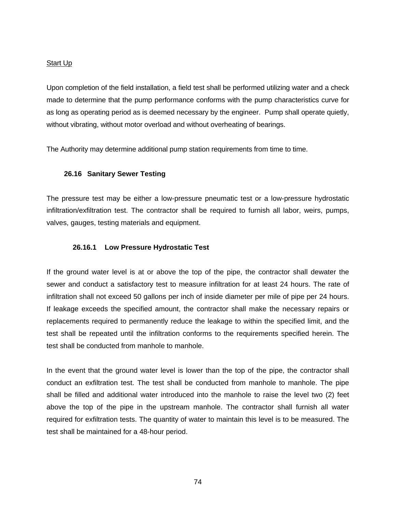#### Start Up

Upon completion of the field installation, a field test shall be performed utilizing water and a check made to determine that the pump performance conforms with the pump characteristics curve for as long as operating period as is deemed necessary by the engineer. Pump shall operate quietly, without vibrating, without motor overload and without overheating of bearings.

The Authority may determine additional pump station requirements from time to time.

#### **26.16 Sanitary Sewer Testing**

The pressure test may be either a low-pressure pneumatic test or a low-pressure hydrostatic infiltration/exfiltration test. The contractor shall be required to furnish all labor, weirs, pumps, valves, gauges, testing materials and equipment.

# **26.16.1 Low Pressure Hydrostatic Test**

If the ground water level is at or above the top of the pipe, the contractor shall dewater the sewer and conduct a satisfactory test to measure infiltration for at least 24 hours. The rate of infiltration shall not exceed 50 gallons per inch of inside diameter per mile of pipe per 24 hours. If leakage exceeds the specified amount, the contractor shall make the necessary repairs or replacements required to permanently reduce the leakage to within the specified limit, and the test shall be repeated until the infiltration conforms to the requirements specified herein. The test shall be conducted from manhole to manhole.

In the event that the ground water level is lower than the top of the pipe, the contractor shall conduct an exfiltration test. The test shall be conducted from manhole to manhole. The pipe shall be filled and additional water introduced into the manhole to raise the level two (2) feet above the top of the pipe in the upstream manhole. The contractor shall furnish all water required for exfiltration tests. The quantity of water to maintain this level is to be measured. The test shall be maintained for a 48-hour period.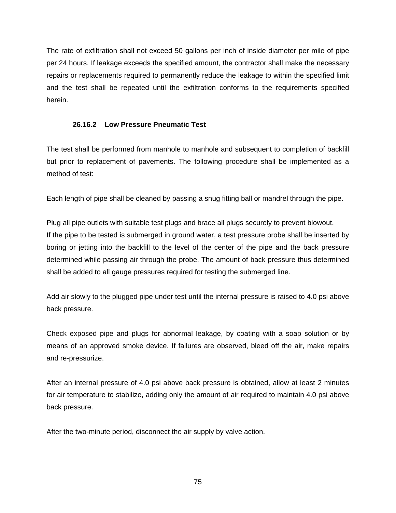The rate of exfiltration shall not exceed 50 gallons per inch of inside diameter per mile of pipe per 24 hours. If leakage exceeds the specified amount, the contractor shall make the necessary repairs or replacements required to permanently reduce the leakage to within the specified limit and the test shall be repeated until the exfiltration conforms to the requirements specified herein.

# **26.16.2 Low Pressure Pneumatic Test**

The test shall be performed from manhole to manhole and subsequent to completion of backfill but prior to replacement of pavements. The following procedure shall be implemented as a method of test:

Each length of pipe shall be cleaned by passing a snug fitting ball or mandrel through the pipe.

Plug all pipe outlets with suitable test plugs and brace all plugs securely to prevent blowout. If the pipe to be tested is submerged in ground water, a test pressure probe shall be inserted by boring or jetting into the backfill to the level of the center of the pipe and the back pressure determined while passing air through the probe. The amount of back pressure thus determined shall be added to all gauge pressures required for testing the submerged line.

Add air slowly to the plugged pipe under test until the internal pressure is raised to 4.0 psi above back pressure.

Check exposed pipe and plugs for abnormal leakage, by coating with a soap solution or by means of an approved smoke device. If failures are observed, bleed off the air, make repairs and re-pressurize.

After an internal pressure of 4.0 psi above back pressure is obtained, allow at least 2 minutes for air temperature to stabilize, adding only the amount of air required to maintain 4.0 psi above back pressure.

After the two-minute period, disconnect the air supply by valve action.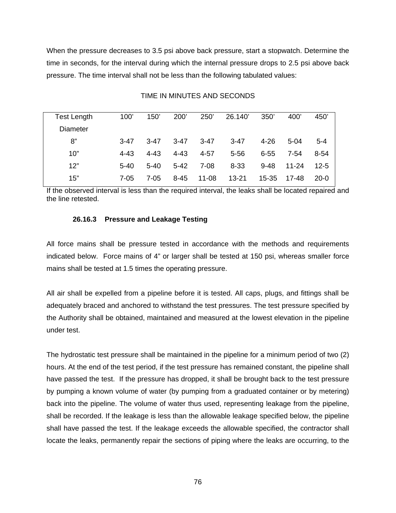When the pressure decreases to 3.5 psi above back pressure, start a stopwatch. Determine the time in seconds, for the interval during which the internal pressure drops to 2.5 psi above back pressure. The time interval shall not be less than the following tabulated values:

| Test Length     | 100'     | 150'     | 200'     | 250'     | 26.140    | 350'      | 400 <sup>'</sup> | 450'     |
|-----------------|----------|----------|----------|----------|-----------|-----------|------------------|----------|
| <b>Diameter</b> |          |          |          |          |           |           |                  |          |
| 8"              | $3 - 47$ | $3 - 47$ | $3 - 47$ | $3 - 47$ | $3 - 47$  | $4 - 26$  | $5 - 04$         | $5 - 4$  |
| 10"             | $4 - 43$ | $4 - 43$ | $4 - 43$ | $4 - 57$ | $5 - 56$  | $6 - 55$  | 7-54             | $8 - 54$ |
| 12"             | $5 - 40$ | $5 - 40$ | $5 - 42$ | $7 - 08$ | $8 - 33$  | $9 - 48$  | $11 - 24$        | $12 - 5$ |
| 15"             | 7-05     | 7-05     | $8 - 45$ | 11-08    | $13 - 21$ | $15 - 35$ | 17-48            | 20-0     |

#### TIME IN MINUTES AND SECONDS

If the observed interval is less than the required interval, the leaks shall be located repaired and the line retested.

#### **26.16.3 Pressure and Leakage Testing**

All force mains shall be pressure tested in accordance with the methods and requirements indicated below. Force mains of 4" or larger shall be tested at 150 psi, whereas smaller force mains shall be tested at 1.5 times the operating pressure.

All air shall be expelled from a pipeline before it is tested. All caps, plugs, and fittings shall be adequately braced and anchored to withstand the test pressures. The test pressure specified by the Authority shall be obtained, maintained and measured at the lowest elevation in the pipeline under test.

The hydrostatic test pressure shall be maintained in the pipeline for a minimum period of two (2) hours. At the end of the test period, if the test pressure has remained constant, the pipeline shall have passed the test. If the pressure has dropped, it shall be brought back to the test pressure by pumping a known volume of water (by pumping from a graduated container or by metering) back into the pipeline. The volume of water thus used, representing leakage from the pipeline, shall be recorded. If the leakage is less than the allowable leakage specified below, the pipeline shall have passed the test. If the leakage exceeds the allowable specified, the contractor shall locate the leaks, permanently repair the sections of piping where the leaks are occurring, to the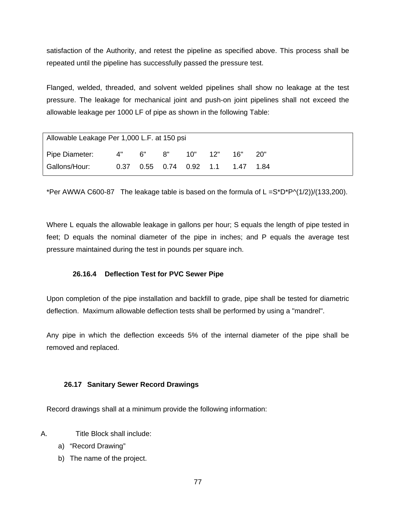satisfaction of the Authority, and retest the pipeline as specified above. This process shall be repeated until the pipeline has successfully passed the pressure test.

Flanged, welded, threaded, and solvent welded pipelines shall show no leakage at the test pressure. The leakage for mechanical joint and push-on joint pipelines shall not exceed the allowable leakage per 1000 LF of pipe as shown in the following Table:

| Allowable Leakage Per 1,000 L.F. at 150 psi |       |  |                             |       |     |      |        |  |  |
|---------------------------------------------|-------|--|-----------------------------|-------|-----|------|--------|--|--|
| Pipe Diameter:                              | 4" 6" |  | 8"                          | 10" l | 12" | 16"  | . 20"  |  |  |
| Gallons/Hour:                               |       |  | 0.37  0.55  0.74  0.92  1.1 |       |     | 1.47 | - 1.84 |  |  |

\*Per AWWA C600-87 The leakage table is based on the formula of  $L = S^*D^*P^(1/2)/(133,200)$ .

Where L equals the allowable leakage in gallons per hour; S equals the length of pipe tested in feet; D equals the nominal diameter of the pipe in inches; and P equals the average test pressure maintained during the test in pounds per square inch.

# **26.16.4 Deflection Test for PVC Sewer Pipe**

Upon completion of the pipe installation and backfill to grade, pipe shall be tested for diametric deflection. Maximum allowable deflection tests shall be performed by using a "mandrel".

Any pipe in which the deflection exceeds 5% of the internal diameter of the pipe shall be removed and replaced.

# **26.17 Sanitary Sewer Record Drawings**

Record drawings shall at a minimum provide the following information:

- A. Title Block shall include:
	- a) "Record Drawing"
	- b) The name of the project.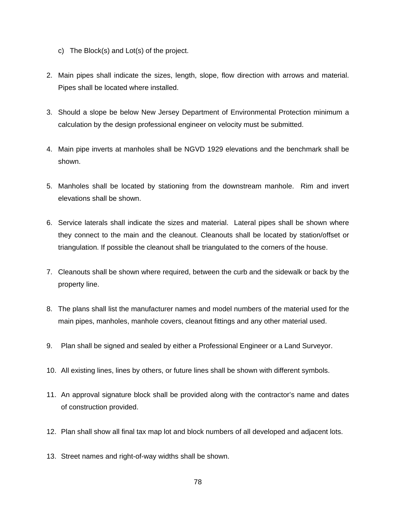- c) The Block(s) and Lot(s) of the project.
- 2. Main pipes shall indicate the sizes, length, slope, flow direction with arrows and material. Pipes shall be located where installed.
- 3. Should a slope be below New Jersey Department of Environmental Protection minimum a calculation by the design professional engineer on velocity must be submitted.
- 4. Main pipe inverts at manholes shall be NGVD 1929 elevations and the benchmark shall be shown.
- 5. Manholes shall be located by stationing from the downstream manhole. Rim and invert elevations shall be shown.
- 6. Service laterals shall indicate the sizes and material. Lateral pipes shall be shown where they connect to the main and the cleanout. Cleanouts shall be located by station/offset or triangulation. If possible the cleanout shall be triangulated to the corners of the house.
- 7. Cleanouts shall be shown where required, between the curb and the sidewalk or back by the property line.
- 8. The plans shall list the manufacturer names and model numbers of the material used for the main pipes, manholes, manhole covers, cleanout fittings and any other material used.
- 9. Plan shall be signed and sealed by either a Professional Engineer or a Land Surveyor.
- 10. All existing lines, lines by others, or future lines shall be shown with different symbols.
- 11. An approval signature block shall be provided along with the contractor's name and dates of construction provided.
- 12. Plan shall show all final tax map lot and block numbers of all developed and adjacent lots.
- 13. Street names and right-of-way widths shall be shown.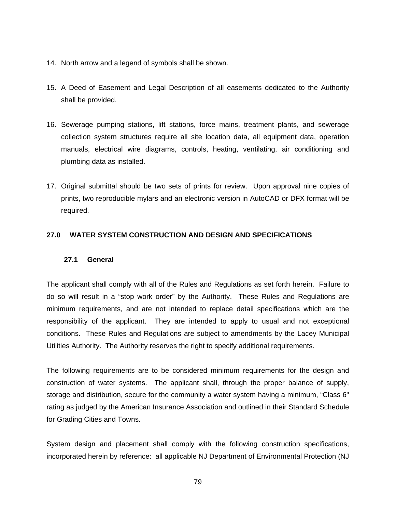- 14. North arrow and a legend of symbols shall be shown.
- 15. A Deed of Easement and Legal Description of all easements dedicated to the Authority shall be provided.
- 16. Sewerage pumping stations, lift stations, force mains, treatment plants, and sewerage collection system structures require all site location data, all equipment data, operation manuals, electrical wire diagrams, controls, heating, ventilating, air conditioning and plumbing data as installed.
- 17. Original submittal should be two sets of prints for review. Upon approval nine copies of prints, two reproducible mylars and an electronic version in AutoCAD or DFX format will be required.

# **27.0 WATER SYSTEM CONSTRUCTION AND DESIGN AND SPECIFICATIONS**

# **27.1 General**

The applicant shall comply with all of the Rules and Regulations as set forth herein. Failure to do so will result in a "stop work order" by the Authority. These Rules and Regulations are minimum requirements, and are not intended to replace detail specifications which are the responsibility of the applicant. They are intended to apply to usual and not exceptional conditions. These Rules and Regulations are subject to amendments by the Lacey Municipal Utilities Authority. The Authority reserves the right to specify additional requirements.

The following requirements are to be considered minimum requirements for the design and construction of water systems. The applicant shall, through the proper balance of supply, storage and distribution, secure for the community a water system having a minimum, "Class 6" rating as judged by the American Insurance Association and outlined in their Standard Schedule for Grading Cities and Towns.

System design and placement shall comply with the following construction specifications, incorporated herein by reference: all applicable NJ Department of Environmental Protection (NJ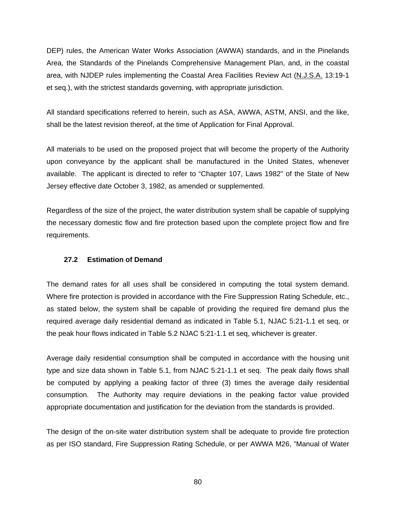DEP) rules, the American Water Works Association (AWWA) standards, and in the Pinelands Area, the Standards of the Pinelands Comprehensive Management Plan, and, in the coastal area, with NJDEP rules implementing the Coastal Area Facilities Review Act (N.J.S.A. 13:19-1 et seq.), with the strictest standards governing, with appropriate jurisdiction.

All standard specifications referred to herein, such as ASA, AWWA, ASTM, ANSI, and the like, shall be the latest revision thereof, at the time of Application for Final Approval.

All materials to be used on the proposed project that will become the property of the Authority upon conveyance by the applicant shall be manufactured in the United States, whenever available. The applicant is directed to refer to "Chapter 107, Laws 1982" of the State of New Jersey effective date October 3, 1982, as amended or supplemented.

Regardless of the size of the project, the water distribution system shall be capable of supplying the necessary domestic flow and fire protection based upon the complete project flow and fire requirements.

# **27.2 Estimation of Demand**

The demand rates for all uses shall be considered in computing the total system demand. Where fire protection is provided in accordance with the Fire Suppression Rating Schedule, etc., as stated below, the system shall be capable of providing the required fire demand plus the required average daily residential demand as indicated in Table 5.1, NJAC 5:21-1.1 et seq, or the peak hour flows indicated in Table 5.2 NJAC 5:21-1.1 et seq, whichever is greater.

Average daily residential consumption shall be computed in accordance with the housing unit type and size data shown in Table 5.1, from NJAC 5:21-1.1 et seq. The peak daily flows shall be computed by applying a peaking factor of three (3) times the average daily residential consumption. The Authority may require deviations in the peaking factor value provided appropriate documentation and justification for the deviation from the standards is provided.

The design of the on-site water distribution system shall be adequate to provide fire protection as per ISO standard, Fire Suppression Rating Schedule, or per AWWA M26, "Manual of Water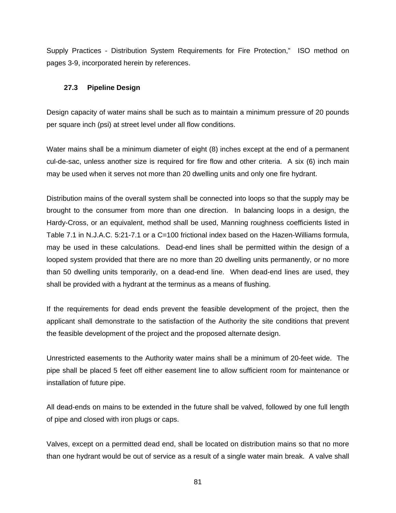Supply Practices - Distribution System Requirements for Fire Protection," ISO method on pages 3-9, incorporated herein by references.

# **27.3 Pipeline Design**

Design capacity of water mains shall be such as to maintain a minimum pressure of 20 pounds per square inch (psi) at street level under all flow conditions.

Water mains shall be a minimum diameter of eight (8) inches except at the end of a permanent cul-de-sac, unless another size is required for fire flow and other criteria. A six (6) inch main may be used when it serves not more than 20 dwelling units and only one fire hydrant.

Distribution mains of the overall system shall be connected into loops so that the supply may be brought to the consumer from more than one direction. In balancing loops in a design, the Hardy-Cross, or an equivalent, method shall be used, Manning roughness coefficients listed in Table 7.1 in N.J.A.C. 5:21-7.1 or a C=100 frictional index based on the Hazen-Williams formula, may be used in these calculations. Dead-end lines shall be permitted within the design of a looped system provided that there are no more than 20 dwelling units permanently, or no more than 50 dwelling units temporarily, on a dead-end line. When dead-end lines are used, they shall be provided with a hydrant at the terminus as a means of flushing.

If the requirements for dead ends prevent the feasible development of the project, then the applicant shall demonstrate to the satisfaction of the Authority the site conditions that prevent the feasible development of the project and the proposed alternate design.

Unrestricted easements to the Authority water mains shall be a minimum of 20-feet wide. The pipe shall be placed 5 feet off either easement line to allow sufficient room for maintenance or installation of future pipe.

All dead-ends on mains to be extended in the future shall be valved, followed by one full length of pipe and closed with iron plugs or caps.

Valves, except on a permitted dead end, shall be located on distribution mains so that no more than one hydrant would be out of service as a result of a single water main break. A valve shall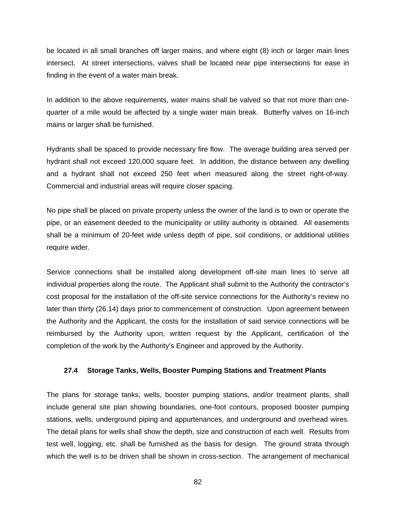be located in all small branches off larger mains, and where eight (8) inch or larger main lines intersect. At street intersections, valves shall be located near pipe intersections for ease in finding in the event of a water main break.

In addition to the above requirements, water mains shall be valved so that not more than onequarter of a mile would be affected by a single water main break. Butterfly valves on 16-inch mains or larger shall be furnished.

Hydrants shall be spaced to provide necessary fire flow. The average building area served per hydrant shall not exceed 120,000 square feet. In addition, the distance between any dwelling and a hydrant shall not exceed 250 feet when measured along the street right-of-way. Commercial and industrial areas will require closer spacing.

No pipe shall be placed on private property unless the owner of the land is to own or operate the pipe, or an easement deeded to the municipality or utility authority is obtained. All easements shall be a minimum of 20-feet wide unless depth of pipe, soil conditions, or additional utilities require wider.

Service connections shall be installed along development off-site main lines to serve all individual properties along the route. The Applicant shall submit to the Authority the contractor's cost proposal for the installation of the off-site service connections for the Authority's review no later than thirty (26.14) days prior to commencement of construction. Upon agreement between the Authority and the Applicant, the costs for the installation of said service connections will be reimbursed by the Authority upon, written request by the Applicant, certification of the completion of the work by the Authority's Engineer and approved by the Authority.

#### **27.4 Storage Tanks, Wells, Booster Pumping Stations and Treatment Plants**

The plans for storage tanks, wells, booster pumping stations, and/or treatment plants, shall include general site plan showing boundaries, one-foot contours, proposed booster pumping stations, wells, underground piping and appurtenances, and underground and overhead wires. The detail plans for wells shall show the depth, size and construction of each well. Results from test well, logging, etc. shall be furnished as the basis for design. The ground strata through which the well is to be driven shall be shown in cross-section. The arrangement of mechanical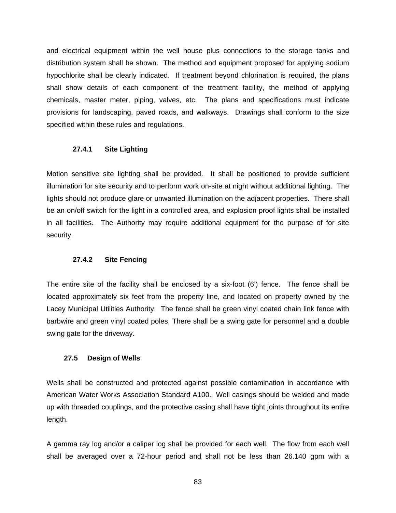and electrical equipment within the well house plus connections to the storage tanks and distribution system shall be shown. The method and equipment proposed for applying sodium hypochlorite shall be clearly indicated. If treatment beyond chlorination is required, the plans shall show details of each component of the treatment facility, the method of applying chemicals, master meter, piping, valves, etc. The plans and specifications must indicate provisions for landscaping, paved roads, and walkways. Drawings shall conform to the size specified within these rules and regulations.

#### **27.4.1 Site Lighting**

Motion sensitive site lighting shall be provided. It shall be positioned to provide sufficient illumination for site security and to perform work on-site at night without additional lighting. The lights should not produce glare or unwanted illumination on the adjacent properties. There shall be an on/off switch for the light in a controlled area, and explosion proof lights shall be installed in all facilities. The Authority may require additional equipment for the purpose of for site security.

#### **27.4.2 Site Fencing**

The entire site of the facility shall be enclosed by a six-foot (6') fence. The fence shall be located approximately six feet from the property line, and located on property owned by the Lacey Municipal Utilities Authority. The fence shall be green vinyl coated chain link fence with barbwire and green vinyl coated poles. There shall be a swing gate for personnel and a double swing gate for the driveway.

# **27.5 Design of Wells**

Wells shall be constructed and protected against possible contamination in accordance with American Water Works Association Standard A100. Well casings should be welded and made up with threaded couplings, and the protective casing shall have tight joints throughout its entire length.

A gamma ray log and/or a caliper log shall be provided for each well. The flow from each well shall be averaged over a 72-hour period and shall not be less than 26.140 gpm with a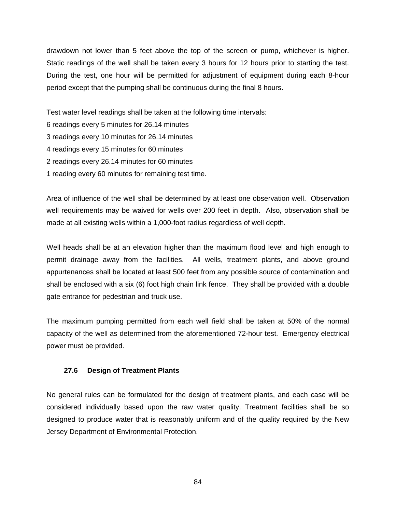drawdown not lower than 5 feet above the top of the screen or pump, whichever is higher. Static readings of the well shall be taken every 3 hours for 12 hours prior to starting the test. During the test, one hour will be permitted for adjustment of equipment during each 8-hour period except that the pumping shall be continuous during the final 8 hours.

Test water level readings shall be taken at the following time intervals:

6 readings every 5 minutes for 26.14 minutes

3 readings every 10 minutes for 26.14 minutes

4 readings every 15 minutes for 60 minutes

2 readings every 26.14 minutes for 60 minutes

1 reading every 60 minutes for remaining test time.

Area of influence of the well shall be determined by at least one observation well. Observation well requirements may be waived for wells over 200 feet in depth. Also, observation shall be made at all existing wells within a 1,000-foot radius regardless of well depth.

Well heads shall be at an elevation higher than the maximum flood level and high enough to permit drainage away from the facilities. All wells, treatment plants, and above ground appurtenances shall be located at least 500 feet from any possible source of contamination and shall be enclosed with a six (6) foot high chain link fence. They shall be provided with a double gate entrance for pedestrian and truck use.

The maximum pumping permitted from each well field shall be taken at 50% of the normal capacity of the well as determined from the aforementioned 72-hour test. Emergency electrical power must be provided.

#### **27.6 Design of Treatment Plants**

No general rules can be formulated for the design of treatment plants, and each case will be considered individually based upon the raw water quality. Treatment facilities shall be so designed to produce water that is reasonably uniform and of the quality required by the New Jersey Department of Environmental Protection.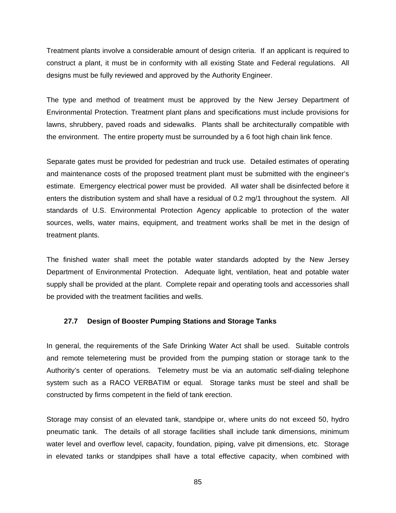Treatment plants involve a considerable amount of design criteria. If an applicant is required to construct a plant, it must be in conformity with all existing State and Federal regulations. All designs must be fully reviewed and approved by the Authority Engineer.

The type and method of treatment must be approved by the New Jersey Department of Environmental Protection. Treatment plant plans and specifications must include provisions for lawns, shrubbery, paved roads and sidewalks. Plants shall be architecturally compatible with the environment. The entire property must be surrounded by a 6 foot high chain link fence.

Separate gates must be provided for pedestrian and truck use. Detailed estimates of operating and maintenance costs of the proposed treatment plant must be submitted with the engineer's estimate. Emergency electrical power must be provided. All water shall be disinfected before it enters the distribution system and shall have a residual of 0.2 mg/1 throughout the system. All standards of U.S. Environmental Protection Agency applicable to protection of the water sources, wells, water mains, equipment, and treatment works shall be met in the design of treatment plants.

The finished water shall meet the potable water standards adopted by the New Jersey Department of Environmental Protection. Adequate light, ventilation, heat and potable water supply shall be provided at the plant. Complete repair and operating tools and accessories shall be provided with the treatment facilities and wells.

#### **27.7 Design of Booster Pumping Stations and Storage Tanks**

In general, the requirements of the Safe Drinking Water Act shall be used. Suitable controls and remote telemetering must be provided from the pumping station or storage tank to the Authority's center of operations. Telemetry must be via an automatic self-dialing telephone system such as a RACO VERBATIM or equal. Storage tanks must be steel and shall be constructed by firms competent in the field of tank erection.

Storage may consist of an elevated tank, standpipe or, where units do not exceed 50, hydro pneumatic tank. The details of all storage facilities shall include tank dimensions, minimum water level and overflow level, capacity, foundation, piping, valve pit dimensions, etc. Storage in elevated tanks or standpipes shall have a total effective capacity, when combined with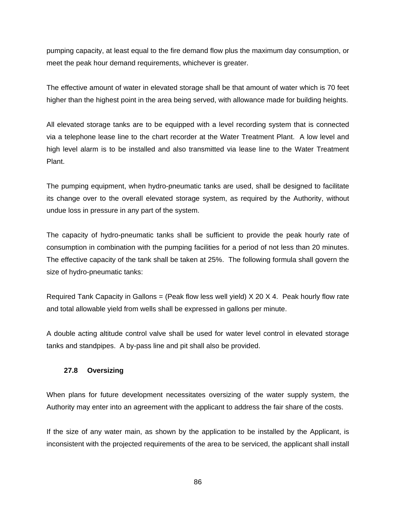pumping capacity, at least equal to the fire demand flow plus the maximum day consumption, or meet the peak hour demand requirements, whichever is greater.

The effective amount of water in elevated storage shall be that amount of water which is 70 feet higher than the highest point in the area being served, with allowance made for building heights.

All elevated storage tanks are to be equipped with a level recording system that is connected via a telephone lease line to the chart recorder at the Water Treatment Plant. A low level and high level alarm is to be installed and also transmitted via lease line to the Water Treatment Plant.

The pumping equipment, when hydro-pneumatic tanks are used, shall be designed to facilitate its change over to the overall elevated storage system, as required by the Authority, without undue loss in pressure in any part of the system.

The capacity of hydro-pneumatic tanks shall be sufficient to provide the peak hourly rate of consumption in combination with the pumping facilities for a period of not less than 20 minutes. The effective capacity of the tank shall be taken at 25%. The following formula shall govern the size of hydro-pneumatic tanks:

Required Tank Capacity in Gallons = (Peak flow less well yield)  $X$  20  $X$  4. Peak hourly flow rate and total allowable yield from wells shall be expressed in gallons per minute.

A double acting altitude control valve shall be used for water level control in elevated storage tanks and standpipes. A by-pass line and pit shall also be provided.

# **27.8 Oversizing**

When plans for future development necessitates oversizing of the water supply system, the Authority may enter into an agreement with the applicant to address the fair share of the costs.

If the size of any water main, as shown by the application to be installed by the Applicant, is inconsistent with the projected requirements of the area to be serviced, the applicant shall install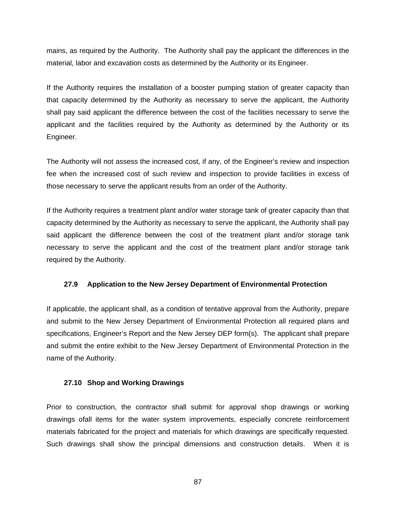mains, as required by the Authority. The Authority shall pay the applicant the differences in the material, labor and excavation costs as determined by the Authority or its Engineer.

If the Authority requires the installation of a booster pumping station of greater capacity than that capacity determined by the Authority as necessary to serve the applicant, the Authority shall pay said applicant the difference between the cost of the facilities necessary to serve the applicant and the facilities required by the Authority as determined by the Authority or its Engineer.

The Authority will not assess the increased cost, if any, of the Engineer's review and inspection fee when the increased cost of such review and inspection to provide facilities in excess of those necessary to serve the applicant results from an order of the Authority.

If the Authority requires a treatment plant and/or water storage tank of greater capacity than that capacity determined by the Authority as necessary to serve the applicant, the Authority shall pay said applicant the difference between the cost of the treatment plant and/or storage tank necessary to serve the applicant and the cost of the treatment plant and/or storage tank required by the Authority.

#### **27.9 Application to the New Jersey Department of Environmental Protection**

If applicable, the applicant shall, as a condition of tentative approval from the Authority, prepare and submit to the New Jersey Department of Environmental Protection all required plans and specifications, Engineer's Report and the New Jersey DEP form(s). The applicant shall prepare and submit the entire exhibit to the New Jersey Department of Environmental Protection in the name of the Authority.

#### **27.10 Shop and Working Drawings**

Prior to construction, the contractor shall submit for approval shop drawings or working drawings ofall items for the water system improvements, especially concrete reinforcement materials fabricated for the project and materials for which drawings are specifically requested. Such drawings shall show the principal dimensions and construction details. When it is

87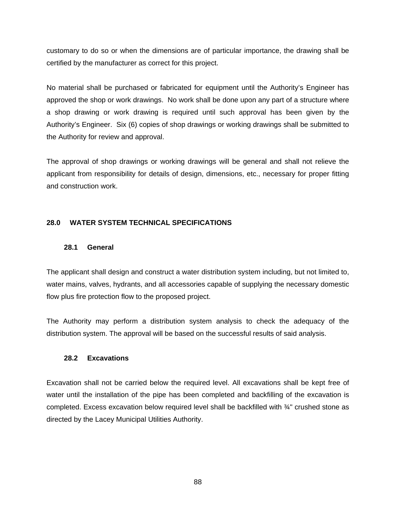customary to do so or when the dimensions are of particular importance, the drawing shall be certified by the manufacturer as correct for this project.

No material shall be purchased or fabricated for equipment until the Authority's Engineer has approved the shop or work drawings. No work shall be done upon any part of a structure where a shop drawing or work drawing is required until such approval has been given by the Authority's Engineer. Six (6) copies of shop drawings or working drawings shall be submitted to the Authority for review and approval.

The approval of shop drawings or working drawings will be general and shall not relieve the applicant from responsibility for details of design, dimensions, etc., necessary for proper fitting and construction work.

# **28.0 WATER SYSTEM TECHNICAL SPECIFICATIONS**

#### **28.1 General**

The applicant shall design and construct a water distribution system including, but not limited to, water mains, valves, hydrants, and all accessories capable of supplying the necessary domestic flow plus fire protection flow to the proposed project.

The Authority may perform a distribution system analysis to check the adequacy of the distribution system. The approval will be based on the successful results of said analysis.

# **28.2 Excavations**

Excavation shall not be carried below the required level. All excavations shall be kept free of water until the installation of the pipe has been completed and backfilling of the excavation is completed. Excess excavation below required level shall be backfilled with ¾" crushed stone as directed by the Lacey Municipal Utilities Authority.

88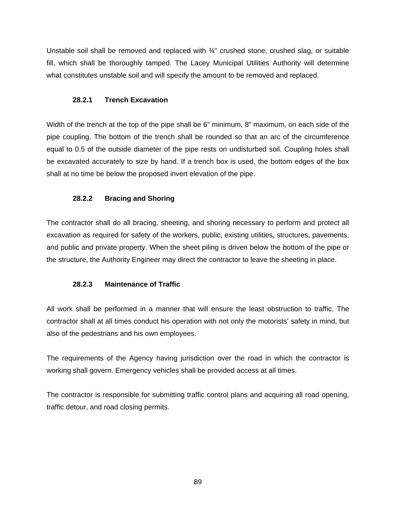Unstable soil shall be removed and replaced with ¾" crushed stone, crushed slag, or suitable fill, which shall be thoroughly tamped. The Lacey Municipal Utilities Authority will determine what constitutes unstable soil and will specify the amount to be removed and replaced.

# **28.2.1 Trench Excavation**

Width of the trench at the top of the pipe shall be 6" minimum, 8" maximum, on each side of the pipe coupling. The bottom of the trench shall be rounded so that an arc of the circumference equal to 0.5 of the outside diameter of the pipe rests on undisturbed soil. Coupling holes shall be excavated accurately to size by hand. If a trench box is used, the bottom edges of the box shall at no time be below the proposed invert elevation of the pipe.

# **28.2.2 Bracing and Shoring**

The contractor shall do all bracing, sheeting, and shoring necessary to perform and protect all excavation as required for safety of the workers, public, existing utilities, structures, pavements, and public and private property. When the sheet piling is driven below the bottom of the pipe or the structure, the Authority Engineer may direct the contractor to leave the sheeting in place.

# **28.2.3 Maintenance of Traffic**

All work shall be performed in a manner that will ensure the least obstruction to traffic. The contractor shall at all times conduct his operation with not only the motorists' safety in mind, but also of the pedestrians and his own employees.

The requirements of the Agency having jurisdiction over the road in which the contractor is working shall govern. Emergency vehicles shall be provided access at all times.

The contractor is responsible for submitting traffic control plans and acquiring all road opening, traffic detour, and road closing permits.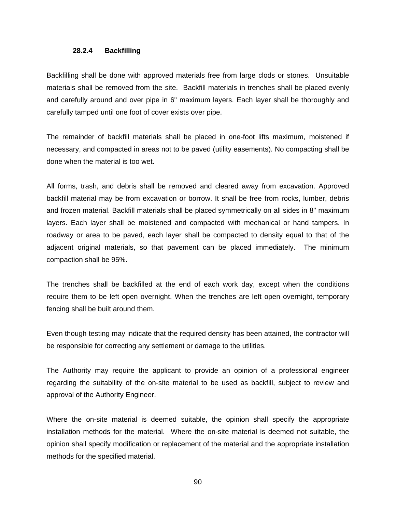#### **28.2.4 Backfilling**

Backfilling shall be done with approved materials free from large clods or stones. Unsuitable materials shall be removed from the site. Backfill materials in trenches shall be placed evenly and carefully around and over pipe in 6" maximum layers. Each layer shall be thoroughly and carefully tamped until one foot of cover exists over pipe.

The remainder of backfill materials shall be placed in one-foot lifts maximum, moistened if necessary, and compacted in areas not to be paved (utility easements). No compacting shall be done when the material is too wet.

All forms, trash, and debris shall be removed and cleared away from excavation. Approved backfill material may be from excavation or borrow. It shall be free from rocks, lumber, debris and frozen material. Backfill materials shall be placed symmetrically on all sides in 8" maximum layers. Each layer shall be moistened and compacted with mechanical or hand tampers. In roadway or area to be paved, each layer shall be compacted to density equal to that of the adjacent original materials, so that pavement can be placed immediately. The minimum compaction shall be 95%.

The trenches shall be backfilled at the end of each work day, except when the conditions require them to be left open overnight. When the trenches are left open overnight, temporary fencing shall be built around them.

Even though testing may indicate that the required density has been attained, the contractor will be responsible for correcting any settlement or damage to the utilities.

The Authority may require the applicant to provide an opinion of a professional engineer regarding the suitability of the on-site material to be used as backfill, subject to review and approval of the Authority Engineer.

Where the on-site material is deemed suitable, the opinion shall specify the appropriate installation methods for the material. Where the on-site material is deemed not suitable, the opinion shall specify modification or replacement of the material and the appropriate installation methods for the specified material.

90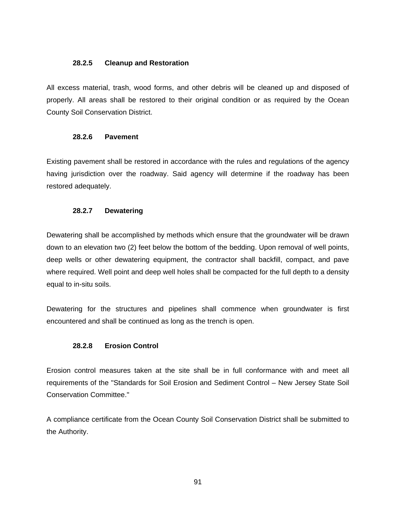#### **28.2.5 Cleanup and Restoration**

All excess material, trash, wood forms, and other debris will be cleaned up and disposed of properly. All areas shall be restored to their original condition or as required by the Ocean County Soil Conservation District.

#### **28.2.6 Pavement**

Existing pavement shall be restored in accordance with the rules and regulations of the agency having jurisdiction over the roadway. Said agency will determine if the roadway has been restored adequately.

# **28.2.7 Dewatering**

Dewatering shall be accomplished by methods which ensure that the groundwater will be drawn down to an elevation two (2) feet below the bottom of the bedding. Upon removal of well points, deep wells or other dewatering equipment, the contractor shall backfill, compact, and pave where required. Well point and deep well holes shall be compacted for the full depth to a density equal to in-situ soils.

Dewatering for the structures and pipelines shall commence when groundwater is first encountered and shall be continued as long as the trench is open.

# **28.2.8 Erosion Control**

Erosion control measures taken at the site shall be in full conformance with and meet all requirements of the "Standards for Soil Erosion and Sediment Control – New Jersey State Soil Conservation Committee."

A compliance certificate from the Ocean County Soil Conservation District shall be submitted to the Authority.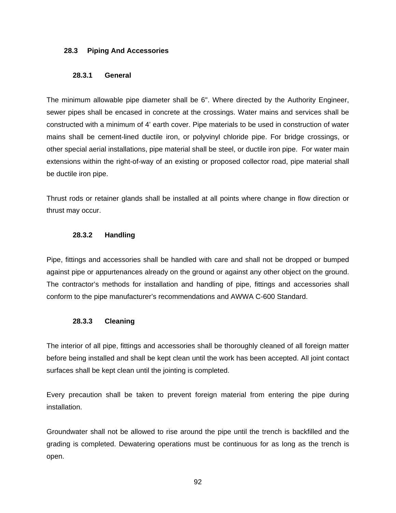#### **28.3 Piping And Accessories**

#### **28.3.1 General**

The minimum allowable pipe diameter shall be 6". Where directed by the Authority Engineer, sewer pipes shall be encased in concrete at the crossings. Water mains and services shall be constructed with a minimum of 4' earth cover. Pipe materials to be used in construction of water mains shall be cement-lined ductile iron, or polyvinyl chloride pipe. For bridge crossings, or other special aerial installations, pipe material shall be steel, or ductile iron pipe. For water main extensions within the right-of-way of an existing or proposed collector road, pipe material shall be ductile iron pipe.

Thrust rods or retainer glands shall be installed at all points where change in flow direction or thrust may occur.

# **28.3.2 Handling**

Pipe, fittings and accessories shall be handled with care and shall not be dropped or bumped against pipe or appurtenances already on the ground or against any other object on the ground. The contractor's methods for installation and handling of pipe, fittings and accessories shall conform to the pipe manufacturer's recommendations and AWWA C-600 Standard.

# **28.3.3 Cleaning**

The interior of all pipe, fittings and accessories shall be thoroughly cleaned of all foreign matter before being installed and shall be kept clean until the work has been accepted. All joint contact surfaces shall be kept clean until the jointing is completed.

Every precaution shall be taken to prevent foreign material from entering the pipe during installation.

Groundwater shall not be allowed to rise around the pipe until the trench is backfilled and the grading is completed. Dewatering operations must be continuous for as long as the trench is open.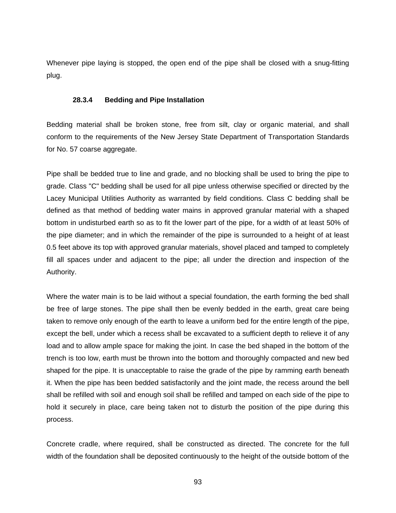Whenever pipe laying is stopped, the open end of the pipe shall be closed with a snug-fitting plug.

#### **28.3.4 Bedding and Pipe Installation**

Bedding material shall be broken stone, free from silt, clay or organic material, and shall conform to the requirements of the New Jersey State Department of Transportation Standards for No. 57 coarse aggregate.

Pipe shall be bedded true to line and grade, and no blocking shall be used to bring the pipe to grade. Class "C" bedding shall be used for all pipe unless otherwise specified or directed by the Lacey Municipal Utilities Authority as warranted by field conditions. Class C bedding shall be defined as that method of bedding water mains in approved granular material with a shaped bottom in undisturbed earth so as to fit the lower part of the pipe, for a width of at least 50% of the pipe diameter; and in which the remainder of the pipe is surrounded to a height of at least 0.5 feet above its top with approved granular materials, shovel placed and tamped to completely fill all spaces under and adjacent to the pipe; all under the direction and inspection of the Authority.

Where the water main is to be laid without a special foundation, the earth forming the bed shall be free of large stones. The pipe shall then be evenly bedded in the earth, great care being taken to remove only enough of the earth to leave a uniform bed for the entire length of the pipe, except the bell, under which a recess shall be excavated to a sufficient depth to relieve it of any load and to allow ample space for making the joint. In case the bed shaped in the bottom of the trench is too low, earth must be thrown into the bottom and thoroughly compacted and new bed shaped for the pipe. It is unacceptable to raise the grade of the pipe by ramming earth beneath it. When the pipe has been bedded satisfactorily and the joint made, the recess around the bell shall be refilled with soil and enough soil shall be refilled and tamped on each side of the pipe to hold it securely in place, care being taken not to disturb the position of the pipe during this process.

Concrete cradle, where required, shall be constructed as directed. The concrete for the full width of the foundation shall be deposited continuously to the height of the outside bottom of the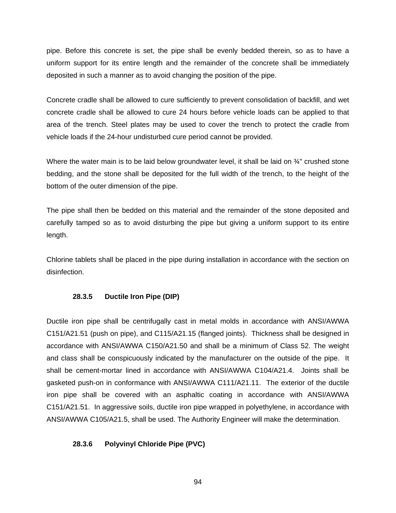pipe. Before this concrete is set, the pipe shall be evenly bedded therein, so as to have a uniform support for its entire length and the remainder of the concrete shall be immediately deposited in such a manner as to avoid changing the position of the pipe.

Concrete cradle shall be allowed to cure sufficiently to prevent consolidation of backfill, and wet concrete cradle shall be allowed to cure 24 hours before vehicle loads can be applied to that area of the trench. Steel plates may be used to cover the trench to protect the cradle from vehicle loads if the 24-hour undisturbed cure period cannot be provided.

Where the water main is to be laid below groundwater level, it shall be laid on  $\frac{3}{4}$ " crushed stone bedding, and the stone shall be deposited for the full width of the trench, to the height of the bottom of the outer dimension of the pipe.

The pipe shall then be bedded on this material and the remainder of the stone deposited and carefully tamped so as to avoid disturbing the pipe but giving a uniform support to its entire length.

Chlorine tablets shall be placed in the pipe during installation in accordance with the section on disinfection.

# **28.3.5 Ductile Iron Pipe (DIP)**

Ductile iron pipe shall be centrifugally cast in metal molds in accordance with ANSI/AWWA C151/A21.51 (push on pipe), and C115/A21.15 (flanged joints). Thickness shall be designed in accordance with ANSI/AWWA C150/A21.50 and shall be a minimum of Class 52. The weight and class shall be conspicuously indicated by the manufacturer on the outside of the pipe. It shall be cement-mortar lined in accordance with ANSI/AWWA C104/A21.4. Joints shall be gasketed push-on in conformance with ANSI/AWWA C111/A21.11. The exterior of the ductile iron pipe shall be covered with an asphaltic coating in accordance with ANSI/AWWA C151/A21.51. In aggressive soils, ductile iron pipe wrapped in polyethylene, in accordance with ANSI/AWWA C105/A21.5, shall be used. The Authority Engineer will make the determination.

# **28.3.6 Polyvinyl Chloride Pipe (PVC)**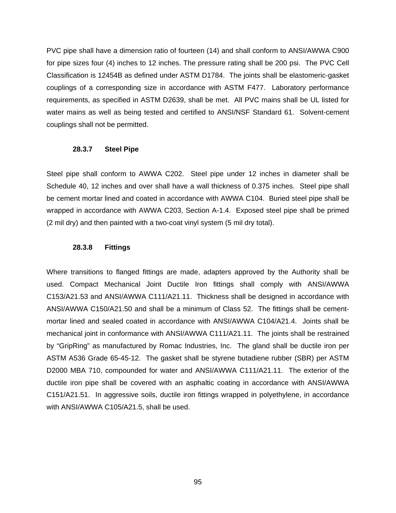PVC pipe shall have a dimension ratio of fourteen (14) and shall conform to ANSI/AWWA C900 for pipe sizes four (4) inches to 12 inches. The pressure rating shall be 200 psi. The PVC Cell Classification is 12454B as defined under ASTM D1784. The joints shall be elastomeric-gasket couplings of a corresponding size in accordance with ASTM F477. Laboratory performance requirements, as specified in ASTM D2639, shall be met. All PVC mains shall be UL listed for water mains as well as being tested and certified to ANSI/NSF Standard 61. Solvent-cement couplings shall not be permitted.

#### **28.3.7 Steel Pipe**

Steel pipe shall conform to AWWA C202. Steel pipe under 12 inches in diameter shall be Schedule 40, 12 inches and over shall have a wall thickness of 0.375 inches. Steel pipe shall be cement mortar lined and coated in accordance with AWWA C104. Buried steel pipe shall be wrapped in accordance with AWWA C203, Section A-1.4. Exposed steel pipe shall be primed (2 mil dry) and then painted with a two-coat vinyl system (5 mil dry total).

#### **28.3.8 Fittings**

Where transitions to flanged fittings are made, adapters approved by the Authority shall be used. Compact Mechanical Joint Ductile Iron fittings shall comply with ANSI/AWWA C153/A21.53 and ANSI/AWWA C111/A21.11. Thickness shall be designed in accordance with ANSI/AWWA C150/A21.50 and shall be a minimum of Class 52. The fittings shall be cementmortar lined and sealed coated in accordance with ANSI/AWWA C104/A21.4. Joints shall be mechanical joint in conformance with ANSI/AWWA C111/A21.11. The joints shall be restrained by "GripRing" as manufactured by Romac Industries, Inc. The gland shall be ductile iron per ASTM A536 Grade 65-45-12. The gasket shall be styrene butadiene rubber (SBR) per ASTM D2000 MBA 710, compounded for water and ANSI/AWWA C111/A21.11. The exterior of the ductile iron pipe shall be covered with an asphaltic coating in accordance with ANSI/AWWA C151/A21.51. In aggressive soils, ductile iron fittings wrapped in polyethylene, in accordance with ANSI/AWWA C105/A21.5, shall be used.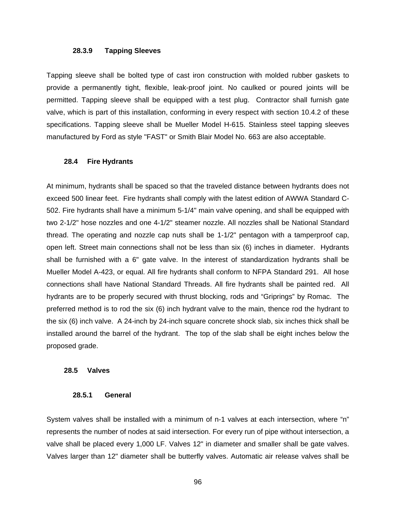#### **28.3.9 Tapping Sleeves**

Tapping sleeve shall be bolted type of cast iron construction with molded rubber gaskets to provide a permanently tight, flexible, leak-proof joint. No caulked or poured joints will be permitted. Tapping sleeve shall be equipped with a test plug. Contractor shall furnish gate valve, which is part of this installation, conforming in every respect with section 10.4.2 of these specifications. Tapping sleeve shall be Mueller Model H-615. Stainless steel tapping sleeves manufactured by Ford as style "FAST" or Smith Blair Model No. 663 are also acceptable.

#### **28.4 Fire Hydrants**

At minimum, hydrants shall be spaced so that the traveled distance between hydrants does not exceed 500 linear feet. Fire hydrants shall comply with the latest edition of AWWA Standard C-502. Fire hydrants shall have a minimum 5-1/4" main valve opening, and shall be equipped with two 2-1/2" hose nozzles and one 4-1/2" steamer nozzle. All nozzles shall be National Standard thread. The operating and nozzle cap nuts shall be 1-1/2" pentagon with a tamperproof cap, open left. Street main connections shall not be less than six (6) inches in diameter. Hydrants shall be furnished with a 6" gate valve. In the interest of standardization hydrants shall be Mueller Model A-423, or equal. All fire hydrants shall conform to NFPA Standard 291. All hose connections shall have National Standard Threads. All fire hydrants shall be painted red. All hydrants are to be properly secured with thrust blocking, rods and "Griprings" by Romac. The preferred method is to rod the six (6) inch hydrant valve to the main, thence rod the hydrant to the six (6) inch valve. A 24-inch by 24-inch square concrete shock slab, six inches thick shall be installed around the barrel of the hydrant. The top of the slab shall be eight inches below the proposed grade.

#### **28.5 Valves**

#### **28.5.1 General**

System valves shall be installed with a minimum of n-1 valves at each intersection, where "n" represents the number of nodes at said intersection. For every run of pipe without intersection, a valve shall be placed every 1,000 LF. Valves 12" in diameter and smaller shall be gate valves. Valves larger than 12" diameter shall be butterfly valves. Automatic air release valves shall be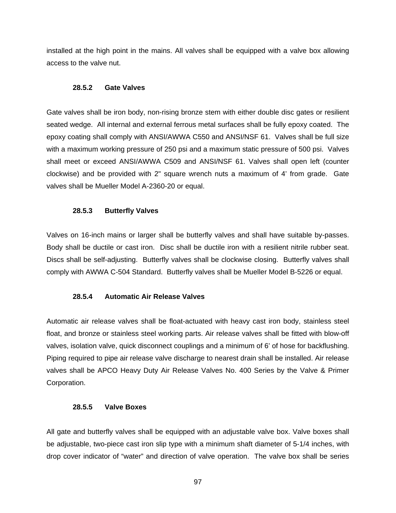installed at the high point in the mains. All valves shall be equipped with a valve box allowing access to the valve nut.

#### **28.5.2 Gate Valves**

Gate valves shall be iron body, non-rising bronze stem with either double disc gates or resilient seated wedge. All internal and external ferrous metal surfaces shall be fully epoxy coated. The epoxy coating shall comply with ANSI/AWWA C550 and ANSI/NSF 61. Valves shall be full size with a maximum working pressure of 250 psi and a maximum static pressure of 500 psi. Valves shall meet or exceed ANSI/AWWA C509 and ANSI/NSF 61. Valves shall open left (counter clockwise) and be provided with 2" square wrench nuts a maximum of 4' from grade. Gate valves shall be Mueller Model A-2360-20 or equal.

# **28.5.3 Butterfly Valves**

Valves on 16-inch mains or larger shall be butterfly valves and shall have suitable by-passes. Body shall be ductile or cast iron. Disc shall be ductile iron with a resilient nitrile rubber seat. Discs shall be self-adjusting. Butterfly valves shall be clockwise closing. Butterfly valves shall comply with AWWA C-504 Standard. Butterfly valves shall be Mueller Model B-5226 or equal.

# **28.5.4 Automatic Air Release Valves**

Automatic air release valves shall be float-actuated with heavy cast iron body, stainless steel float, and bronze or stainless steel working parts. Air release valves shall be fitted with blow-off valves, isolation valve, quick disconnect couplings and a minimum of 6' of hose for backflushing. Piping required to pipe air release valve discharge to nearest drain shall be installed. Air release valves shall be APCO Heavy Duty Air Release Valves No. 400 Series by the Valve & Primer Corporation.

#### **28.5.5 Valve Boxes**

All gate and butterfly valves shall be equipped with an adjustable valve box. Valve boxes shall be adjustable, two-piece cast iron slip type with a minimum shaft diameter of 5-1/4 inches, with drop cover indicator of "water" and direction of valve operation. The valve box shall be series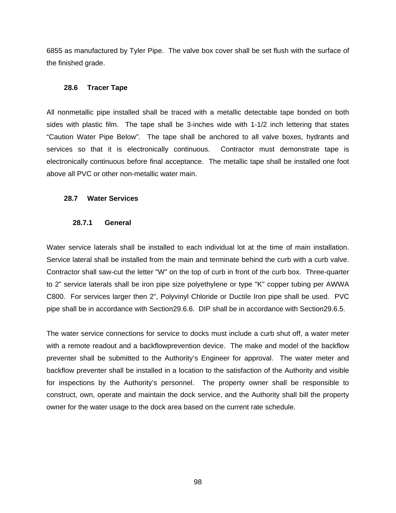6855 as manufactured by Tyler Pipe. The valve box cover shall be set flush with the surface of the finished grade.

#### **28.6 Tracer Tape**

All nonmetallic pipe installed shall be traced with a metallic detectable tape bonded on both sides with plastic film. The tape shall be 3-inches wide with 1-1/2 inch lettering that states "Caution Water Pipe Below". The tape shall be anchored to all valve boxes, hydrants and services so that it is electronically continuous. Contractor must demonstrate tape is electronically continuous before final acceptance. The metallic tape shall be installed one foot above all PVC or other non-metallic water main.

#### **28.7 Water Services**

#### **28.7.1 General**

Water service laterals shall be installed to each individual lot at the time of main installation. Service lateral shall be installed from the main and terminate behind the curb with a curb valve. Contractor shall saw-cut the letter "W" on the top of curb in front of the curb box. Three-quarter to 2" service laterals shall be iron pipe size polyethylene or type "K" copper tubing per AWWA C800. For services larger then 2", Polyvinyl Chloride or Ductile Iron pipe shall be used. PVC pipe shall be in accordance with Section29.6.6. DIP shall be in accordance with Section29.6.5.

The water service connections for service to docks must include a curb shut off, a water meter with a remote readout and a backflowprevention device. The make and model of the backflow preventer shall be submitted to the Authority's Engineer for approval. The water meter and backflow preventer shall be installed in a location to the satisfaction of the Authority and visible for inspections by the Authority's personnel. The property owner shall be responsible to construct, own, operate and maintain the dock service, and the Authority shall bill the property owner for the water usage to the dock area based on the current rate schedule.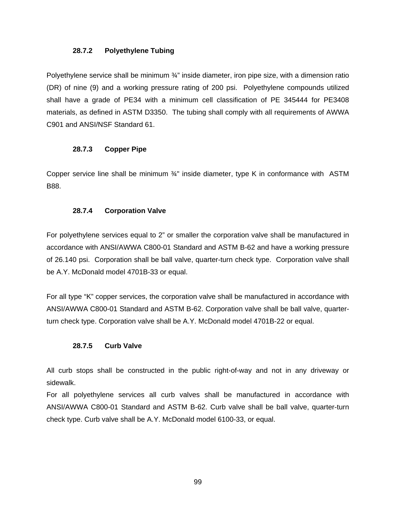#### **28.7.2 Polyethylene Tubing**

Polyethylene service shall be minimum  $\frac{3}{4}$ " inside diameter, iron pipe size, with a dimension ratio (DR) of nine (9) and a working pressure rating of 200 psi. Polyethylene compounds utilized shall have a grade of PE34 with a minimum cell classification of PE 345444 for PE3408 materials, as defined in ASTM D3350. The tubing shall comply with all requirements of AWWA C901 and ANSI/NSF Standard 61.

# **28.7.3 Copper Pipe**

Copper service line shall be minimum ¾" inside diameter, type K in conformance with ASTM B88.

# **28.7.4 Corporation Valve**

For polyethylene services equal to 2" or smaller the corporation valve shall be manufactured in accordance with ANSI/AWWA C800-01 Standard and ASTM B-62 and have a working pressure of 26.140 psi. Corporation shall be ball valve, quarter-turn check type. Corporation valve shall be A.Y. McDonald model 4701B-33 or equal.

For all type "K" copper services, the corporation valve shall be manufactured in accordance with ANSI/AWWA C800-01 Standard and ASTM B-62. Corporation valve shall be ball valve, quarterturn check type. Corporation valve shall be A.Y. McDonald model 4701B-22 or equal.

# **28.7.5 Curb Valve**

All curb stops shall be constructed in the public right-of-way and not in any driveway or sidewalk.

For all polyethylene services all curb valves shall be manufactured in accordance with ANSI/AWWA C800-01 Standard and ASTM B-62. Curb valve shall be ball valve, quarter-turn check type. Curb valve shall be A.Y. McDonald model 6100-33, or equal.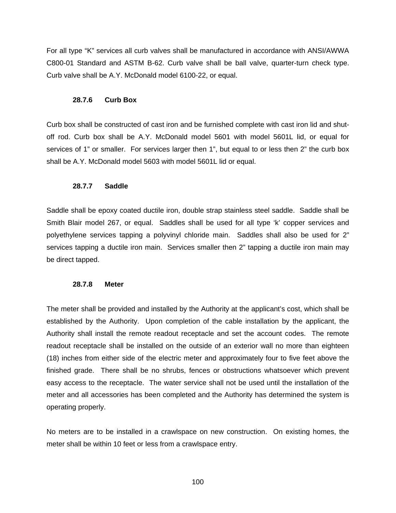For all type "K" services all curb valves shall be manufactured in accordance with ANSI/AWWA C800-01 Standard and ASTM B-62. Curb valve shall be ball valve, quarter-turn check type. Curb valve shall be A.Y. McDonald model 6100-22, or equal.

#### **28.7.6 Curb Box**

Curb box shall be constructed of cast iron and be furnished complete with cast iron lid and shutoff rod. Curb box shall be A.Y. McDonald model 5601 with model 5601L lid, or equal for services of 1" or smaller. For services larger then 1", but equal to or less then 2" the curb box shall be A.Y. McDonald model 5603 with model 5601L lid or equal.

#### **28.7.7 Saddle**

Saddle shall be epoxy coated ductile iron, double strap stainless steel saddle. Saddle shall be Smith Blair model 267, or equal. Saddles shall be used for all type 'k' copper services and polyethylene services tapping a polyvinyl chloride main. Saddles shall also be used for 2" services tapping a ductile iron main. Services smaller then 2" tapping a ductile iron main may be direct tapped.

#### **28.7.8 Meter**

The meter shall be provided and installed by the Authority at the applicant's cost, which shall be established by the Authority. Upon completion of the cable installation by the applicant, the Authority shall install the remote readout receptacle and set the account codes. The remote readout receptacle shall be installed on the outside of an exterior wall no more than eighteen (18) inches from either side of the electric meter and approximately four to five feet above the finished grade. There shall be no shrubs, fences or obstructions whatsoever which prevent easy access to the receptacle. The water service shall not be used until the installation of the meter and all accessories has been completed and the Authority has determined the system is operating properly.

No meters are to be installed in a crawlspace on new construction. On existing homes, the meter shall be within 10 feet or less from a crawlspace entry.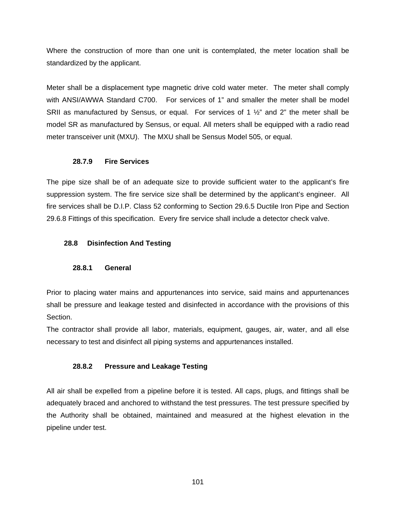Where the construction of more than one unit is contemplated, the meter location shall be standardized by the applicant.

Meter shall be a displacement type magnetic drive cold water meter. The meter shall comply with ANSI/AWWA Standard C700. For services of 1" and smaller the meter shall be model SRII as manufactured by Sensus, or equal. For services of 1 ½" and 2" the meter shall be model SR as manufactured by Sensus, or equal. All meters shall be equipped with a radio read meter transceiver unit (MXU). The MXU shall be Sensus Model 505, or equal.

# **28.7.9 Fire Services**

The pipe size shall be of an adequate size to provide sufficient water to the applicant's fire suppression system. The fire service size shall be determined by the applicant's engineer. All fire services shall be D.I.P. Class 52 conforming to Section 29.6.5 Ductile Iron Pipe and Section 29.6.8 Fittings of this specification. Every fire service shall include a detector check valve.

# **28.8 Disinfection And Testing**

# **28.8.1 General**

Prior to placing water mains and appurtenances into service, said mains and appurtenances shall be pressure and leakage tested and disinfected in accordance with the provisions of this Section.

The contractor shall provide all labor, materials, equipment, gauges, air, water, and all else necessary to test and disinfect all piping systems and appurtenances installed.

# **28.8.2 Pressure and Leakage Testing**

All air shall be expelled from a pipeline before it is tested. All caps, plugs, and fittings shall be adequately braced and anchored to withstand the test pressures. The test pressure specified by the Authority shall be obtained, maintained and measured at the highest elevation in the pipeline under test.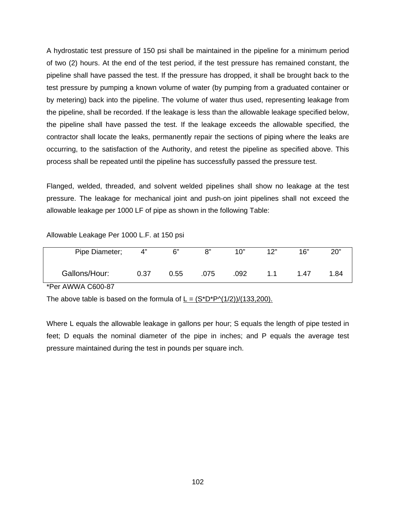A hydrostatic test pressure of 150 psi shall be maintained in the pipeline for a minimum period of two (2) hours. At the end of the test period, if the test pressure has remained constant, the pipeline shall have passed the test. If the pressure has dropped, it shall be brought back to the test pressure by pumping a known volume of water (by pumping from a graduated container or by metering) back into the pipeline. The volume of water thus used, representing leakage from the pipeline, shall be recorded. If the leakage is less than the allowable leakage specified below, the pipeline shall have passed the test. If the leakage exceeds the allowable specified, the contractor shall locate the leaks, permanently repair the sections of piping where the leaks are occurring, to the satisfaction of the Authority, and retest the pipeline as specified above. This process shall be repeated until the pipeline has successfully passed the pressure test.

Flanged, welded, threaded, and solvent welded pipelines shall show no leakage at the test pressure. The leakage for mechanical joint and push-on joint pipelines shall not exceed the allowable leakage per 1000 LF of pipe as shown in the following Table:

| Pipe Diameter;    | 4"   | 6"   | 8"   | 10"  | 12" | 16"  | 20"  |
|-------------------|------|------|------|------|-----|------|------|
|                   |      |      |      |      |     |      |      |
|                   |      |      |      |      |     |      |      |
|                   |      |      |      |      |     |      |      |
| Gallons/Hour:     | 0.37 | 0.55 | .075 | .092 | 11  | 1.47 | 1.84 |
|                   |      |      |      |      |     |      |      |
| *Per AWWA C600-87 |      |      |      |      |     |      |      |
|                   |      |      |      |      |     |      |      |

Allowable Leakage Per 1000 L.F. at 150 psi

The above table is based on the formula of  $L = (S^*D^*P\cdot(1/2))/(133,200)$ .

Where L equals the allowable leakage in gallons per hour; S equals the length of pipe tested in feet; D equals the nominal diameter of the pipe in inches; and P equals the average test pressure maintained during the test in pounds per square inch.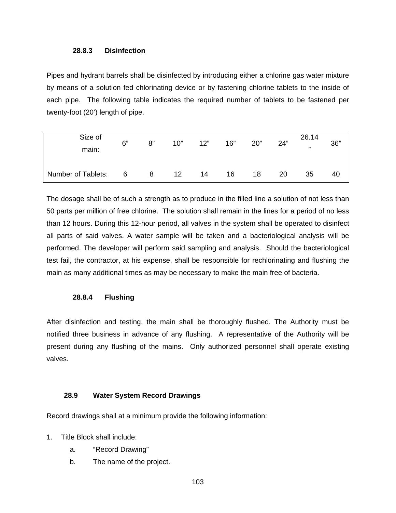#### **28.8.3 Disinfection**

Pipes and hydrant barrels shall be disinfected by introducing either a chlorine gas water mixture by means of a solution fed chlorinating device or by fastening chlorine tablets to the inside of each pipe. The following table indicates the required number of tablets to be fastened per twenty-foot (20') length of pipe.

| Size of<br>main:   | 6"              | 8"  | 10" | 12" | 16" | 20" | 24" | 26.14<br>$\overline{1}$ | 36" |
|--------------------|-----------------|-----|-----|-----|-----|-----|-----|-------------------------|-----|
| Number of Tablets: | $6\overline{6}$ | - 8 | 12  | 14  | 16  | 18  | 20  | 35                      | 40  |

The dosage shall be of such a strength as to produce in the filled line a solution of not less than 50 parts per million of free chlorine. The solution shall remain in the lines for a period of no less than 12 hours. During this 12-hour period, all valves in the system shall be operated to disinfect all parts of said valves. A water sample will be taken and a bacteriological analysis will be performed. The developer will perform said sampling and analysis. Should the bacteriological test fail, the contractor, at his expense, shall be responsible for rechlorinating and flushing the main as many additional times as may be necessary to make the main free of bacteria.

#### **28.8.4 Flushing**

After disinfection and testing, the main shall be thoroughly flushed. The Authority must be notified three business in advance of any flushing. A representative of the Authority will be present during any flushing of the mains. Only authorized personnel shall operate existing valves.

# **28.9 Water System Record Drawings**

Record drawings shall at a minimum provide the following information:

- 1. Title Block shall include:
	- a. "Record Drawing"
	- b. The name of the project.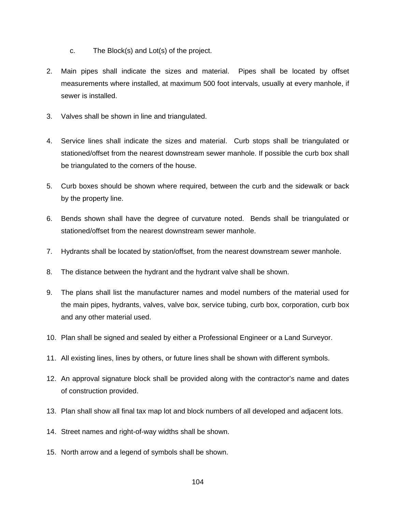- c. The Block(s) and Lot(s) of the project.
- 2. Main pipes shall indicate the sizes and material. Pipes shall be located by offset measurements where installed, at maximum 500 foot intervals, usually at every manhole, if sewer is installed.
- 3. Valves shall be shown in line and triangulated.
- 4. Service lines shall indicate the sizes and material. Curb stops shall be triangulated or stationed/offset from the nearest downstream sewer manhole. If possible the curb box shall be triangulated to the corners of the house.
- 5. Curb boxes should be shown where required, between the curb and the sidewalk or back by the property line.
- 6. Bends shown shall have the degree of curvature noted. Bends shall be triangulated or stationed/offset from the nearest downstream sewer manhole.
- 7. Hydrants shall be located by station/offset, from the nearest downstream sewer manhole.
- 8. The distance between the hydrant and the hydrant valve shall be shown.
- 9. The plans shall list the manufacturer names and model numbers of the material used for the main pipes, hydrants, valves, valve box, service tubing, curb box, corporation, curb box and any other material used.
- 10. Plan shall be signed and sealed by either a Professional Engineer or a Land Surveyor.
- 11. All existing lines, lines by others, or future lines shall be shown with different symbols.
- 12. An approval signature block shall be provided along with the contractor's name and dates of construction provided.
- 13. Plan shall show all final tax map lot and block numbers of all developed and adjacent lots.
- 14. Street names and right-of-way widths shall be shown.
- 15. North arrow and a legend of symbols shall be shown.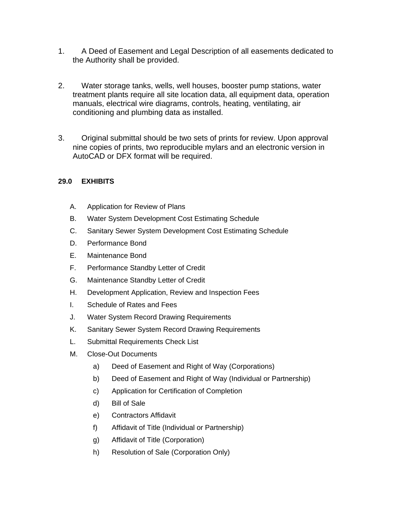- 1. A Deed of Easement and Legal Description of all easements dedicated to the Authority shall be provided.
- 2. Water storage tanks, wells, well houses, booster pump stations, water treatment plants require all site location data, all equipment data, operation manuals, electrical wire diagrams, controls, heating, ventilating, air conditioning and plumbing data as installed.
- 3. Original submittal should be two sets of prints for review. Upon approval nine copies of prints, two reproducible mylars and an electronic version in AutoCAD or DFX format will be required.

# **29.0 EXHIBITS**

- A. Application for Review of Plans
- B. Water System Development Cost Estimating Schedule
- C. Sanitary Sewer System Development Cost Estimating Schedule
- D. Performance Bond
- E. Maintenance Bond
- F. Performance Standby Letter of Credit
- G. Maintenance Standby Letter of Credit
- H. Development Application, Review and Inspection Fees
- I. Schedule of Rates and Fees
- J. Water System Record Drawing Requirements
- K. Sanitary Sewer System Record Drawing Requirements
- L. Submittal Requirements Check List
- M. Close-Out Documents
	- a) Deed of Easement and Right of Way (Corporations)
	- b) Deed of Easement and Right of Way (Individual or Partnership)
	- c) Application for Certification of Completion
	- d) Bill of Sale
	- e) Contractors Affidavit
	- f) Affidavit of Title (Individual or Partnership)
	- g) Affidavit of Title (Corporation)
	- h) Resolution of Sale (Corporation Only)